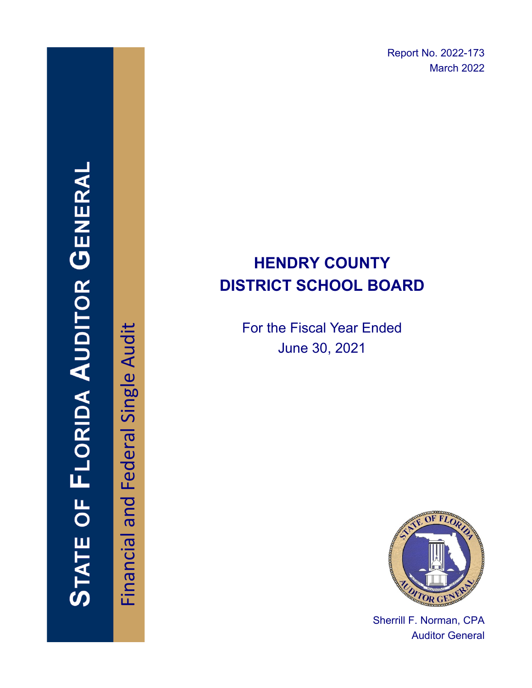Report No. 2022-173 March 2022

# **HENDRY COUNTY DISTRICT SCHOOL BOARD**

For the Fiscal Year Ended June 30, 2021



Sherrill F. Norman, CPA Auditor General

Financial and Federal Single Audit Financial and Federal Single Audit

STATE OF FLORIDA AUDITOR GENERAI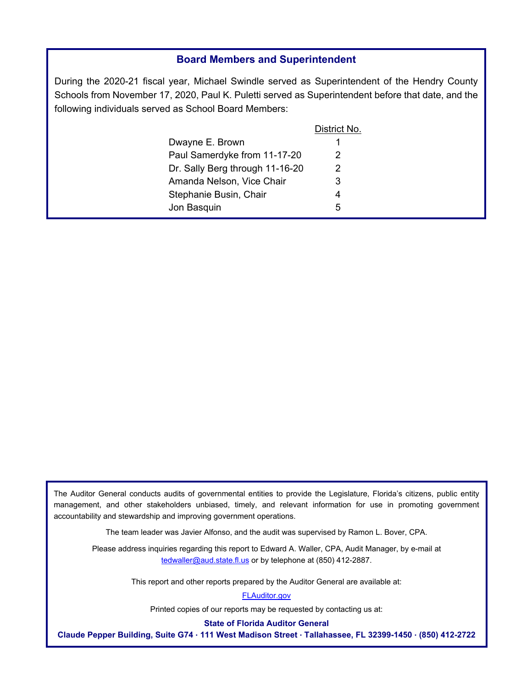#### **Board Members and Superintendent**

During the 2020-21 fiscal year, Michael Swindle served as Superintendent of the Hendry County Schools from November 17, 2020, Paul K. Puletti served as Superintendent before that date, and the following individuals served as School Board Members:

|                                 | District No. |
|---------------------------------|--------------|
| Dwayne E. Brown                 | 1            |
| Paul Samerdyke from 11-17-20    | 2            |
| Dr. Sally Berg through 11-16-20 | 2            |
| Amanda Nelson, Vice Chair       | 3            |
| Stephanie Busin, Chair          | 4            |
| Jon Basquin                     | 5            |
|                                 |              |

The Auditor General conducts audits of governmental entities to provide the Legislature, Florida's citizens, public entity management, and other stakeholders unbiased, timely, and relevant information for use in promoting government accountability and stewardship and improving government operations.

The team leader was Javier Alfonso, and the audit was supervised by Ramon L. Bover, CPA.

Please address inquiries regarding this report to Edward A. Waller, CPA, Audit Manager, by e-mail at tedwaller@aud.state.fl.us or by telephone at (850) 412-2887.

This report and other reports prepared by the Auditor General are available at:

[FLAuditor.gov](http://flauditor.gov/)

Printed copies of our reports may be requested by contacting us at:

**State of Florida Auditor General** 

**Claude Pepper Building, Suite G74 · 111 West Madison Street · Tallahassee, FL 32399-1450 · (850) 412-2722**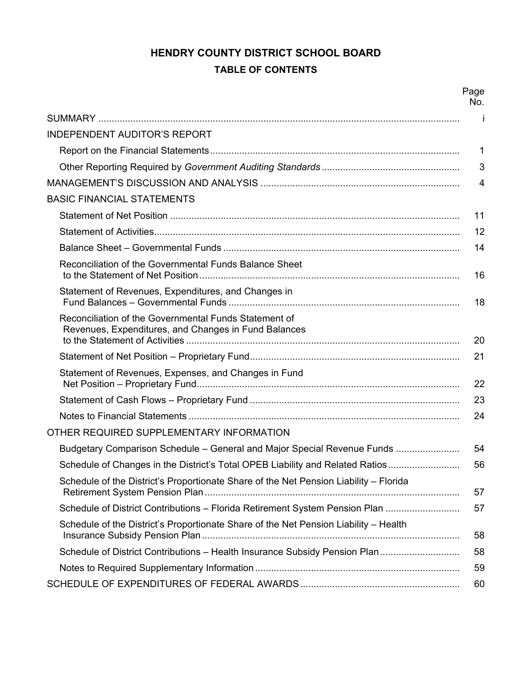### **HENDRY COUNTY DISTRICT SCHOOL BOARD TABLE OF CONTENTS**

|                                                                                                               | Page<br>No. |
|---------------------------------------------------------------------------------------------------------------|-------------|
|                                                                                                               | j.          |
| <b>INDEPENDENT AUDITOR'S REPORT</b>                                                                           |             |
|                                                                                                               | 1           |
|                                                                                                               | 3           |
|                                                                                                               | 4           |
| <b>BASIC FINANCIAL STATEMENTS</b>                                                                             |             |
|                                                                                                               | 11          |
|                                                                                                               | 12          |
|                                                                                                               | 14          |
| Reconciliation of the Governmental Funds Balance Sheet                                                        | 16          |
| Statement of Revenues, Expenditures, and Changes in                                                           | 18          |
| Reconciliation of the Governmental Funds Statement of<br>Revenues, Expenditures, and Changes in Fund Balances | 20          |
|                                                                                                               | 21          |
| Statement of Revenues, Expenses, and Changes in Fund                                                          | 22          |
|                                                                                                               | 23          |
|                                                                                                               | 24          |
| OTHER REQUIRED SUPPLEMENTARY INFORMATION                                                                      |             |
| Budgetary Comparison Schedule – General and Major Special Revenue Funds                                       | 54          |
| Schedule of Changes in the District's Total OPEB Liability and Related Ratios                                 | 56          |
| Schedule of the District's Proportionate Share of the Net Pension Liability - Florida                         | 57          |
| Schedule of District Contributions - Florida Retirement System Pension Plan                                   | 57          |
| Schedule of the District's Proportionate Share of the Net Pension Liability – Health                          | 58          |
| Schedule of District Contributions - Health Insurance Subsidy Pension Plan                                    | 58          |
|                                                                                                               | 59          |
|                                                                                                               | 60          |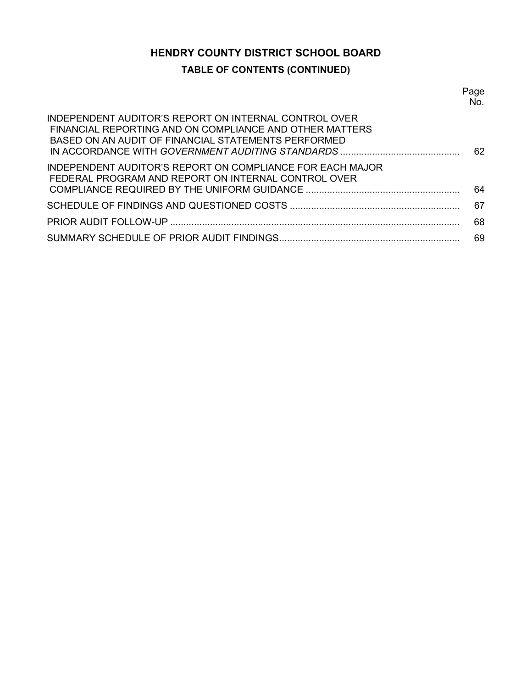### **HENDRY COUNTY DISTRICT SCHOOL BOARD**

### **TABLE OF CONTENTS (CONTINUED)**

| age |
|-----|
| N٥  |

| INDEPENDENT AUDITOR'S REPORT ON INTERNAL CONTROL OVER<br>FINANCIAL REPORTING AND ON COMPLIANCE AND OTHER MATTERS<br>BASED ON AN AUDIT OF FINANCIAL STATEMENTS PERFORMED |    |
|-------------------------------------------------------------------------------------------------------------------------------------------------------------------------|----|
| INDEPENDENT AUDITOR'S REPORT ON COMPLIANCE FOR EACH MAJOR<br>FEDERAL PROGRAM AND REPORT ON INTERNAL CONTROL OVER                                                        | 64 |
|                                                                                                                                                                         |    |
|                                                                                                                                                                         | 68 |
|                                                                                                                                                                         | 69 |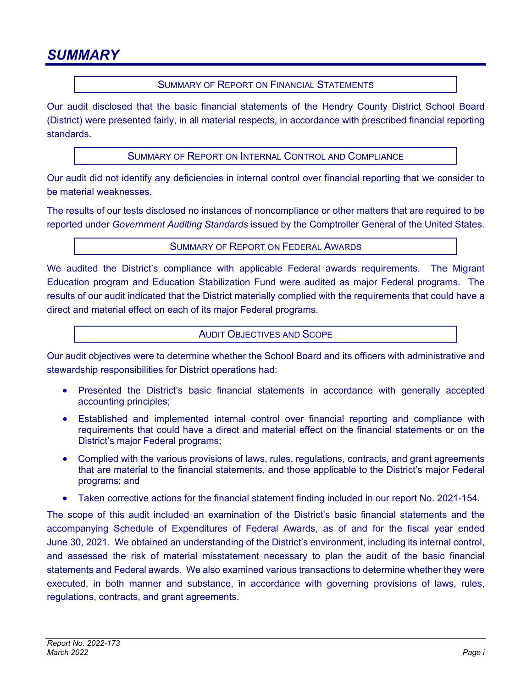### SUMMARY OF REPORT ON FINANCIAL STATEMENTS

<span id="page-4-0"></span>Our audit disclosed that the basic financial statements of the Hendry County District School Board (District) were presented fairly, in all material respects, in accordance with prescribed financial reporting standards.

SUMMARY OF REPORT ON INTERNAL CONTROL AND COMPLIANCE

Our audit did not identify any deficiencies in internal control over financial reporting that we consider to be material weaknesses.

The results of our tests disclosed no instances of noncompliance or other matters that are required to be reported under *Government Auditing Standards* issued by the Comptroller General of the United States.

#### SUMMARY OF REPORT ON FEDERAL AWARDS

We audited the District's compliance with applicable Federal awards requirements. The Migrant Education program and Education Stabilization Fund were audited as major Federal programs. The results of our audit indicated that the District materially complied with the requirements that could have a direct and material effect on each of its major Federal programs.

### AUDIT OBJECTIVES AND SCOPE

Our audit objectives were to determine whether the School Board and its officers with administrative and stewardship responsibilities for District operations had:

- Presented the District's basic financial statements in accordance with generally accepted accounting principles;
- Established and implemented internal control over financial reporting and compliance with requirements that could have a direct and material effect on the financial statements or on the District's major Federal programs;
- Complied with the various provisions of laws, rules, regulations, contracts, and grant agreements that are material to the financial statements, and those applicable to the District's major Federal programs; and
- Taken corrective actions for the financial statement finding included in our report No. 2021-154.

The scope of this audit included an examination of the District's basic financial statements and the accompanying Schedule of Expenditures of Federal Awards, as of and for the fiscal year ended June 30, 2021. We obtained an understanding of the District's environment, including its internal control, and assessed the risk of material misstatement necessary to plan the audit of the basic financial statements and Federal awards. We also examined various transactions to determine whether they were executed, in both manner and substance, in accordance with governing provisions of laws, rules, regulations, contracts, and grant agreements.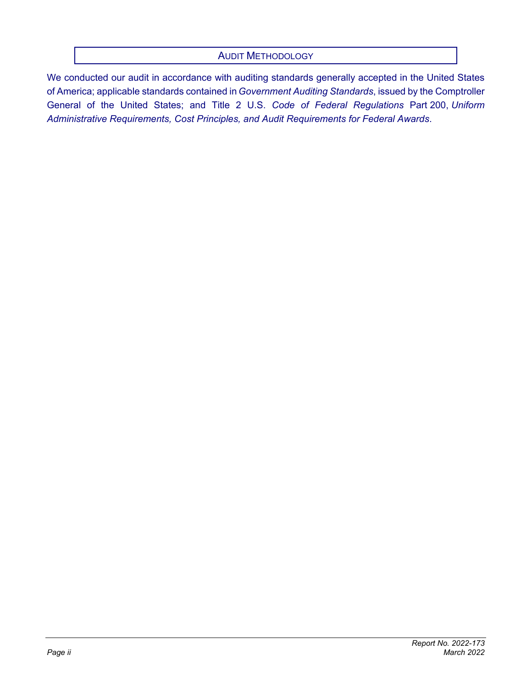### AUDIT METHODOLOGY

We conducted our audit in accordance with auditing standards generally accepted in the United States of America; applicable standards contained in *Government Auditing Standards*, issued by the Comptroller General of the United States; and Title 2 U.S. *Code of Federal Regulations* Part 200, *Uniform Administrative Requirements, Cost Principles, and Audit Requirements for Federal Awards*.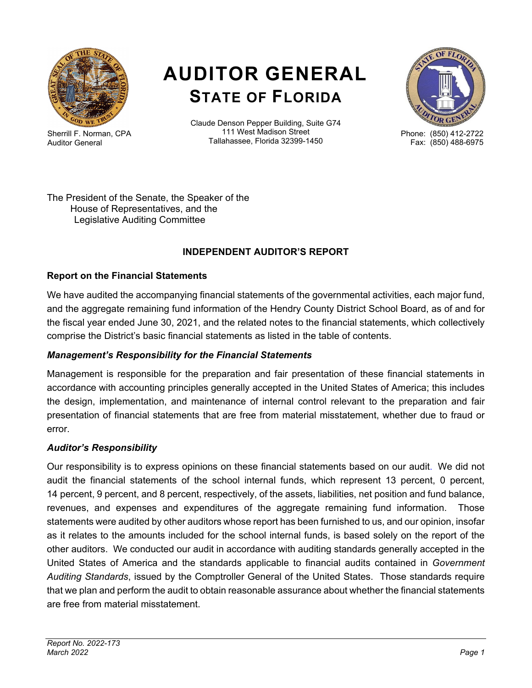<span id="page-6-0"></span>

Sherrill F. Norman, CPA Auditor General

# **AUDITOR GENERAL STATE OF FLORIDA**

Claude Denson Pepper Building, Suite G74 111 West Madison Street Tallahassee, Florida 32399-1450



Phone: (850) 412-2722 Fax: (850) 488-6975

The President of the Senate, the Speaker of the House of Representatives, and the Legislative Auditing Committee

### **INDEPENDENT AUDITOR'S REPORT**

### **Report on the Financial Statements**

We have audited the accompanying financial statements of the governmental activities, each major fund, and the aggregate remaining fund information of the Hendry County District School Board, as of and for the fiscal year ended June 30, 2021, and the related notes to the financial statements, which collectively comprise the District's basic financial statements as listed in the table of contents.

### *Management's Responsibility for the Financial Statements*

Management is responsible for the preparation and fair presentation of these financial statements in accordance with accounting principles generally accepted in the United States of America; this includes the design, implementation, and maintenance of internal control relevant to the preparation and fair presentation of financial statements that are free from material misstatement, whether due to fraud or error.

### *Auditor's Responsibility*

Our responsibility is to express opinions on these financial statements based on our audit. We did not audit the financial statements of the school internal funds, which represent 13 percent, 0 percent, 14 percent, 9 percent, and 8 percent, respectively, of the assets, liabilities, net position and fund balance, revenues, and expenses and expenditures of the aggregate remaining fund information. Those statements were audited by other auditors whose report has been furnished to us, and our opinion, insofar as it relates to the amounts included for the school internal funds, is based solely on the report of the other auditors. We conducted our audit in accordance with auditing standards generally accepted in the United States of America and the standards applicable to financial audits contained in *Government Auditing Standards*, issued by the Comptroller General of the United States. Those standards require that we plan and perform the audit to obtain reasonable assurance about whether the financial statements are free from material misstatement.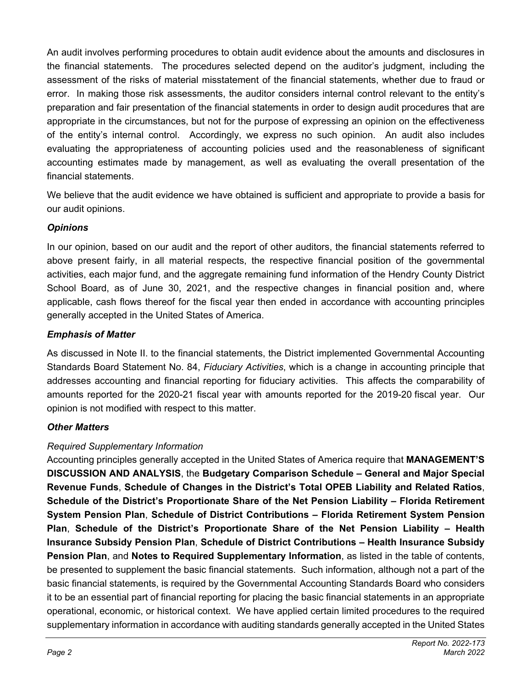An audit involves performing procedures to obtain audit evidence about the amounts and disclosures in the financial statements. The procedures selected depend on the auditor's judgment, including the assessment of the risks of material misstatement of the financial statements, whether due to fraud or error. In making those risk assessments, the auditor considers internal control relevant to the entity's preparation and fair presentation of the financial statements in order to design audit procedures that are appropriate in the circumstances, but not for the purpose of expressing an opinion on the effectiveness of the entity's internal control. Accordingly, we express no such opinion. An audit also includes evaluating the appropriateness of accounting policies used and the reasonableness of significant accounting estimates made by management, as well as evaluating the overall presentation of the financial statements.

We believe that the audit evidence we have obtained is sufficient and appropriate to provide a basis for our audit opinions.

### *Opinions*

In our opinion, based on our audit and the report of other auditors, the financial statements referred to above present fairly, in all material respects, the respective financial position of the governmental activities, each major fund, and the aggregate remaining fund information of the Hendry County District School Board, as of June 30, 2021, and the respective changes in financial position and, where applicable, cash flows thereof for the fiscal year then ended in accordance with accounting principles generally accepted in the United States of America.

### *Emphasis of Matter*

As discussed in Note II. to the financial statements, the District implemented Governmental Accounting Standards Board Statement No. 84, *Fiduciary Activities*, which is a change in accounting principle that addresses accounting and financial reporting for fiduciary activities. This affects the comparability of amounts reported for the 2020-21 fiscal year with amounts reported for the 2019-20 fiscal year. Our opinion is not modified with respect to this matter.

### *Other Matters*

### *Required Supplementary Information*

Accounting principles generally accepted in the United States of America require that **MANAGEMENT'S DISCUSSION AND ANALYSIS**, the **Budgetary Comparison Schedule – General and Major Special Revenue Funds**, **Schedule of Changes in the District's Total OPEB Liability and Related Ratios**, **Schedule of the District's Proportionate Share of the Net Pension Liability – Florida Retirement System Pension Plan**, **Schedule of District Contributions – Florida Retirement System Pension Plan**, **Schedule of the District's Proportionate Share of the Net Pension Liability – Health Insurance Subsidy Pension Plan**, **Schedule of District Contributions – Health Insurance Subsidy Pension Plan**, and **Notes to Required Supplementary Information**, as listed in the table of contents, be presented to supplement the basic financial statements. Such information, although not a part of the basic financial statements, is required by the Governmental Accounting Standards Board who considers it to be an essential part of financial reporting for placing the basic financial statements in an appropriate operational, economic, or historical context. We have applied certain limited procedures to the required supplementary information in accordance with auditing standards generally accepted in the United States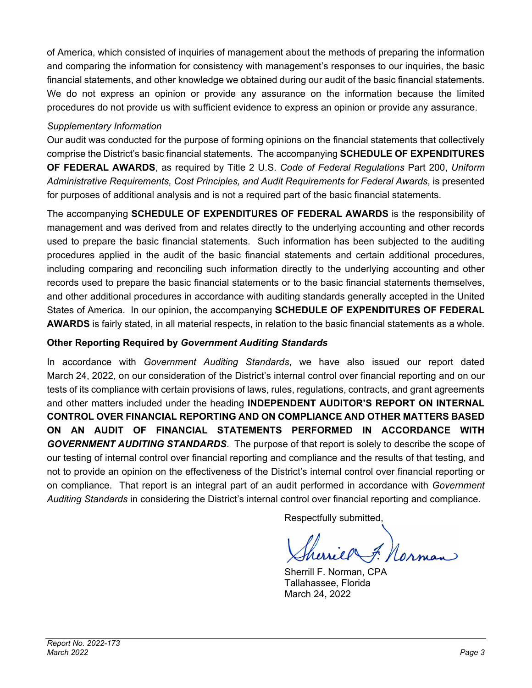<span id="page-8-0"></span>of America, which consisted of inquiries of management about the methods of preparing the information and comparing the information for consistency with management's responses to our inquiries, the basic financial statements, and other knowledge we obtained during our audit of the basic financial statements. We do not express an opinion or provide any assurance on the information because the limited procedures do not provide us with sufficient evidence to express an opinion or provide any assurance.

### *Supplementary Information*

Our audit was conducted for the purpose of forming opinions on the financial statements that collectively comprise the District's basic financial statements. The accompanying **SCHEDULE OF EXPENDITURES OF FEDERAL AWARDS**, as required by Title 2 U.S. *Code of Federal Regulations* Part 200, *Uniform Administrative Requirements, Cost Principles, and Audit Requirements for Federal Awards*, is presented for purposes of additional analysis and is not a required part of the basic financial statements.

The accompanying **SCHEDULE OF EXPENDITURES OF FEDERAL AWARDS** is the responsibility of management and was derived from and relates directly to the underlying accounting and other records used to prepare the basic financial statements. Such information has been subjected to the auditing procedures applied in the audit of the basic financial statements and certain additional procedures, including comparing and reconciling such information directly to the underlying accounting and other records used to prepare the basic financial statements or to the basic financial statements themselves, and other additional procedures in accordance with auditing standards generally accepted in the United States of America. In our opinion, the accompanying **SCHEDULE OF EXPENDITURES OF FEDERAL AWARDS** is fairly stated, in all material respects, in relation to the basic financial statements as a whole.

### **Other Reporting Required by** *Government Auditing Standards*

In accordance with *Government Auditing Standards*, we have also issued our report dated March 24, 2022, on our consideration of the District's internal control over financial reporting and on our tests of its compliance with certain provisions of laws, rules, regulations, contracts, and grant agreements and other matters included under the heading **INDEPENDENT AUDITOR'S REPORT ON INTERNAL CONTROL OVER FINANCIAL REPORTING AND ON COMPLIANCE AND OTHER MATTERS BASED ON AN AUDIT OF FINANCIAL STATEMENTS PERFORMED IN ACCORDANCE WITH**  *GOVERNMENT AUDITING STANDARDS*. The purpose of that report is solely to describe the scope of our testing of internal control over financial reporting and compliance and the results of that testing, and not to provide an opinion on the effectiveness of the District's internal control over financial reporting or on compliance. That report is an integral part of an audit performed in accordance with *Government Auditing Standards* in considering the District's internal control over financial reporting and compliance.

Respectfully submitted,

Sherrill F. Norman, CPA Tallahassee, Florida March 24, 2022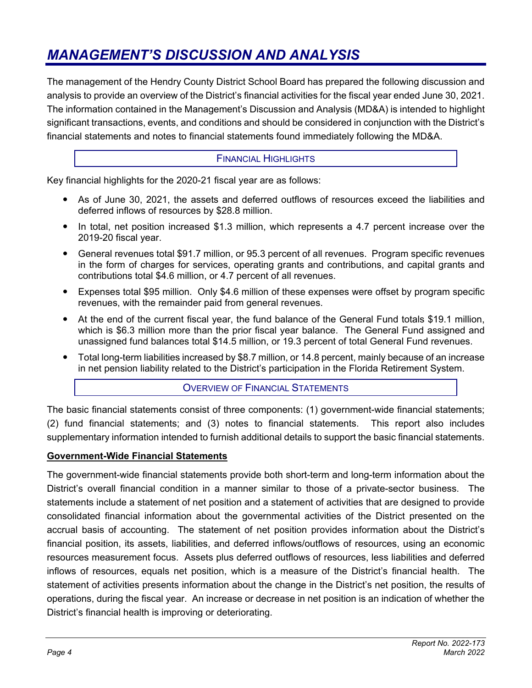## <span id="page-9-0"></span>*MANAGEMENT'S DISCUSSION AND ANALYSIS*

The management of the Hendry County District School Board has prepared the following discussion and analysis to provide an overview of the District's financial activities for the fiscal year ended June 30, 2021. The information contained in the Management's Discussion and Analysis (MD&A) is intended to highlight significant transactions, events, and conditions and should be considered in conjunction with the District's financial statements and notes to financial statements found immediately following the MD&A.

### FINANCIAL HIGHLIGHTS

Key financial highlights for the 2020-21 fiscal year are as follows:

- As of June 30, 2021, the assets and deferred outflows of resources exceed the liabilities and deferred inflows of resources by \$28.8 million.
- In total, net position increased \$1.3 million, which represents a 4.7 percent increase over the 2019-20 fiscal year.
- General revenues total \$91.7 million, or 95.3 percent of all revenues. Program specific revenues in the form of charges for services, operating grants and contributions, and capital grants and contributions total \$4.6 million, or 4.7 percent of all revenues.
- Expenses total \$95 million. Only \$4.6 million of these expenses were offset by program specific revenues, with the remainder paid from general revenues.
- At the end of the current fiscal year, the fund balance of the General Fund totals \$19.1 million, which is \$6.3 million more than the prior fiscal year balance. The General Fund assigned and unassigned fund balances total \$14.5 million, or 19.3 percent of total General Fund revenues.
- Total long-term liabilities increased by \$8.7 million, or 14.8 percent, mainly because of an increase in net pension liability related to the District's participation in the Florida Retirement System.

#### OVERVIEW OF FINANCIAL STATEMENTS

The basic financial statements consist of three components: (1) government-wide financial statements; (2) fund financial statements; and (3) notes to financial statements. This report also includes supplementary information intended to furnish additional details to support the basic financial statements.

#### **Government-Wide Financial Statements**

The government-wide financial statements provide both short-term and long-term information about the District's overall financial condition in a manner similar to those of a private-sector business. The statements include a statement of net position and a statement of activities that are designed to provide consolidated financial information about the governmental activities of the District presented on the accrual basis of accounting. The statement of net position provides information about the District's financial position, its assets, liabilities, and deferred inflows/outflows of resources, using an economic resources measurement focus. Assets plus deferred outflows of resources, less liabilities and deferred inflows of resources, equals net position, which is a measure of the District's financial health. The statement of activities presents information about the change in the District's net position, the results of operations, during the fiscal year. An increase or decrease in net position is an indication of whether the District's financial health is improving or deteriorating.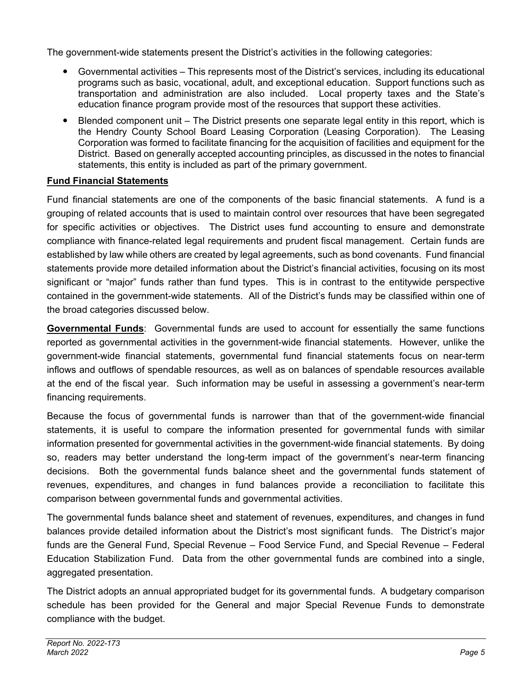The government-wide statements present the District's activities in the following categories:

- Governmental activities This represents most of the District's services, including its educational programs such as basic, vocational, adult, and exceptional education. Support functions such as transportation and administration are also included. Local property taxes and the State's education finance program provide most of the resources that support these activities.
- Blended component unit The District presents one separate legal entity in this report, which is the Hendry County School Board Leasing Corporation (Leasing Corporation). The Leasing Corporation was formed to facilitate financing for the acquisition of facilities and equipment for the District. Based on generally accepted accounting principles, as discussed in the notes to financial statements, this entity is included as part of the primary government.

### **Fund Financial Statements**

Fund financial statements are one of the components of the basic financial statements. A fund is a grouping of related accounts that is used to maintain control over resources that have been segregated for specific activities or objectives. The District uses fund accounting to ensure and demonstrate compliance with finance-related legal requirements and prudent fiscal management. Certain funds are established by law while others are created by legal agreements, such as bond covenants. Fund financial statements provide more detailed information about the District's financial activities, focusing on its most significant or "major" funds rather than fund types. This is in contrast to the entitywide perspective contained in the government-wide statements. All of the District's funds may be classified within one of the broad categories discussed below.

**Governmental Funds**: Governmental funds are used to account for essentially the same functions reported as governmental activities in the government-wide financial statements. However, unlike the government-wide financial statements, governmental fund financial statements focus on near-term inflows and outflows of spendable resources, as well as on balances of spendable resources available at the end of the fiscal year. Such information may be useful in assessing a government's near-term financing requirements.

Because the focus of governmental funds is narrower than that of the government-wide financial statements, it is useful to compare the information presented for governmental funds with similar information presented for governmental activities in the government-wide financial statements. By doing so, readers may better understand the long-term impact of the government's near-term financing decisions. Both the governmental funds balance sheet and the governmental funds statement of revenues, expenditures, and changes in fund balances provide a reconciliation to facilitate this comparison between governmental funds and governmental activities.

The governmental funds balance sheet and statement of revenues, expenditures, and changes in fund balances provide detailed information about the District's most significant funds. The District's major funds are the General Fund, Special Revenue – Food Service Fund, and Special Revenue – Federal Education Stabilization Fund. Data from the other governmental funds are combined into a single, aggregated presentation.

The District adopts an annual appropriated budget for its governmental funds. A budgetary comparison schedule has been provided for the General and major Special Revenue Funds to demonstrate compliance with the budget.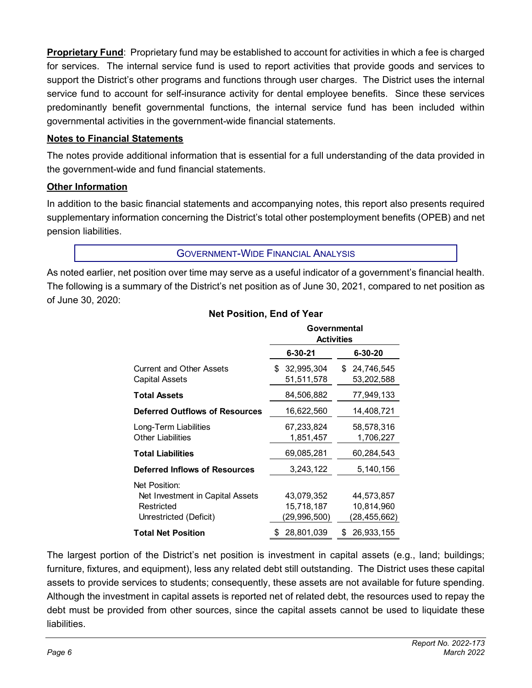**Proprietary Fund**: Proprietary fund may be established to account for activities in which a fee is charged for services. The internal service fund is used to report activities that provide goods and services to support the District's other programs and functions through user charges. The District uses the internal service fund to account for self-insurance activity for dental employee benefits. Since these services predominantly benefit governmental functions, the internal service fund has been included within governmental activities in the government-wide financial statements.

### **Notes to Financial Statements**

The notes provide additional information that is essential for a full understanding of the data provided in the government-wide and fund financial statements.

### **Other Information**

In addition to the basic financial statements and accompanying notes, this report also presents required supplementary information concerning the District's total other postemployment benefits (OPEB) and net pension liabilities.

GOVERNMENT-WIDE FINANCIAL ANALYSIS

As noted earlier, net position over time may serve as a useful indicator of a government's financial health. The following is a summary of the District's net position as of June 30, 2021, compared to net position as of June 30, 2020:

|                                                                                           | Governmental<br><b>Activities</b>          |                                          |  |  |  |
|-------------------------------------------------------------------------------------------|--------------------------------------------|------------------------------------------|--|--|--|
|                                                                                           | 6-30-21                                    | 6-30-20                                  |  |  |  |
| Current and Other Assets<br>Capital Assets                                                | 32,995,304<br>\$<br>51,511,578             | \$24,746,545<br>53,202,588               |  |  |  |
| <b>Total Assets</b>                                                                       | 84,506,882                                 | 77,949,133                               |  |  |  |
| <b>Deferred Outflows of Resources</b>                                                     | 16,622,560                                 | 14,408,721                               |  |  |  |
| Long-Term Liabilities<br><b>Other Liabilities</b>                                         | 67,233,824<br>1,851,457                    | 58,578,316<br>1,706,227                  |  |  |  |
| <b>Total Liabilities</b>                                                                  | 69,085,281                                 | 60,284,543                               |  |  |  |
| <b>Deferred Inflows of Resources</b>                                                      | 3,243,122                                  | 5,140,156                                |  |  |  |
| Net Position:<br>Net Investment in Capital Assets<br>Restricted<br>Unrestricted (Deficit) | 43,079,352<br>15,718,187<br>(29, 996, 500) | 44,573,857<br>10,814,960<br>(28,455,662) |  |  |  |
| <b>Total Net Position</b>                                                                 | 28,801,039<br>\$                           | 26,933,155<br>\$                         |  |  |  |

### **Net Position, End of Year**

The largest portion of the District's net position is investment in capital assets (e.g., land; buildings; furniture, fixtures, and equipment), less any related debt still outstanding. The District uses these capital assets to provide services to students; consequently, these assets are not available for future spending. Although the investment in capital assets is reported net of related debt, the resources used to repay the debt must be provided from other sources, since the capital assets cannot be used to liquidate these liabilities.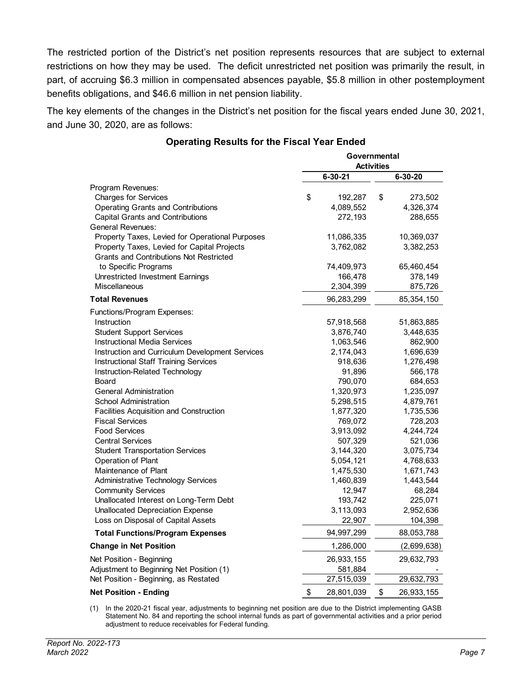The restricted portion of the District's net position represents resources that are subject to external restrictions on how they may be used. The deficit unrestricted net position was primarily the result, in part, of accruing \$6.3 million in compensated absences payable, \$5.8 million in other postemployment benefits obligations, and \$46.6 million in net pension liability.

The key elements of the changes in the District's net position for the fiscal years ended June 30, 2021, and June 30, 2020, are as follows:

| <b>Activities</b><br>$6 - 30 - 21$<br>6-30-20<br>Program Revenues:<br>\$<br><b>Charges for Services</b><br>192,287<br>\$<br>273,502 |  |  |  |
|-------------------------------------------------------------------------------------------------------------------------------------|--|--|--|
|                                                                                                                                     |  |  |  |
|                                                                                                                                     |  |  |  |
|                                                                                                                                     |  |  |  |
| 4,089,552<br>4,326,374<br><b>Operating Grants and Contributions</b>                                                                 |  |  |  |
| <b>Capital Grants and Contributions</b><br>272,193<br>288,655                                                                       |  |  |  |
| <b>General Revenues:</b>                                                                                                            |  |  |  |
| Property Taxes, Levied for Operational Purposes<br>11,086,335<br>10,369,037                                                         |  |  |  |
| Property Taxes, Levied for Capital Projects<br>3,762,082<br>3,382,253                                                               |  |  |  |
| <b>Grants and Contributions Not Restricted</b>                                                                                      |  |  |  |
| to Specific Programs<br>74,409,973<br>65,460,454                                                                                    |  |  |  |
| Unrestricted Investment Earnings<br>166,478<br>378,149                                                                              |  |  |  |
| Miscellaneous<br>2,304,399<br>875,726                                                                                               |  |  |  |
| 96,283,299<br>85,354,150<br><b>Total Revenues</b>                                                                                   |  |  |  |
| Functions/Program Expenses:                                                                                                         |  |  |  |
| Instruction<br>57,918,568<br>51,863,885                                                                                             |  |  |  |
| <b>Student Support Services</b><br>3,876,740<br>3,448,635                                                                           |  |  |  |
| <b>Instructional Media Services</b><br>1,063,546<br>862,900                                                                         |  |  |  |
| Instruction and Curriculum Development Services<br>2,174,043<br>1,696,639                                                           |  |  |  |
| Instructional Staff Training Services<br>918,636<br>1,276,498                                                                       |  |  |  |
| Instruction-Related Technology<br>91,896<br>566,178                                                                                 |  |  |  |
| 790,070<br>Board<br>684,653                                                                                                         |  |  |  |
| <b>General Administration</b><br>1,320,973<br>1,235,097                                                                             |  |  |  |
| <b>School Administration</b><br>5,298,515<br>4,879,761                                                                              |  |  |  |
| Facilities Acquisition and Construction<br>1,877,320<br>1,735,536                                                                   |  |  |  |
| <b>Fiscal Services</b><br>728,203<br>769,072                                                                                        |  |  |  |
| <b>Food Services</b><br>3,913,092<br>4,244,724                                                                                      |  |  |  |
| <b>Central Services</b><br>507,329<br>521,036                                                                                       |  |  |  |
| 3,144,320<br><b>Student Transportation Services</b><br>3,075,734                                                                    |  |  |  |
| Operation of Plant<br>5,054,121<br>4,768,633                                                                                        |  |  |  |
| Maintenance of Plant<br>1,475,530<br>1,671,743                                                                                      |  |  |  |
| 1,443,544<br>Administrative Technology Services<br>1,460,839                                                                        |  |  |  |
| <b>Community Services</b><br>12,947<br>68,284<br>Unallocated Interest on Long-Term Debt<br>193,742<br>225,071                       |  |  |  |
| 3,113,093<br><b>Unallocated Depreciation Expense</b><br>2,952,636                                                                   |  |  |  |
| Loss on Disposal of Capital Assets<br>22,907<br>104,398                                                                             |  |  |  |
| 94,997,299<br>88,053,788<br><b>Total Functions/Program Expenses</b>                                                                 |  |  |  |
|                                                                                                                                     |  |  |  |
| <b>Change in Net Position</b><br>1,286,000<br>(2,699,638)                                                                           |  |  |  |
| 26,933,155<br>29,632,793<br>Net Position - Beginning                                                                                |  |  |  |
| Adjustment to Beginning Net Position (1)<br>581,884<br>Net Position - Beginning, as Restated<br>27,515,039<br>29,632,793            |  |  |  |
| \$<br>\$<br>28,801,039<br>26,933,155<br><b>Net Position - Ending</b>                                                                |  |  |  |

### **Operating Results for the Fiscal Year Ended**

(1) In the 2020-21 fiscal year, adjustments to beginning net position are due to the District implementing GASB Statement No. 84 and reporting the school internal funds as part of governmental activities and a prior period adjustment to reduce receivables for Federal funding.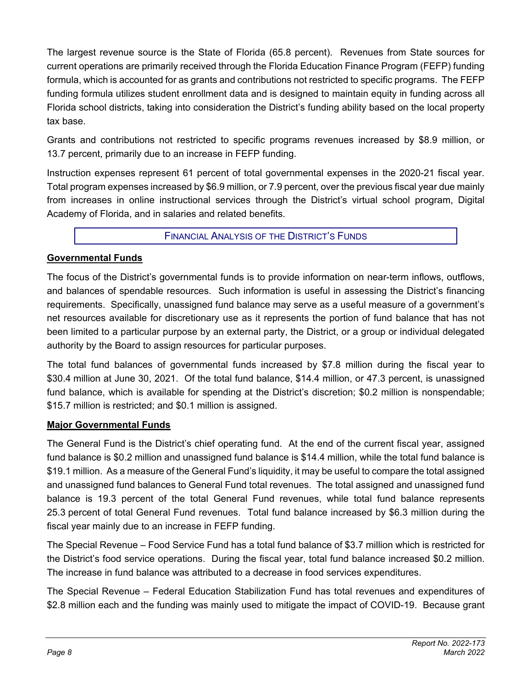The largest revenue source is the State of Florida (65.8 percent). Revenues from State sources for current operations are primarily received through the Florida Education Finance Program (FEFP) funding formula, which is accounted for as grants and contributions not restricted to specific programs. The FEFP funding formula utilizes student enrollment data and is designed to maintain equity in funding across all Florida school districts, taking into consideration the District's funding ability based on the local property tax base.

Grants and contributions not restricted to specific programs revenues increased by \$8.9 million, or 13.7 percent, primarily due to an increase in FEFP funding.

Instruction expenses represent 61 percent of total governmental expenses in the 2020-21 fiscal year. Total program expenses increased by \$6.9 million, or 7.9 percent, over the previous fiscal year due mainly from increases in online instructional services through the District's virtual school program, Digital Academy of Florida, and in salaries and related benefits.

### FINANCIAL ANALYSIS OF THE DISTRICT'S FUNDS

### **Governmental Funds**

The focus of the District's governmental funds is to provide information on near-term inflows, outflows, and balances of spendable resources. Such information is useful in assessing the District's financing requirements. Specifically, unassigned fund balance may serve as a useful measure of a government's net resources available for discretionary use as it represents the portion of fund balance that has not been limited to a particular purpose by an external party, the District, or a group or individual delegated authority by the Board to assign resources for particular purposes.

The total fund balances of governmental funds increased by \$7.8 million during the fiscal year to \$30.4 million at June 30, 2021. Of the total fund balance, \$14.4 million, or 47.3 percent, is unassigned fund balance, which is available for spending at the District's discretion; \$0.2 million is nonspendable; \$15.7 million is restricted; and \$0.1 million is assigned.

### **Major Governmental Funds**

The General Fund is the District's chief operating fund. At the end of the current fiscal year, assigned fund balance is \$0.2 million and unassigned fund balance is \$14.4 million, while the total fund balance is \$19.1 million. As a measure of the General Fund's liquidity, it may be useful to compare the total assigned and unassigned fund balances to General Fund total revenues. The total assigned and unassigned fund balance is 19.3 percent of the total General Fund revenues, while total fund balance represents 25.3 percent of total General Fund revenues. Total fund balance increased by \$6.3 million during the fiscal year mainly due to an increase in FEFP funding.

The Special Revenue – Food Service Fund has a total fund balance of \$3.7 million which is restricted for the District's food service operations. During the fiscal year, total fund balance increased \$0.2 million. The increase in fund balance was attributed to a decrease in food services expenditures.

The Special Revenue – Federal Education Stabilization Fund has total revenues and expenditures of \$2.8 million each and the funding was mainly used to mitigate the impact of COVID-19. Because grant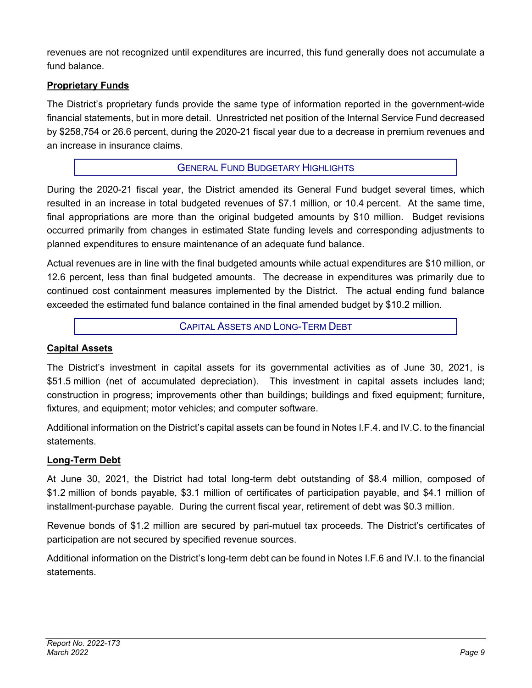revenues are not recognized until expenditures are incurred, this fund generally does not accumulate a fund balance.

### **Proprietary Funds**

The District's proprietary funds provide the same type of information reported in the government-wide financial statements, but in more detail. Unrestricted net position of the Internal Service Fund decreased by \$258,754 or 26.6 percent, during the 2020-21 fiscal year due to a decrease in premium revenues and an increase in insurance claims.

### GENERAL FUND BUDGETARY HIGHLIGHTS

During the 2020-21 fiscal year, the District amended its General Fund budget several times, which resulted in an increase in total budgeted revenues of \$7.1 million, or 10.4 percent. At the same time, final appropriations are more than the original budgeted amounts by \$10 million. Budget revisions occurred primarily from changes in estimated State funding levels and corresponding adjustments to planned expenditures to ensure maintenance of an adequate fund balance.

Actual revenues are in line with the final budgeted amounts while actual expenditures are \$10 million, or 12.6 percent, less than final budgeted amounts. The decrease in expenditures was primarily due to continued cost containment measures implemented by the District. The actual ending fund balance exceeded the estimated fund balance contained in the final amended budget by \$10.2 million.

### CAPITAL ASSETS AND LONG-TERM DEBT

### **Capital Assets**

The District's investment in capital assets for its governmental activities as of June 30, 2021, is \$51.5 million (net of accumulated depreciation). This investment in capital assets includes land; construction in progress; improvements other than buildings; buildings and fixed equipment; furniture, fixtures, and equipment; motor vehicles; and computer software.

Additional information on the District's capital assets can be found in Notes I.F.4. and IV.C. to the financial statements.

### **Long-Term Debt**

At June 30, 2021, the District had total long-term debt outstanding of \$8.4 million, composed of \$1.2 million of bonds payable, \$3.1 million of certificates of participation payable, and \$4.1 million of installment-purchase payable. During the current fiscal year, retirement of debt was \$0.3 million.

Revenue bonds of \$1.2 million are secured by pari-mutuel tax proceeds. The District's certificates of participation are not secured by specified revenue sources.

Additional information on the District's long-term debt can be found in Notes I.F.6 and IV.I. to the financial statements.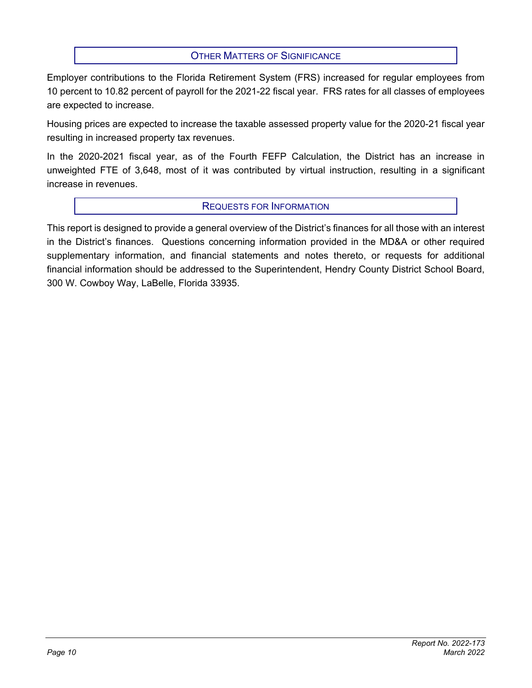### OTHER MATTERS OF SIGNIFICANCE

Employer contributions to the Florida Retirement System (FRS) increased for regular employees from 10 percent to 10.82 percent of payroll for the 2021-22 fiscal year. FRS rates for all classes of employees are expected to increase.

Housing prices are expected to increase the taxable assessed property value for the 2020-21 fiscal year resulting in increased property tax revenues.

In the 2020-2021 fiscal year, as of the Fourth FEFP Calculation, the District has an increase in unweighted FTE of 3,648, most of it was contributed by virtual instruction, resulting in a significant increase in revenues.

#### REQUESTS FOR INFORMATION

This report is designed to provide a general overview of the District's finances for all those with an interest in the District's finances. Questions concerning information provided in the MD&A or other required supplementary information, and financial statements and notes thereto, or requests for additional financial information should be addressed to the Superintendent, Hendry County District School Board, 300 W. Cowboy Way, LaBelle, Florida 33935.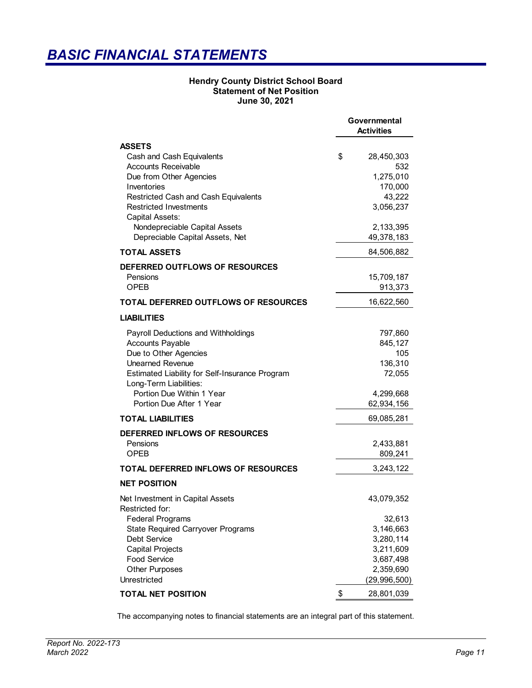## <span id="page-16-0"></span>*BASIC FINANCIAL STATEMENTS*

#### **Hendry County District School Board Statement of Net Position June 30, 2021**

|                                                       | Governmental<br><b>Activities</b> |
|-------------------------------------------------------|-----------------------------------|
| <b>ASSETS</b>                                         |                                   |
| Cash and Cash Equivalents                             | \$<br>28,450,303                  |
| <b>Accounts Receivable</b>                            | 532                               |
| Due from Other Agencies                               | 1,275,010                         |
| Inventories                                           | 170,000                           |
| Restricted Cash and Cash Equivalents                  | 43,222                            |
| Restricted Investments                                | 3,056,237                         |
| Capital Assets:<br>Nondepreciable Capital Assets      | 2,133,395                         |
| Depreciable Capital Assets, Net                       | 49,378,183                        |
| <b>TOTAL ASSETS</b>                                   | 84,506,882                        |
| DEFERRED OUTFLOWS OF RESOURCES                        |                                   |
| Pensions                                              | 15,709,187                        |
| <b>OPEB</b>                                           | 913,373                           |
| TOTAL DEFERRED OUTFLOWS OF RESOURCES                  | 16,622,560                        |
| <b>LIABILITIES</b>                                    |                                   |
| Payroll Deductions and Withholdings                   | 797,860                           |
| <b>Accounts Payable</b>                               | 845,127                           |
| Due to Other Agencies                                 | 105                               |
| <b>Unearned Revenue</b>                               | 136,310                           |
| Estimated Liability for Self-Insurance Program        | 72,055                            |
| Long-Term Liabilities:                                |                                   |
| Portion Due Within 1 Year<br>Portion Due After 1 Year | 4,299,668                         |
| <b>TOTAL LIABILITIES</b>                              | 62,934,156                        |
|                                                       | 69,085,281                        |
| DEFERRED INFLOWS OF RESOURCES                         |                                   |
| Pensions                                              | 2,433,881                         |
| <b>OPEB</b>                                           | 809,241                           |
| <b>TOTAL DEFERRED INFLOWS OF RESOURCES</b>            | 3,243,122                         |
| <b>NET POSITION</b>                                   |                                   |
| Net Investment in Capital Assets<br>Restricted for:   | 43,079,352                        |
| <b>Federal Programs</b>                               | 32,613                            |
| <b>State Required Carryover Programs</b>              | 3,146,663                         |
| <b>Debt Service</b>                                   | 3,280,114                         |
| <b>Capital Projects</b>                               | 3,211,609                         |
| <b>Food Service</b>                                   | 3,687,498                         |
| Other Purposes<br>Unrestricted                        | 2,359,690                         |
|                                                       | (29,996,500)                      |
| <b>TOTAL NET POSITION</b>                             | \$<br>28,801,039                  |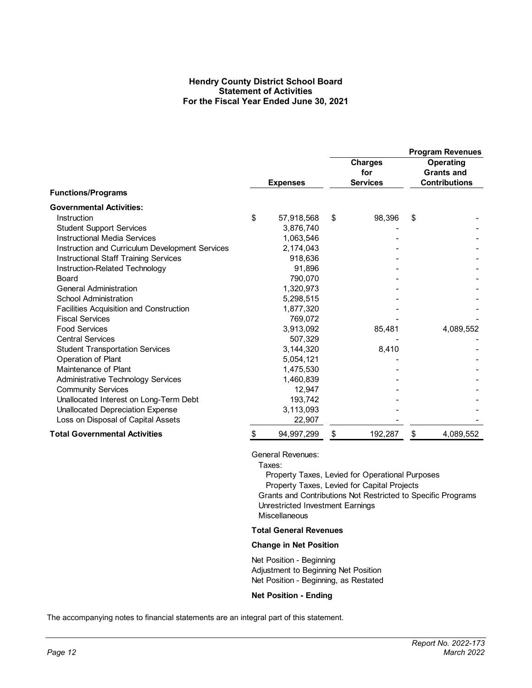#### **Hendry County District School Board Statement of Activities For the Fiscal Year Ended June 30, 2021**

<span id="page-17-0"></span>

|                                                 |    |                 |    |                 |    | <b>Program Revenues</b> |  |
|-------------------------------------------------|----|-----------------|----|-----------------|----|-------------------------|--|
|                                                 |    |                 |    | <b>Charges</b>  |    | <b>Operating</b>        |  |
|                                                 |    |                 |    | for             |    | <b>Grants and</b>       |  |
|                                                 |    | <b>Expenses</b> |    | <b>Services</b> |    | <b>Contributions</b>    |  |
| <b>Functions/Programs</b>                       |    |                 |    |                 |    |                         |  |
| <b>Governmental Activities:</b>                 |    |                 |    |                 |    |                         |  |
| Instruction                                     | \$ | 57,918,568      | \$ | 98,396          | \$ |                         |  |
| <b>Student Support Services</b>                 |    | 3,876,740       |    |                 |    |                         |  |
| <b>Instructional Media Services</b>             |    | 1,063,546       |    |                 |    |                         |  |
| Instruction and Curriculum Development Services |    | 2,174,043       |    |                 |    |                         |  |
| <b>Instructional Staff Training Services</b>    |    | 918,636         |    |                 |    |                         |  |
| Instruction-Related Technology                  |    | 91,896          |    |                 |    |                         |  |
| Board                                           |    | 790.070         |    |                 |    |                         |  |
| <b>General Administration</b>                   |    | 1,320,973       |    |                 |    |                         |  |
| <b>School Administration</b>                    |    | 5,298,515       |    |                 |    |                         |  |
| Facilities Acquisition and Construction         |    | 1,877,320       |    |                 |    |                         |  |
| <b>Fiscal Services</b>                          |    | 769,072         |    |                 |    |                         |  |
| <b>Food Services</b>                            |    | 3,913,092       |    | 85,481          |    | 4,089,552               |  |
| <b>Central Services</b>                         |    | 507,329         |    |                 |    |                         |  |
| <b>Student Transportation Services</b>          |    | 3,144,320       |    | 8,410           |    |                         |  |
| Operation of Plant                              |    | 5,054,121       |    |                 |    |                         |  |
| Maintenance of Plant                            |    | 1,475,530       |    |                 |    |                         |  |
| Administrative Technology Services              |    | 1,460,839       |    |                 |    |                         |  |
| <b>Community Services</b>                       |    | 12,947          |    |                 |    |                         |  |
| Unallocated Interest on Long-Term Debt          |    | 193,742         |    |                 |    |                         |  |
| <b>Unallocated Depreciation Expense</b>         |    | 3,113,093       |    |                 |    |                         |  |
| Loss on Disposal of Capital Assets              |    | 22,907          |    |                 |    |                         |  |
| <b>Total Governmental Activities</b>            | \$ | 94,997,299      | \$ | 192,287         | \$ | 4,089,552               |  |

General Revenues:

Taxes:

 Property Taxes, Levied for Operational Purposes Property Taxes, Levied for Capital Projects Grants and Contributions Not Restricted to Specific Programs Unrestricted Investment Earnings Miscellaneous

#### **Total General Revenues**

#### **Change in Net Position**

Net Position - Beginning Adjustment to Beginning Net Position Net Position - Beginning, as Restated

#### **Net Position - Ending**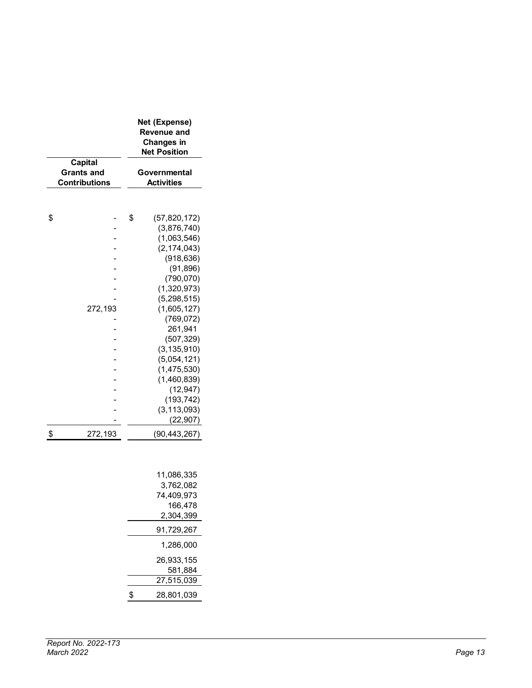|                                                      | Net (Expense)<br>Revenue and<br><b>Changes in</b><br><b>Net Position</b> |
|------------------------------------------------------|--------------------------------------------------------------------------|
| Capital<br><b>Grants and</b><br><b>Contributions</b> | Governmental<br><b>Activities</b>                                        |
|                                                      |                                                                          |
| \$                                                   | \$<br>(57, 820, 172)                                                     |
|                                                      | (3,876,740)                                                              |
|                                                      | (1,063,546)                                                              |
|                                                      | (2, 174, 043)<br>(918, 636)                                              |
|                                                      | (91, 896)                                                                |
|                                                      | (790, 070)                                                               |
|                                                      | (1,320,973)                                                              |
|                                                      | (5, 298, 515)                                                            |
| 272,193                                              | (1,605,127)                                                              |
|                                                      | (769, 072)                                                               |
|                                                      | 261,941                                                                  |
|                                                      | (507, 329)                                                               |
|                                                      | (3, 135, 910)                                                            |
|                                                      | (5,054,121)                                                              |
|                                                      | (1, 475, 530)                                                            |
|                                                      | (1,460,839)                                                              |
|                                                      | (12, 947)<br>(193, 742)                                                  |
|                                                      | (3, 113, 093)                                                            |
|                                                      | (22, 907)                                                                |
|                                                      |                                                                          |
| \$<br>272,193                                        | (90, 443, 267)                                                           |
|                                                      | 11,086,335                                                               |
|                                                      | 3,762,082                                                                |
|                                                      | 74,409,973<br>166,478                                                    |
|                                                      | 2,304,399                                                                |
|                                                      | 91,729,267                                                               |
|                                                      | 1,286,000                                                                |
|                                                      |                                                                          |
|                                                      | 26,933,155                                                               |

581,884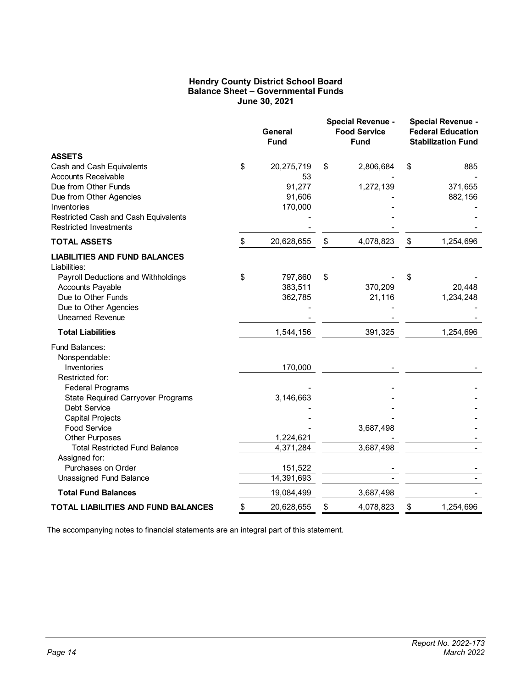#### **Hendry County District School Board Balance Sheet – Governmental Funds June 30, 2021**

<span id="page-19-0"></span>

|                                                              |    | <b>General</b><br><b>Fund</b> |    | <b>Special Revenue -</b><br><b>Food Service</b><br><b>Fund</b> |                   | <b>Special Revenue -</b><br><b>Federal Education</b><br><b>Stabilization Fund</b> |  |
|--------------------------------------------------------------|----|-------------------------------|----|----------------------------------------------------------------|-------------------|-----------------------------------------------------------------------------------|--|
| <b>ASSETS</b>                                                |    |                               |    |                                                                |                   |                                                                                   |  |
| Cash and Cash Equivalents                                    | \$ | 20,275,719                    | \$ | 2,806,684                                                      | \$                | 885                                                                               |  |
| <b>Accounts Receivable</b>                                   |    | 53                            |    |                                                                |                   |                                                                                   |  |
| Due from Other Funds<br>Due from Other Agencies              |    | 91,277<br>91,606              |    | 1,272,139                                                      |                   | 371,655<br>882,156                                                                |  |
| Inventories                                                  |    | 170,000                       |    |                                                                |                   |                                                                                   |  |
| Restricted Cash and Cash Equivalents                         |    |                               |    |                                                                |                   |                                                                                   |  |
| <b>Restricted Investments</b>                                |    |                               |    |                                                                |                   |                                                                                   |  |
| <b>TOTAL ASSETS</b>                                          | \$ | 20,628,655                    | \$ | 4,078,823                                                      | $\boldsymbol{\$}$ | 1,254,696                                                                         |  |
| <b>LIABILITIES AND FUND BALANCES</b><br>Liabilities:         |    |                               |    |                                                                |                   |                                                                                   |  |
| Payroll Deductions and Withholdings                          | \$ | 797,860                       | \$ |                                                                | \$                |                                                                                   |  |
| <b>Accounts Payable</b>                                      |    | 383,511                       |    | 370,209                                                        |                   | 20,448                                                                            |  |
| Due to Other Funds                                           |    | 362,785                       |    | 21,116                                                         |                   | 1,234,248                                                                         |  |
| Due to Other Agencies<br><b>Unearned Revenue</b>             |    |                               |    |                                                                |                   |                                                                                   |  |
| <b>Total Liabilities</b>                                     |    | 1,544,156                     |    | 391,325                                                        |                   | 1,254,696                                                                         |  |
| Fund Balances:                                               |    |                               |    |                                                                |                   |                                                                                   |  |
| Nonspendable:                                                |    |                               |    |                                                                |                   |                                                                                   |  |
| Inventories                                                  |    | 170,000                       |    |                                                                |                   |                                                                                   |  |
| Restricted for:                                              |    |                               |    |                                                                |                   |                                                                                   |  |
| Federal Programs<br><b>State Required Carryover Programs</b> |    | 3,146,663                     |    |                                                                |                   |                                                                                   |  |
| Debt Service                                                 |    |                               |    |                                                                |                   |                                                                                   |  |
| <b>Capital Projects</b>                                      |    |                               |    |                                                                |                   |                                                                                   |  |
| Food Service                                                 |    |                               |    | 3,687,498                                                      |                   |                                                                                   |  |
| <b>Other Purposes</b>                                        |    | 1,224,621                     |    |                                                                |                   |                                                                                   |  |
| <b>Total Restricted Fund Balance</b><br>Assigned for:        |    | 4,371,284                     |    | 3,687,498                                                      |                   |                                                                                   |  |
| Purchases on Order                                           |    | 151,522                       |    |                                                                |                   |                                                                                   |  |
| <b>Unassigned Fund Balance</b>                               |    | 14,391,693                    |    |                                                                |                   |                                                                                   |  |
| <b>Total Fund Balances</b>                                   |    | 19,084,499                    |    | 3,687,498                                                      |                   |                                                                                   |  |
| TOTAL LIABILITIES AND FUND BALANCES                          | \$ | 20,628,655                    | \$ | 4,078,823                                                      | \$                | 1,254,696                                                                         |  |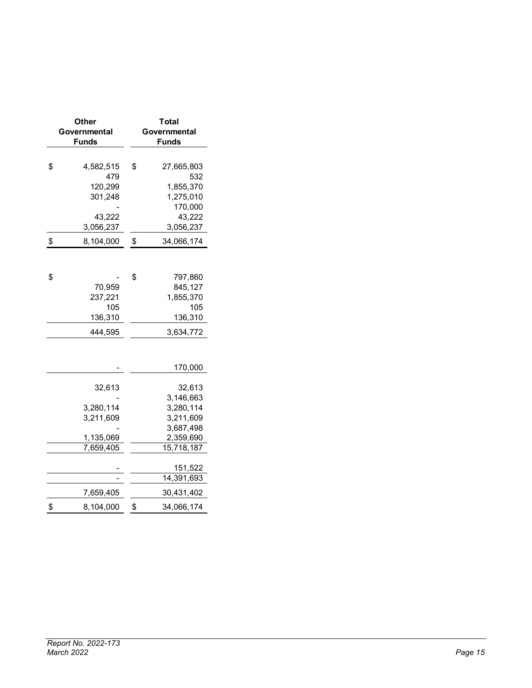|                | Other<br>Governmental<br><b>Funds</b> | Total<br>Governmental<br><b>Funds</b> |
|----------------|---------------------------------------|---------------------------------------|
|                |                                       |                                       |
| \$             | 4,582,515<br>479                      | \$<br>27,665,803<br>532               |
|                | 120,299                               | 1,855,370                             |
|                | 301,248                               | 1,275,010                             |
|                |                                       | 170,000                               |
|                | 43,222                                | 43,222                                |
|                | 3,056,237                             | 3,056,237                             |
| $\mathfrak{S}$ | 8,104,000                             | \$<br>34,066,174                      |
|                |                                       |                                       |
| \$             |                                       | \$<br>797,860                         |
|                | 70,959                                | 845,127                               |
|                | 237,221                               | 1,855,370                             |
|                | 105                                   | 105                                   |
|                | 136,310                               | 136,310                               |
|                | 444,595                               | 3,634,772                             |
|                |                                       | 170,000                               |
|                |                                       |                                       |
|                | 32,613                                | 32,613                                |
|                |                                       | 3,146,663                             |
|                | 3,280,114<br>3,211,609                | 3,280,114                             |
|                |                                       | 3,211,609<br>3,687,498                |
|                | 1,135,069                             | 2,359,690                             |
|                | 7,659,405                             | 15,718,187                            |
|                |                                       |                                       |
|                |                                       | 151,522                               |
|                |                                       | 14,391,693                            |
|                | 7,659,405                             | 30,431,402                            |
| \$             | 8,104,000                             | \$<br>34,066,174                      |

I.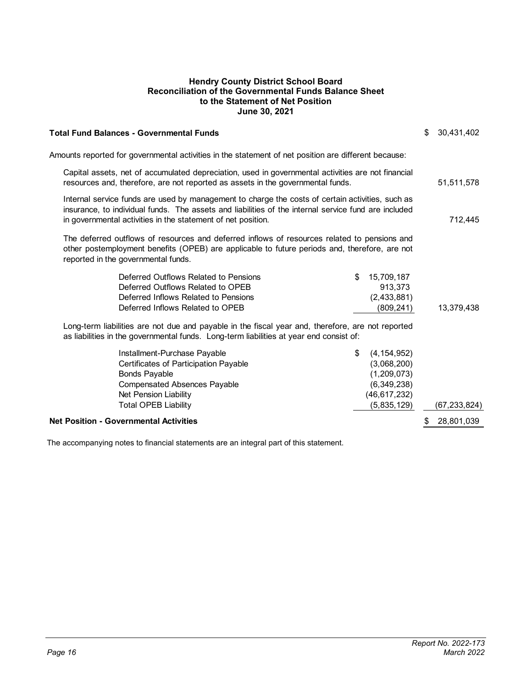#### **Hendry County District School Board Reconciliation of the Governmental Funds Balance Sheet to the Statement of Net Position June 30, 2021**

<span id="page-21-0"></span>

| <b>Total Fund Balances - Governmental Funds</b>                                                                                                                                                                                                                                                   | \$ | 30,431,402   |
|---------------------------------------------------------------------------------------------------------------------------------------------------------------------------------------------------------------------------------------------------------------------------------------------------|----|--------------|
| Amounts reported for governmental activities in the statement of net position are different because:                                                                                                                                                                                              |    |              |
| Capital assets, net of accumulated depreciation, used in governmental activities are not financial<br>resources and, therefore, are not reported as assets in the governmental funds.                                                                                                             |    | 51,511,578   |
| Internal service funds are used by management to charge the costs of certain activities, such as<br>insurance, to individual funds. The assets and liabilities of the internal service fund are included<br>in governmental activities in the statement of net position.                          |    | 712,445      |
| The deferred outflows of resources and deferred inflows of resources related to pensions and<br>other postemployment benefits (OPEB) are applicable to future periods and, therefore, are not<br>reported in the governmental funds.                                                              |    |              |
| Deferred Outflows Related to Pensions<br>\$<br>15,709,187<br>Deferred Outflows Related to OPEB<br>913,373<br>(2,433,881)<br>Deferred Inflows Related to Pensions<br>Deferred Inflows Related to OPEB<br>(809,241)                                                                                 |    | 13,379,438   |
| Long-term liabilities are not due and payable in the fiscal year and, therefore, are not reported<br>as liabilities in the governmental funds. Long-term liabilities at year end consist of:                                                                                                      |    |              |
| Installment-Purchase Payable<br>(4, 154, 952)<br>\$<br>Certificates of Participation Payable<br>(3,068,200)<br><b>Bonds Payable</b><br>(1,209,073)<br><b>Compensated Absences Payable</b><br>(6,349,238)<br>Net Pension Liability<br>(46, 617, 232)<br><b>Total OPEB Liability</b><br>(5,835,129) |    | (67,233,824) |
| <b>Net Position - Governmental Activities</b>                                                                                                                                                                                                                                                     | S. | 28,801,039   |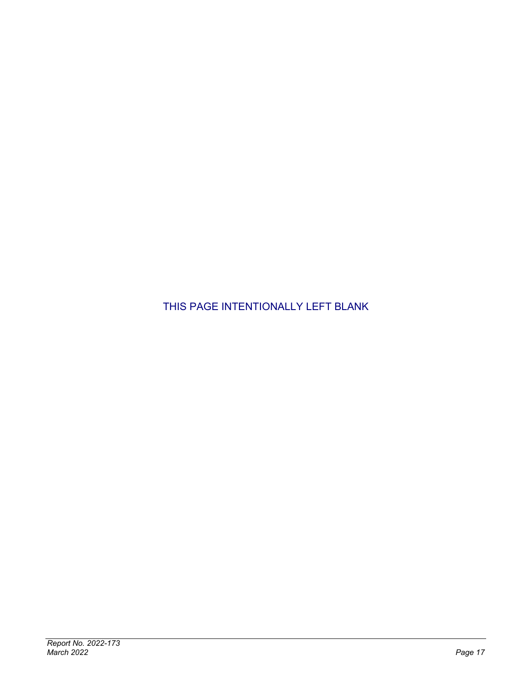THIS PAGE INTENTIONALLY LEFT BLANK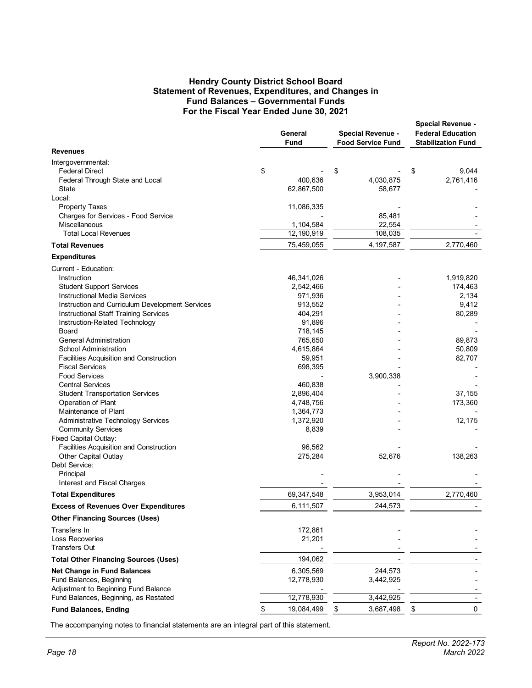#### **Hendry County District School Board Statement of Revenues, Expenditures, and Changes in Fund Balances – Governmental Funds For the Fiscal Year Ended June 30, 2021**

<span id="page-23-0"></span>

|                                                 | General<br>Fund  | <b>Special Revenue -</b><br><b>Food Service Fund</b> | <b>Special Revenue -</b><br><b>Federal Education</b><br><b>Stabilization Fund</b> |
|-------------------------------------------------|------------------|------------------------------------------------------|-----------------------------------------------------------------------------------|
| <b>Revenues</b>                                 |                  |                                                      |                                                                                   |
| Intergovernmental:                              |                  |                                                      |                                                                                   |
| <b>Federal Direct</b>                           | \$               | \$                                                   | 9,044<br>\$                                                                       |
| Federal Through State and Local                 | 400,636          | 4,030,875                                            | 2,761,416                                                                         |
| State                                           | 62,867,500       | 58,677                                               |                                                                                   |
| Local:                                          |                  |                                                      |                                                                                   |
| <b>Property Taxes</b>                           | 11,086,335       |                                                      |                                                                                   |
| Charges for Services - Food Service             |                  | 85,481                                               |                                                                                   |
| <b>Miscellaneous</b>                            | 1,104,584        | 22,554                                               |                                                                                   |
| <b>Total Local Revenues</b>                     | 12,190,919       | 108,035                                              |                                                                                   |
| <b>Total Revenues</b>                           | 75,459,055       | 4, 197, 587                                          | 2,770,460                                                                         |
| <b>Expenditures</b>                             |                  |                                                      |                                                                                   |
| Current - Education:                            |                  |                                                      |                                                                                   |
| Instruction                                     | 46,341,026       |                                                      | 1,919,820                                                                         |
| <b>Student Support Services</b>                 | 2,542,466        |                                                      | 174,463                                                                           |
| <b>Instructional Media Services</b>             | 971,936          |                                                      | 2,134                                                                             |
| Instruction and Curriculum Development Services | 913,552          |                                                      | 9,412                                                                             |
| <b>Instructional Staff Training Services</b>    | 404,291          |                                                      | 80,289                                                                            |
| Instruction-Related Technology                  | 91,896           |                                                      |                                                                                   |
| Board                                           | 718,145          |                                                      |                                                                                   |
| <b>General Administration</b>                   | 765,650          |                                                      | 89,873                                                                            |
| <b>School Administration</b>                    | 4,615,864        |                                                      | 50,809                                                                            |
| <b>Facilities Acquisition and Construction</b>  | 59,951           |                                                      | 82,707                                                                            |
| <b>Fiscal Services</b><br><b>Food Services</b>  | 698,395          |                                                      |                                                                                   |
| <b>Central Services</b>                         | 460,838          | 3,900,338                                            |                                                                                   |
| <b>Student Transportation Services</b>          | 2,896,404        |                                                      | 37,155                                                                            |
| Operation of Plant                              | 4,748,756        |                                                      | 173,360                                                                           |
| Maintenance of Plant                            | 1,364,773        |                                                      |                                                                                   |
| Administrative Technology Services              | 1,372,920        |                                                      | 12,175                                                                            |
| <b>Community Services</b>                       | 8,839            |                                                      |                                                                                   |
| Fixed Capital Outlay:                           |                  |                                                      |                                                                                   |
| Facilities Acquisition and Construction         | 96,562           |                                                      |                                                                                   |
| Other Capital Outlay                            | 275,284          | 52,676                                               | 138,263                                                                           |
| Debt Service:                                   |                  |                                                      |                                                                                   |
| Principal                                       |                  |                                                      |                                                                                   |
| Interest and Fiscal Charges                     |                  |                                                      |                                                                                   |
| <b>Total Expenditures</b>                       | 69,347,548       | 3,953,014                                            | 2,770,460                                                                         |
| <b>Excess of Revenues Over Expenditures</b>     | 6,111,507        | 244,573                                              |                                                                                   |
| <b>Other Financing Sources (Uses)</b>           |                  |                                                      |                                                                                   |
| Transfers In                                    | 172,861          |                                                      |                                                                                   |
| Loss Recoveries                                 | 21,201           |                                                      |                                                                                   |
| <b>Transfers Out</b>                            |                  |                                                      |                                                                                   |
| <b>Total Other Financing Sources (Uses)</b>     | 194,062          |                                                      |                                                                                   |
| <b>Net Change in Fund Balances</b>              | 6,305,569        | 244,573                                              |                                                                                   |
| Fund Balances, Beginning                        | 12,778,930       | 3,442,925                                            |                                                                                   |
| Adjustment to Beginning Fund Balance            |                  |                                                      |                                                                                   |
| Fund Balances, Beginning, as Restated           | 12,778,930       | 3,442,925                                            | $\overline{\phantom{a}}$                                                          |
| <b>Fund Balances, Ending</b>                    | \$<br>19,084,499 | $\boldsymbol{\mathsf{S}}$<br>3,687,498               | \$<br>0                                                                           |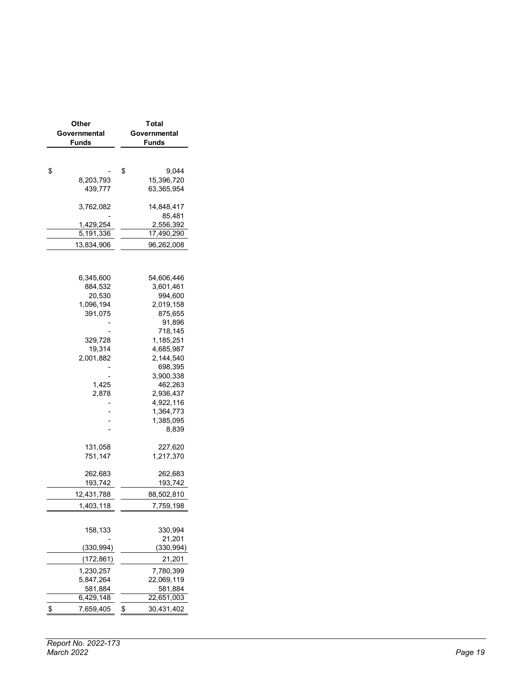| Other<br>Governmental<br><b>Funds</b>                  | Total<br>Governmental<br><b>Funds</b>                                           |
|--------------------------------------------------------|---------------------------------------------------------------------------------|
| \$<br>8,203,793<br>439,777                             | \$<br>9,044<br>15,396,720<br>63,365,954                                         |
| 3,762,082<br>1,429,254<br>5,191,336<br>13,834,906      | 14,848,417<br>85,481<br>2,556,392<br>17,490,290<br>96,262,008                   |
| 6,345,600<br>884,532<br>20,530<br>1,096,194<br>391,075 | 54,606,446<br>3,601,461<br>994,600<br>2,019,158<br>875,655<br>91,896<br>718,145 |
| 329,728<br>19,314<br>2,001,882<br>1,425                | 1,185,251<br>4,685,987<br>2,144,540<br>698,395<br>3,900,338<br>462,263          |
| 2,878                                                  | 2,936,437<br>4,922,116<br>1,364,773<br>1,385,095<br>8,839                       |
| 131,058<br>751,147<br>262,683                          | 227,620<br>1,217,370<br>262,683                                                 |
| 193,742<br>12,431,788<br>1,403,118                     | 193,742<br>88,502,810<br>7,759,198                                              |
| 158,133<br>(330, 994)                                  | 330,994<br>21,201<br>(330,994)                                                  |
| (172,861)<br>1,230,257<br>5,847,264<br>581,884         | 21,201<br>7,780,399<br>22,069,119<br>581,884                                    |
| \$<br>6,429,148<br>7,659,405                           | \$<br>22,651,003<br>30,431,402                                                  |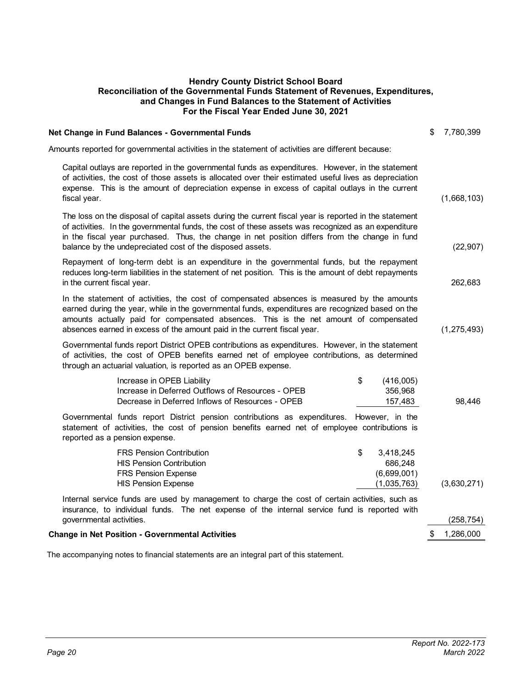#### <span id="page-25-0"></span>**Hendry County District School Board Reconciliation of the Governmental Funds Statement of Revenues, Expenditures, and Changes in Fund Balances to the Statement of Activities For the Fiscal Year Ended June 30, 2021**

| Net Change in Fund Balances - Governmental Funds                                                                                                                                                                                                                                                                                                                             | \$<br>7,780,399 |
|------------------------------------------------------------------------------------------------------------------------------------------------------------------------------------------------------------------------------------------------------------------------------------------------------------------------------------------------------------------------------|-----------------|
| Amounts reported for governmental activities in the statement of activities are different because:                                                                                                                                                                                                                                                                           |                 |
| Capital outlays are reported in the governmental funds as expenditures. However, in the statement<br>of activities, the cost of those assets is allocated over their estimated useful lives as depreciation<br>expense. This is the amount of depreciation expense in excess of capital outlays in the current<br>fiscal year.                                               | (1,668,103)     |
| The loss on the disposal of capital assets during the current fiscal year is reported in the statement<br>of activities. In the governmental funds, the cost of these assets was recognized as an expenditure<br>in the fiscal year purchased. Thus, the change in net position differs from the change in fund<br>balance by the undepreciated cost of the disposed assets. | (22, 907)       |
| Repayment of long-term debt is an expenditure in the governmental funds, but the repayment<br>reduces long-term liabilities in the statement of net position. This is the amount of debt repayments<br>in the current fiscal year.                                                                                                                                           | 262,683         |
| In the statement of activities, the cost of compensated absences is measured by the amounts<br>earned during the year, while in the governmental funds, expenditures are recognized based on the<br>amounts actually paid for compensated absences. This is the net amount of compensated<br>absences earned in excess of the amount paid in the current fiscal year.        | (1, 275, 493)   |
| Governmental funds report District OPEB contributions as expenditures. However, in the statement<br>of activities, the cost of OPEB benefits earned net of employee contributions, as determined<br>through an actuarial valuation, is reported as an OPEB expense.                                                                                                          |                 |
| Increase in OPEB Liability<br>\$<br>(416,005)<br>Increase in Deferred Outflows of Resources - OPEB<br>356,968<br>Decrease in Deferred Inflows of Resources - OPEB<br>157,483                                                                                                                                                                                                 | 98,446          |
| Governmental funds report District pension contributions as expenditures. However, in the<br>statement of activities, the cost of pension benefits earned net of employee contributions is<br>reported as a pension expense.                                                                                                                                                 |                 |
| \$<br><b>FRS Pension Contribution</b><br>3,418,245<br>686,248<br><b>HIS Pension Contribution</b><br>(6,699,001)<br><b>FRS Pension Expense</b><br>(1,035,763)<br><b>HIS Pension Expense</b>                                                                                                                                                                                   | (3,630,271)     |
| Internal service funds are used by management to charge the cost of certain activities, such as<br>insurance, to individual funds. The net expense of the internal service fund is reported with<br>governmental activities.                                                                                                                                                 | (258, 754)      |
| <b>Change in Net Position - Governmental Activities</b>                                                                                                                                                                                                                                                                                                                      | \$<br>1,286,000 |
|                                                                                                                                                                                                                                                                                                                                                                              |                 |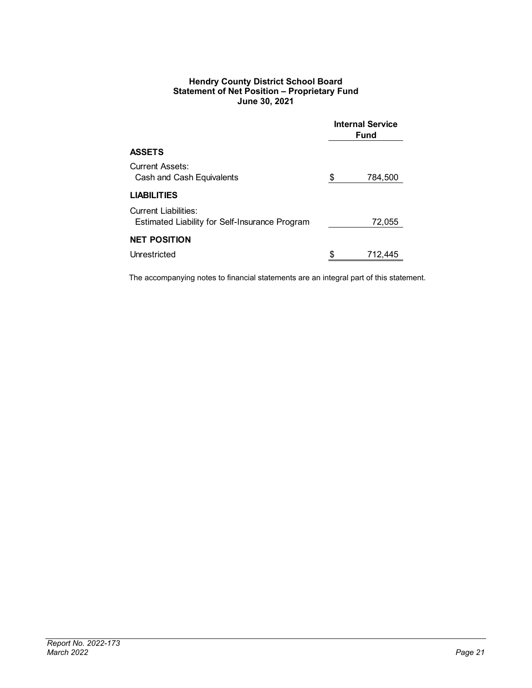#### **Hendry County District School Board Statement of Net Position – Proprietary Fund June 30, 2021**

<span id="page-26-0"></span>

|                                                                                      | <b>Internal Service</b><br><b>Fund</b> |         |
|--------------------------------------------------------------------------------------|----------------------------------------|---------|
| <b>ASSETS</b>                                                                        |                                        |         |
| Current Assets:<br>Cash and Cash Equivalents                                         | S                                      | 784,500 |
| <b>LIABILITIES</b>                                                                   |                                        |         |
| <b>Current Liabilities:</b><br><b>Estimated Liability for Self-Insurance Program</b> |                                        | 72,055  |
| <b>NET POSITION</b>                                                                  |                                        |         |
| Unrestricted                                                                         | \$                                     | 712,445 |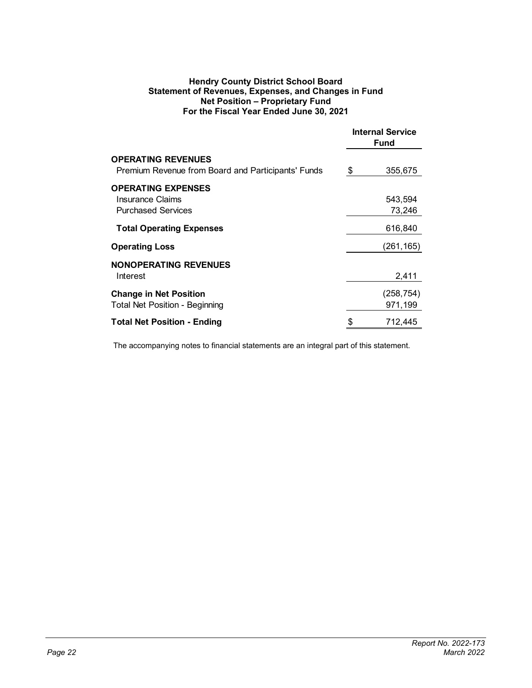#### <span id="page-27-0"></span>**Hendry County District School Board Statement of Revenues, Expenses, and Changes in Fund Net Position – Proprietary Fund For the Fiscal Year Ended June 30, 2021**

|                                                                                 |    | <b>Internal Service</b><br><b>Fund</b> |  |
|---------------------------------------------------------------------------------|----|----------------------------------------|--|
| <b>OPERATING REVENUES</b><br>Premium Revenue from Board and Participants' Funds | \$ | 355,675                                |  |
| <b>OPERATING EXPENSES</b><br>Insurance Claims<br><b>Purchased Services</b>      |    | 543,594<br>73,246                      |  |
| <b>Total Operating Expenses</b>                                                 |    | 616,840                                |  |
| <b>Operating Loss</b>                                                           |    | (261, 165)                             |  |
| <b>NONOPERATING REVENUES</b><br>Interest                                        |    | 2,411                                  |  |
| <b>Change in Net Position</b><br><b>Total Net Position - Beginning</b>          |    | (258,754)<br>971,199                   |  |
| <b>Total Net Position - Ending</b>                                              |    | 712,445                                |  |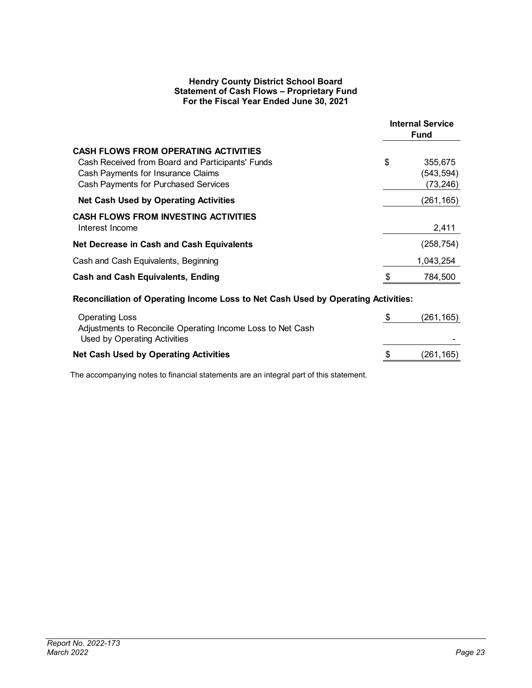#### **Hendry County District School Board Statement of Cash Flows – Proprietary Fund For the Fiscal Year Ended June 30, 2021**

<span id="page-28-0"></span>

|                                                                                                                                                                                      | <b>Internal Service</b><br><b>Fund</b>  |
|--------------------------------------------------------------------------------------------------------------------------------------------------------------------------------------|-----------------------------------------|
| <b>CASH FLOWS FROM OPERATING ACTIVITIES</b><br>Cash Received from Board and Participants' Funds<br>Cash Payments for Insurance Claims<br><b>Cash Payments for Purchased Services</b> | \$<br>355,675<br>(543,594)<br>(73, 246) |
| <b>Net Cash Used by Operating Activities</b>                                                                                                                                         | (261, 165)                              |
| <b>CASH FLOWS FROM INVESTING ACTIVITIES</b><br>Interest Income                                                                                                                       | 2,411                                   |
| Net Decrease in Cash and Cash Equivalents                                                                                                                                            | (258, 754)                              |
| Cash and Cash Equivalents, Beginning                                                                                                                                                 | 1,043,254                               |
| <b>Cash and Cash Equivalents, Ending</b>                                                                                                                                             | 784,500                                 |

#### **Reconciliation of Operating Income Loss to Net Cash Used by Operating Activities:**

| <b>Operating Loss</b>                                                                      | \$<br>(261, 165) |
|--------------------------------------------------------------------------------------------|------------------|
| Adjustments to Reconcile Operating Income Loss to Net Cash<br>Used by Operating Activities | -                |
| <b>Net Cash Used by Operating Activities</b>                                               | (261, 165)       |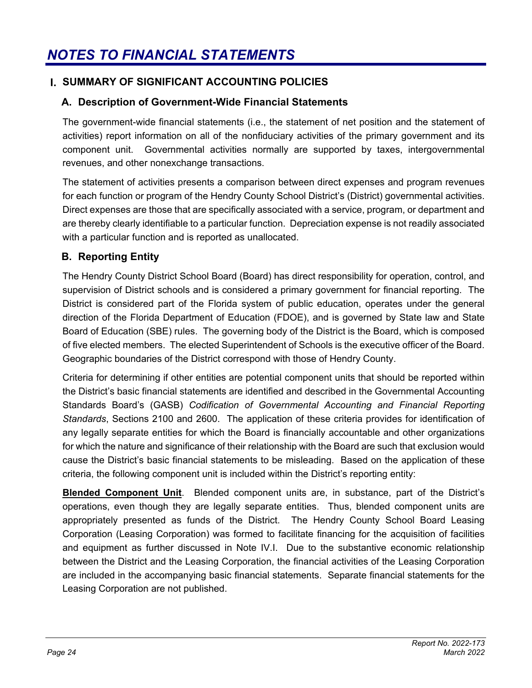### <span id="page-29-0"></span> **SUMMARY OF SIGNIFICANT ACCOUNTING POLICIES**

### **A. Description of Government-Wide Financial Statements**

The government-wide financial statements (i.e., the statement of net position and the statement of activities) report information on all of the nonfiduciary activities of the primary government and its component unit. Governmental activities normally are supported by taxes, intergovernmental revenues, and other nonexchange transactions.

The statement of activities presents a comparison between direct expenses and program revenues for each function or program of the Hendry County School District's (District) governmental activities. Direct expenses are those that are specifically associated with a service, program, or department and are thereby clearly identifiable to a particular function. Depreciation expense is not readily associated with a particular function and is reported as unallocated.

### **B. Reporting Entity**

The Hendry County District School Board (Board) has direct responsibility for operation, control, and supervision of District schools and is considered a primary government for financial reporting. The District is considered part of the Florida system of public education, operates under the general direction of the Florida Department of Education (FDOE), and is governed by State law and State Board of Education (SBE) rules. The governing body of the District is the Board, which is composed of five elected members. The elected Superintendent of Schools is the executive officer of the Board. Geographic boundaries of the District correspond with those of Hendry County.

Criteria for determining if other entities are potential component units that should be reported within the District's basic financial statements are identified and described in the Governmental Accounting Standards Board's (GASB) *Codification of Governmental Accounting and Financial Reporting Standards*, Sections 2100 and 2600. The application of these criteria provides for identification of any legally separate entities for which the Board is financially accountable and other organizations for which the nature and significance of their relationship with the Board are such that exclusion would cause the District's basic financial statements to be misleading. Based on the application of these criteria, the following component unit is included within the District's reporting entity:

**Blended Component Unit**. Blended component units are, in substance, part of the District's operations, even though they are legally separate entities. Thus, blended component units are appropriately presented as funds of the District. The Hendry County School Board Leasing Corporation (Leasing Corporation) was formed to facilitate financing for the acquisition of facilities and equipment as further discussed in Note IV.I. Due to the substantive economic relationship between the District and the Leasing Corporation, the financial activities of the Leasing Corporation are included in the accompanying basic financial statements. Separate financial statements for the Leasing Corporation are not published.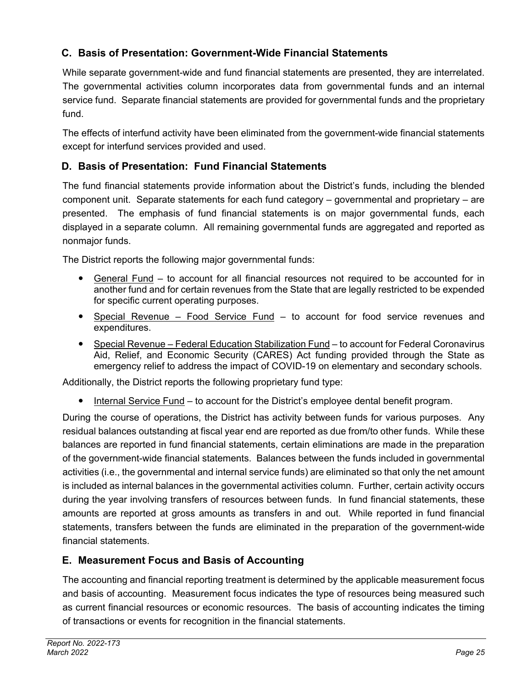### **C. Basis of Presentation: Government-Wide Financial Statements**

While separate government-wide and fund financial statements are presented, they are interrelated. The governmental activities column incorporates data from governmental funds and an internal service fund. Separate financial statements are provided for governmental funds and the proprietary fund.

The effects of interfund activity have been eliminated from the government-wide financial statements except for interfund services provided and used.

### **D. Basis of Presentation: Fund Financial Statements**

The fund financial statements provide information about the District's funds, including the blended component unit. Separate statements for each fund category – governmental and proprietary – are presented. The emphasis of fund financial statements is on major governmental funds, each displayed in a separate column. All remaining governmental funds are aggregated and reported as nonmajor funds.

The District reports the following major governmental funds:

- General Fund to account for all financial resources not required to be accounted for in another fund and for certain revenues from the State that are legally restricted to be expended for specific current operating purposes.
- Special Revenue Food Service Fund to account for food service revenues and expenditures.
- Special Revenue Federal Education Stabilization Fund to account for Federal Coronavirus Aid, Relief, and Economic Security (CARES) Act funding provided through the State as emergency relief to address the impact of COVID-19 on elementary and secondary schools.

Additionally, the District reports the following proprietary fund type:

Internal Service Fund - to account for the District's employee dental benefit program.

During the course of operations, the District has activity between funds for various purposes. Any residual balances outstanding at fiscal year end are reported as due from/to other funds. While these balances are reported in fund financial statements, certain eliminations are made in the preparation of the government-wide financial statements. Balances between the funds included in governmental activities (i.e., the governmental and internal service funds) are eliminated so that only the net amount is included as internal balances in the governmental activities column. Further, certain activity occurs during the year involving transfers of resources between funds. In fund financial statements, these amounts are reported at gross amounts as transfers in and out. While reported in fund financial statements, transfers between the funds are eliminated in the preparation of the government-wide financial statements.

### **E. Measurement Focus and Basis of Accounting**

The accounting and financial reporting treatment is determined by the applicable measurement focus and basis of accounting. Measurement focus indicates the type of resources being measured such as current financial resources or economic resources. The basis of accounting indicates the timing of transactions or events for recognition in the financial statements.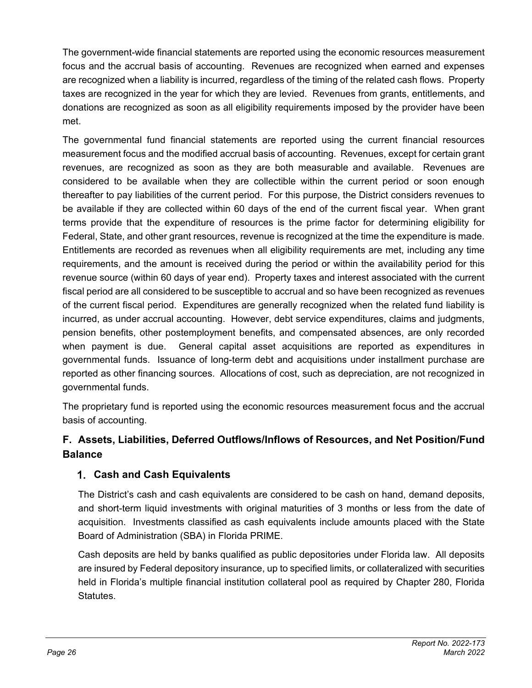The government-wide financial statements are reported using the economic resources measurement focus and the accrual basis of accounting. Revenues are recognized when earned and expenses are recognized when a liability is incurred, regardless of the timing of the related cash flows. Property taxes are recognized in the year for which they are levied. Revenues from grants, entitlements, and donations are recognized as soon as all eligibility requirements imposed by the provider have been met.

The governmental fund financial statements are reported using the current financial resources measurement focus and the modified accrual basis of accounting. Revenues, except for certain grant revenues, are recognized as soon as they are both measurable and available. Revenues are considered to be available when they are collectible within the current period or soon enough thereafter to pay liabilities of the current period. For this purpose, the District considers revenues to be available if they are collected within 60 days of the end of the current fiscal year. When grant terms provide that the expenditure of resources is the prime factor for determining eligibility for Federal, State, and other grant resources, revenue is recognized at the time the expenditure is made. Entitlements are recorded as revenues when all eligibility requirements are met, including any time requirements, and the amount is received during the period or within the availability period for this revenue source (within 60 days of year end). Property taxes and interest associated with the current fiscal period are all considered to be susceptible to accrual and so have been recognized as revenues of the current fiscal period. Expenditures are generally recognized when the related fund liability is incurred, as under accrual accounting. However, debt service expenditures, claims and judgments, pension benefits, other postemployment benefits, and compensated absences, are only recorded when payment is due. General capital asset acquisitions are reported as expenditures in governmental funds. Issuance of long-term debt and acquisitions under installment purchase are reported as other financing sources. Allocations of cost, such as depreciation, are not recognized in governmental funds.

The proprietary fund is reported using the economic resources measurement focus and the accrual basis of accounting.

### **F. Assets, Liabilities, Deferred Outflows/Inflows of Resources, and Net Position/Fund Balance**

### **Cash and Cash Equivalents**

The District's cash and cash equivalents are considered to be cash on hand, demand deposits, and short-term liquid investments with original maturities of 3 months or less from the date of acquisition. Investments classified as cash equivalents include amounts placed with the State Board of Administration (SBA) in Florida PRIME.

Cash deposits are held by banks qualified as public depositories under Florida law. All deposits are insured by Federal depository insurance, up to specified limits, or collateralized with securities held in Florida's multiple financial institution collateral pool as required by Chapter 280, Florida Statutes.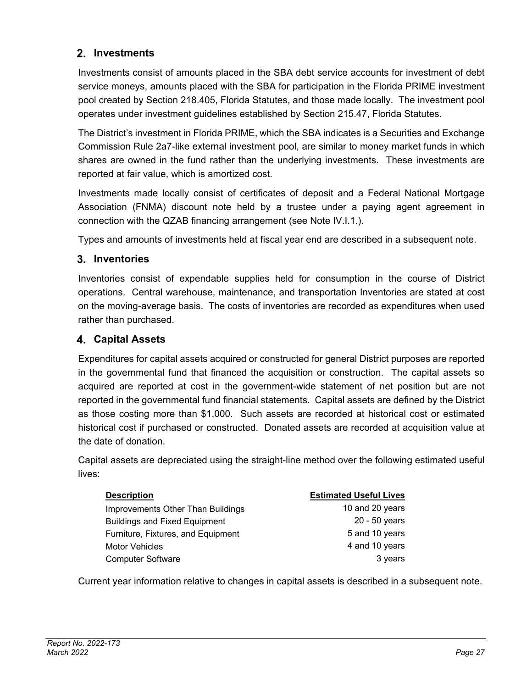### **Investments**

Investments consist of amounts placed in the SBA debt service accounts for investment of debt service moneys, amounts placed with the SBA for participation in the Florida PRIME investment pool created by Section 218.405, Florida Statutes, and those made locally. The investment pool operates under investment guidelines established by Section 215.47, Florida Statutes.

The District's investment in Florida PRIME, which the SBA indicates is a Securities and Exchange Commission Rule 2a7-like external investment pool, are similar to money market funds in which shares are owned in the fund rather than the underlying investments. These investments are reported at fair value, which is amortized cost.

Investments made locally consist of certificates of deposit and a Federal National Mortgage Association (FNMA) discount note held by a trustee under a paying agent agreement in connection with the QZAB financing arrangement (see Note IV.I.1.).

Types and amounts of investments held at fiscal year end are described in a subsequent note.

### **Inventories**

Inventories consist of expendable supplies held for consumption in the course of District operations. Central warehouse, maintenance, and transportation Inventories are stated at cost on the moving-average basis. The costs of inventories are recorded as expenditures when used rather than purchased.

### **Capital Assets**

Expenditures for capital assets acquired or constructed for general District purposes are reported in the governmental fund that financed the acquisition or construction. The capital assets so acquired are reported at cost in the government-wide statement of net position but are not reported in the governmental fund financial statements. Capital assets are defined by the District as those costing more than \$1,000. Such assets are recorded at historical cost or estimated historical cost if purchased or constructed. Donated assets are recorded at acquisition value at the date of donation.

Capital assets are depreciated using the straight-line method over the following estimated useful lives:

| <b>Description</b>                   | <b>Estimated Useful Lives</b> |
|--------------------------------------|-------------------------------|
| Improvements Other Than Buildings    | 10 and 20 years               |
| <b>Buildings and Fixed Equipment</b> | 20 - 50 years                 |
| Furniture, Fixtures, and Equipment   | 5 and 10 years                |
| <b>Motor Vehicles</b>                | 4 and 10 years                |
| <b>Computer Software</b>             | 3 years                       |

Current year information relative to changes in capital assets is described in a subsequent note.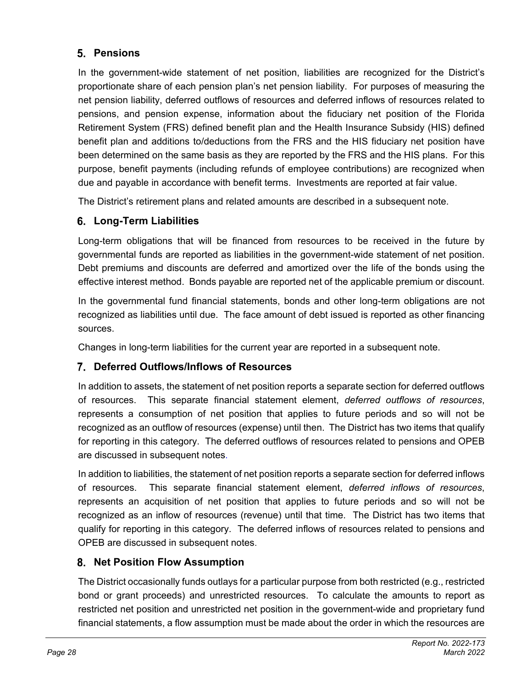### **Pensions**

In the government-wide statement of net position, liabilities are recognized for the District's proportionate share of each pension plan's net pension liability. For purposes of measuring the net pension liability, deferred outflows of resources and deferred inflows of resources related to pensions, and pension expense, information about the fiduciary net position of the Florida Retirement System (FRS) defined benefit plan and the Health Insurance Subsidy (HIS) defined benefit plan and additions to/deductions from the FRS and the HIS fiduciary net position have been determined on the same basis as they are reported by the FRS and the HIS plans. For this purpose, benefit payments (including refunds of employee contributions) are recognized when due and payable in accordance with benefit terms. Investments are reported at fair value.

The District's retirement plans and related amounts are described in a subsequent note.

### **Long-Term Liabilities**

Long-term obligations that will be financed from resources to be received in the future by governmental funds are reported as liabilities in the government-wide statement of net position. Debt premiums and discounts are deferred and amortized over the life of the bonds using the effective interest method. Bonds payable are reported net of the applicable premium or discount.

In the governmental fund financial statements, bonds and other long-term obligations are not recognized as liabilities until due. The face amount of debt issued is reported as other financing sources.

Changes in long-term liabilities for the current year are reported in a subsequent note.

### **Deferred Outflows/Inflows of Resources**

In addition to assets, the statement of net position reports a separate section for deferred outflows of resources. This separate financial statement element, *deferred outflows of resources*, represents a consumption of net position that applies to future periods and so will not be recognized as an outflow of resources (expense) until then. The District has two items that qualify for reporting in this category. The deferred outflows of resources related to pensions and OPEB are discussed in subsequent notes.

In addition to liabilities, the statement of net position reports a separate section for deferred inflows of resources. This separate financial statement element, *deferred inflows of resources*, represents an acquisition of net position that applies to future periods and so will not be recognized as an inflow of resources (revenue) until that time. The District has two items that qualify for reporting in this category. The deferred inflows of resources related to pensions and OPEB are discussed in subsequent notes.

### **Net Position Flow Assumption**

The District occasionally funds outlays for a particular purpose from both restricted (e.g., restricted bond or grant proceeds) and unrestricted resources. To calculate the amounts to report as restricted net position and unrestricted net position in the government-wide and proprietary fund financial statements, a flow assumption must be made about the order in which the resources are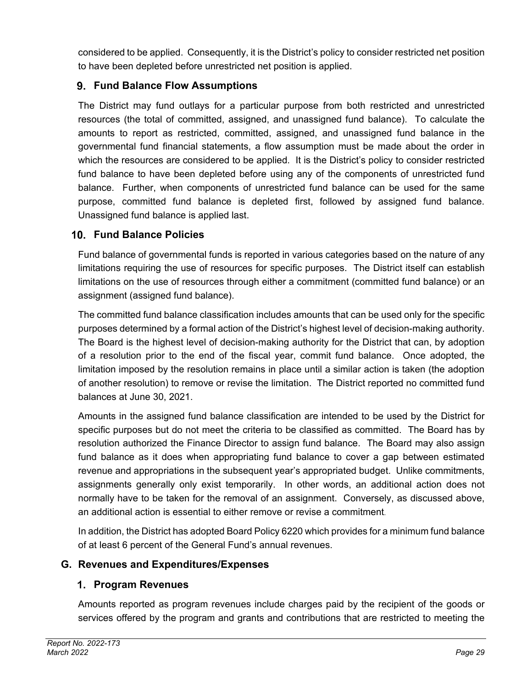considered to be applied. Consequently, it is the District's policy to consider restricted net position to have been depleted before unrestricted net position is applied.

### **Fund Balance Flow Assumptions**

The District may fund outlays for a particular purpose from both restricted and unrestricted resources (the total of committed, assigned, and unassigned fund balance). To calculate the amounts to report as restricted, committed, assigned, and unassigned fund balance in the governmental fund financial statements, a flow assumption must be made about the order in which the resources are considered to be applied. It is the District's policy to consider restricted fund balance to have been depleted before using any of the components of unrestricted fund balance. Further, when components of unrestricted fund balance can be used for the same purpose, committed fund balance is depleted first, followed by assigned fund balance. Unassigned fund balance is applied last.

### **Fund Balance Policies**

Fund balance of governmental funds is reported in various categories based on the nature of any limitations requiring the use of resources for specific purposes. The District itself can establish limitations on the use of resources through either a commitment (committed fund balance) or an assignment (assigned fund balance).

The committed fund balance classification includes amounts that can be used only for the specific purposes determined by a formal action of the District's highest level of decision-making authority. The Board is the highest level of decision-making authority for the District that can, by adoption of a resolution prior to the end of the fiscal year, commit fund balance. Once adopted, the limitation imposed by the resolution remains in place until a similar action is taken (the adoption of another resolution) to remove or revise the limitation. The District reported no committed fund balances at June 30, 2021.

Amounts in the assigned fund balance classification are intended to be used by the District for specific purposes but do not meet the criteria to be classified as committed. The Board has by resolution authorized the Finance Director to assign fund balance. The Board may also assign fund balance as it does when appropriating fund balance to cover a gap between estimated revenue and appropriations in the subsequent year's appropriated budget. Unlike commitments, assignments generally only exist temporarily. In other words, an additional action does not normally have to be taken for the removal of an assignment. Conversely, as discussed above, an additional action is essential to either remove or revise a commitment.

In addition, the District has adopted Board Policy 6220 which provides for a minimum fund balance of at least 6 percent of the General Fund's annual revenues.

### **G. Revenues and Expenditures/Expenses**

### **Program Revenues**

Amounts reported as program revenues include charges paid by the recipient of the goods or services offered by the program and grants and contributions that are restricted to meeting the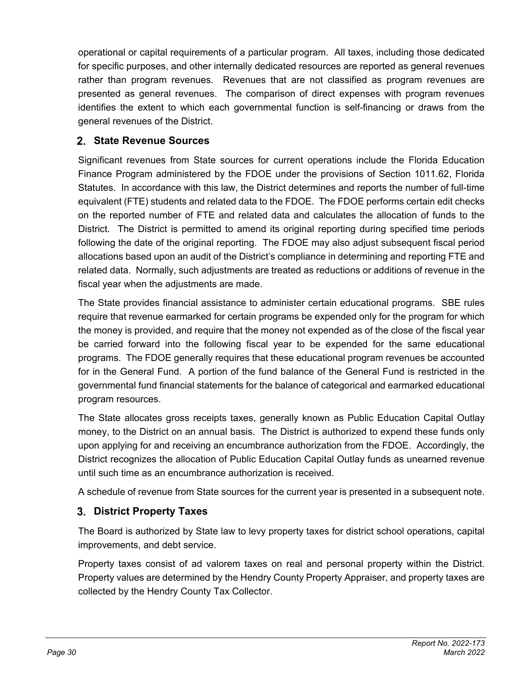operational or capital requirements of a particular program. All taxes, including those dedicated for specific purposes, and other internally dedicated resources are reported as general revenues rather than program revenues. Revenues that are not classified as program revenues are presented as general revenues. The comparison of direct expenses with program revenues identifies the extent to which each governmental function is self-financing or draws from the general revenues of the District.

### **State Revenue Sources**

Significant revenues from State sources for current operations include the Florida Education Finance Program administered by the FDOE under the provisions of Section 1011.62, Florida Statutes. In accordance with this law, the District determines and reports the number of full-time equivalent (FTE) students and related data to the FDOE. The FDOE performs certain edit checks on the reported number of FTE and related data and calculates the allocation of funds to the District. The District is permitted to amend its original reporting during specified time periods following the date of the original reporting. The FDOE may also adjust subsequent fiscal period allocations based upon an audit of the District's compliance in determining and reporting FTE and related data. Normally, such adjustments are treated as reductions or additions of revenue in the fiscal year when the adjustments are made.

The State provides financial assistance to administer certain educational programs. SBE rules require that revenue earmarked for certain programs be expended only for the program for which the money is provided, and require that the money not expended as of the close of the fiscal year be carried forward into the following fiscal year to be expended for the same educational programs. The FDOE generally requires that these educational program revenues be accounted for in the General Fund. A portion of the fund balance of the General Fund is restricted in the governmental fund financial statements for the balance of categorical and earmarked educational program resources.

The State allocates gross receipts taxes, generally known as Public Education Capital Outlay money, to the District on an annual basis. The District is authorized to expend these funds only upon applying for and receiving an encumbrance authorization from the FDOE. Accordingly, the District recognizes the allocation of Public Education Capital Outlay funds as unearned revenue until such time as an encumbrance authorization is received.

A schedule of revenue from State sources for the current year is presented in a subsequent note.

### **District Property Taxes**

The Board is authorized by State law to levy property taxes for district school operations, capital improvements, and debt service.

Property taxes consist of ad valorem taxes on real and personal property within the District. Property values are determined by the Hendry County Property Appraiser, and property taxes are collected by the Hendry County Tax Collector.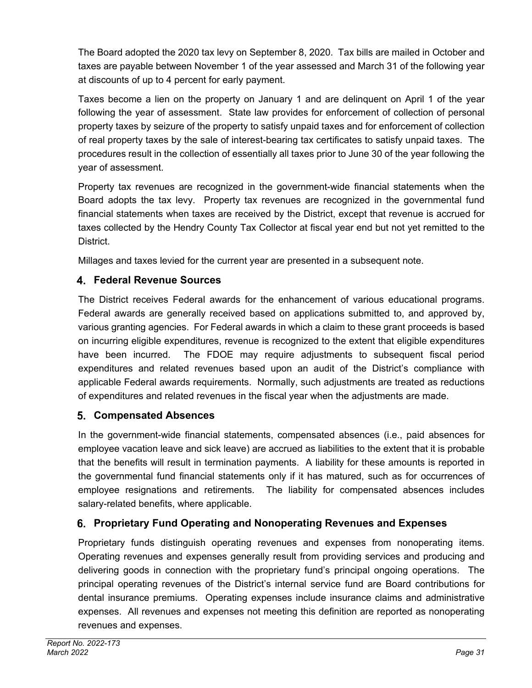The Board adopted the 2020 tax levy on September 8, 2020. Tax bills are mailed in October and taxes are payable between November 1 of the year assessed and March 31 of the following year at discounts of up to 4 percent for early payment.

Taxes become a lien on the property on January 1 and are delinquent on April 1 of the year following the year of assessment. State law provides for enforcement of collection of personal property taxes by seizure of the property to satisfy unpaid taxes and for enforcement of collection of real property taxes by the sale of interest-bearing tax certificates to satisfy unpaid taxes. The procedures result in the collection of essentially all taxes prior to June 30 of the year following the year of assessment.

Property tax revenues are recognized in the government-wide financial statements when the Board adopts the tax levy. Property tax revenues are recognized in the governmental fund financial statements when taxes are received by the District, except that revenue is accrued for taxes collected by the Hendry County Tax Collector at fiscal year end but not yet remitted to the District.

Millages and taxes levied for the current year are presented in a subsequent note.

#### **Federal Revenue Sources**

The District receives Federal awards for the enhancement of various educational programs. Federal awards are generally received based on applications submitted to, and approved by, various granting agencies. For Federal awards in which a claim to these grant proceeds is based on incurring eligible expenditures, revenue is recognized to the extent that eligible expenditures have been incurred. The FDOE may require adjustments to subsequent fiscal period expenditures and related revenues based upon an audit of the District's compliance with applicable Federal awards requirements. Normally, such adjustments are treated as reductions of expenditures and related revenues in the fiscal year when the adjustments are made.

#### **Compensated Absences**

In the government-wide financial statements, compensated absences (i.e., paid absences for employee vacation leave and sick leave) are accrued as liabilities to the extent that it is probable that the benefits will result in termination payments. A liability for these amounts is reported in the governmental fund financial statements only if it has matured, such as for occurrences of employee resignations and retirements. The liability for compensated absences includes salary-related benefits, where applicable.

## **Proprietary Fund Operating and Nonoperating Revenues and Expenses**

Proprietary funds distinguish operating revenues and expenses from nonoperating items. Operating revenues and expenses generally result from providing services and producing and delivering goods in connection with the proprietary fund's principal ongoing operations. The principal operating revenues of the District's internal service fund are Board contributions for dental insurance premiums. Operating expenses include insurance claims and administrative expenses. All revenues and expenses not meeting this definition are reported as nonoperating revenues and expenses.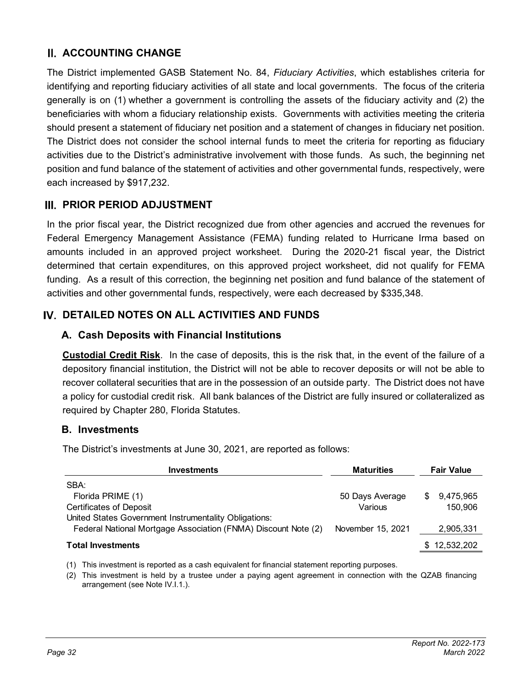## **II. ACCOUNTING CHANGE**

The District implemented GASB Statement No. 84, *Fiduciary Activities*, which establishes criteria for identifying and reporting fiduciary activities of all state and local governments. The focus of the criteria generally is on (1) whether a government is controlling the assets of the fiduciary activity and (2) the beneficiaries with whom a fiduciary relationship exists. Governments with activities meeting the criteria should present a statement of fiduciary net position and a statement of changes in fiduciary net position. The District does not consider the school internal funds to meet the criteria for reporting as fiduciary activities due to the District's administrative involvement with those funds. As such, the beginning net position and fund balance of the statement of activities and other governmental funds, respectively, were each increased by \$917,232.

#### **III. PRIOR PERIOD ADJUSTMENT**

In the prior fiscal year, the District recognized due from other agencies and accrued the revenues for Federal Emergency Management Assistance (FEMA) funding related to Hurricane Irma based on amounts included in an approved project worksheet. During the 2020-21 fiscal year, the District determined that certain expenditures, on this approved project worksheet, did not qualify for FEMA funding. As a result of this correction, the beginning net position and fund balance of the statement of activities and other governmental funds, respectively, were each decreased by \$335,348.

#### **DETAILED NOTES ON ALL ACTIVITIES AND FUNDS**

#### **A. Cash Deposits with Financial Institutions**

**Custodial Credit Risk**. In the case of deposits, this is the risk that, in the event of the failure of a depository financial institution, the District will not be able to recover deposits or will not be able to recover collateral securities that are in the possession of an outside party. The District does not have a policy for custodial credit risk. All bank balances of the District are fully insured or collateralized as required by Chapter 280, Florida Statutes.

#### **B. Investments**

The District's investments at June 30, 2021, are reported as follows:

| <b>Investments</b>                                             | <b>Maturities</b> | <b>Fair Value</b> |
|----------------------------------------------------------------|-------------------|-------------------|
| SBA:                                                           |                   |                   |
| Florida PRIME (1)                                              | 50 Days Average   | 9,475,965<br>SS.  |
| <b>Certificates of Deposit</b>                                 | Various           | 150,906           |
| United States Government Instrumentality Obligations:          |                   |                   |
| Federal National Mortgage Association (FNMA) Discount Note (2) | November 15, 2021 | 2,905,331         |
| <b>Total Investments</b>                                       |                   | \$12,532,202      |

(1) This investment is reported as a cash equivalent for financial statement reporting purposes.

(2) This investment is held by a trustee under a paying agent agreement in connection with the QZAB financing arrangement (see Note IV.I.1.).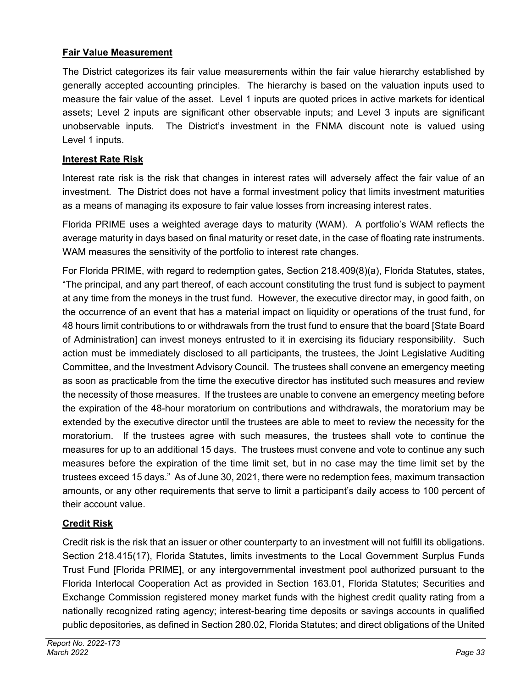#### **Fair Value Measurement**

The District categorizes its fair value measurements within the fair value hierarchy established by generally accepted accounting principles. The hierarchy is based on the valuation inputs used to measure the fair value of the asset. Level 1 inputs are quoted prices in active markets for identical assets; Level 2 inputs are significant other observable inputs; and Level 3 inputs are significant unobservable inputs. The District's investment in the FNMA discount note is valued using Level 1 inputs.

#### **Interest Rate Risk**

Interest rate risk is the risk that changes in interest rates will adversely affect the fair value of an investment. The District does not have a formal investment policy that limits investment maturities as a means of managing its exposure to fair value losses from increasing interest rates.

Florida PRIME uses a weighted average days to maturity (WAM). A portfolio's WAM reflects the average maturity in days based on final maturity or reset date, in the case of floating rate instruments. WAM measures the sensitivity of the portfolio to interest rate changes.

For Florida PRIME, with regard to redemption gates, Section 218.409(8)(a), Florida Statutes, states, "The principal, and any part thereof, of each account constituting the trust fund is subject to payment at any time from the moneys in the trust fund. However, the executive director may, in good faith, on the occurrence of an event that has a material impact on liquidity or operations of the trust fund, for 48 hours limit contributions to or withdrawals from the trust fund to ensure that the board [State Board of Administration] can invest moneys entrusted to it in exercising its fiduciary responsibility. Such action must be immediately disclosed to all participants, the trustees, the Joint Legislative Auditing Committee, and the Investment Advisory Council. The trustees shall convene an emergency meeting as soon as practicable from the time the executive director has instituted such measures and review the necessity of those measures. If the trustees are unable to convene an emergency meeting before the expiration of the 48-hour moratorium on contributions and withdrawals, the moratorium may be extended by the executive director until the trustees are able to meet to review the necessity for the moratorium. If the trustees agree with such measures, the trustees shall vote to continue the measures for up to an additional 15 days. The trustees must convene and vote to continue any such measures before the expiration of the time limit set, but in no case may the time limit set by the trustees exceed 15 days." As of June 30, 2021, there were no redemption fees, maximum transaction amounts, or any other requirements that serve to limit a participant's daily access to 100 percent of their account value.

#### **Credit Risk**

Credit risk is the risk that an issuer or other counterparty to an investment will not fulfill its obligations. Section 218.415(17), Florida Statutes, limits investments to the Local Government Surplus Funds Trust Fund [Florida PRIME], or any intergovernmental investment pool authorized pursuant to the Florida Interlocal Cooperation Act as provided in Section 163.01, Florida Statutes; Securities and Exchange Commission registered money market funds with the highest credit quality rating from a nationally recognized rating agency; interest-bearing time deposits or savings accounts in qualified public depositories, as defined in Section 280.02, Florida Statutes; and direct obligations of the United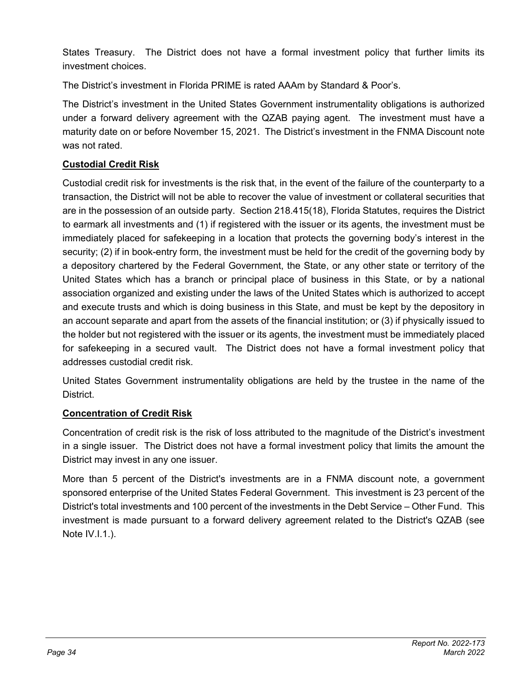States Treasury. The District does not have a formal investment policy that further limits its investment choices.

The District's investment in Florida PRIME is rated AAAm by Standard & Poor's.

The District's investment in the United States Government instrumentality obligations is authorized under a forward delivery agreement with the QZAB paying agent. The investment must have a maturity date on or before November 15, 2021. The District's investment in the FNMA Discount note was not rated.

#### **Custodial Credit Risk**

Custodial credit risk for investments is the risk that, in the event of the failure of the counterparty to a transaction, the District will not be able to recover the value of investment or collateral securities that are in the possession of an outside party. Section 218.415(18), Florida Statutes, requires the District to earmark all investments and (1) if registered with the issuer or its agents, the investment must be immediately placed for safekeeping in a location that protects the governing body's interest in the security; (2) if in book-entry form, the investment must be held for the credit of the governing body by a depository chartered by the Federal Government, the State, or any other state or territory of the United States which has a branch or principal place of business in this State, or by a national association organized and existing under the laws of the United States which is authorized to accept and execute trusts and which is doing business in this State, and must be kept by the depository in an account separate and apart from the assets of the financial institution; or (3) if physically issued to the holder but not registered with the issuer or its agents, the investment must be immediately placed for safekeeping in a secured vault. The District does not have a formal investment policy that addresses custodial credit risk.

United States Government instrumentality obligations are held by the trustee in the name of the District.

#### **Concentration of Credit Risk**

Concentration of credit risk is the risk of loss attributed to the magnitude of the District's investment in a single issuer. The District does not have a formal investment policy that limits the amount the District may invest in any one issuer.

More than 5 percent of the District's investments are in a FNMA discount note, a government sponsored enterprise of the United States Federal Government. This investment is 23 percent of the District's total investments and 100 percent of the investments in the Debt Service – Other Fund. This investment is made pursuant to a forward delivery agreement related to the District's QZAB (see Note IV.I.1.).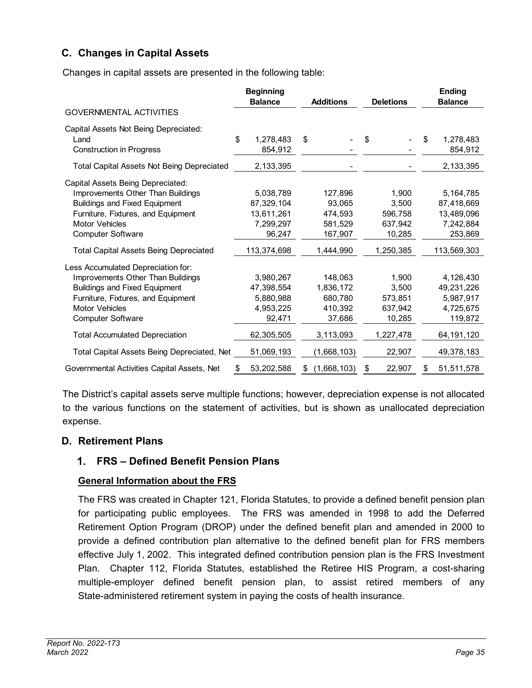### **C. Changes in Capital Assets**

Changes in capital assets are presented in the following table:

|                                                                                  | <b>Beginning</b><br><b>Balance</b> | <b>Additions</b>     | <b>Deletions</b>  | <b>Ending</b><br><b>Balance</b> |
|----------------------------------------------------------------------------------|------------------------------------|----------------------|-------------------|---------------------------------|
| <b>GOVERNMENTAL ACTIVITIES</b>                                                   |                                    |                      |                   |                                 |
| Capital Assets Not Being Depreciated:<br>Land<br><b>Construction in Progress</b> | \$<br>1,278,483<br>854,912         | \$                   | \$                | \$<br>1,278,483<br>854,912      |
| <b>Total Capital Assets Not Being Depreciated</b>                                | 2,133,395                          |                      |                   | 2,133,395                       |
| Capital Assets Being Depreciated:                                                |                                    |                      |                   |                                 |
| Improvements Other Than Buildings<br><b>Buildings and Fixed Equipment</b>        | 5,038,789<br>87,329,104            | 127.896<br>93.065    | 1,900<br>3,500    | 5,164,785<br>87,418,669         |
| Furniture, Fixtures, and Equipment                                               | 13,611,261                         | 474,593              | 596,758           | 13,489,096                      |
| <b>Motor Vehicles</b><br><b>Computer Software</b>                                | 7,299,297<br>96,247                | 581,529<br>167,907   | 637,942<br>10,285 | 7,242,884<br>253,869            |
| <b>Total Capital Assets Being Depreciated</b>                                    | 113,374,698                        | 1,444,990            | 1,250,385         | 113,569,303                     |
| Less Accumulated Depreciation for:                                               |                                    |                      |                   |                                 |
| Improvements Other Than Buildings<br><b>Buildings and Fixed Equipment</b>        | 3,980,267<br>47,398,554            | 148,063<br>1,836,172 | 1,900<br>3,500    | 4,126,430<br>49,231,226         |
| Furniture, Fixtures, and Equipment                                               | 5.880.988                          | 680.780              | 573,851           | 5,987,917                       |
| <b>Motor Vehicles</b><br><b>Computer Software</b>                                | 4,953,225<br>92,471                | 410,392<br>37,686    | 637,942<br>10,285 | 4,725,675<br>119,872            |
| <b>Total Accumulated Depreciation</b>                                            | 62,305,505                         | 3,113,093            | 1,227,478         | 64, 191, 120                    |
| Total Capital Assets Being Depreciated, Net                                      | 51,069,193                         | (1,668,103)          | 22,907            | 49,378,183                      |
| Governmental Activities Capital Assets, Net                                      | \$<br>53,202,588                   | \$<br>(1,668,103)    | \$<br>22,907      | \$<br>51,511,578                |

The District's capital assets serve multiple functions; however, depreciation expense is not allocated to the various functions on the statement of activities, but is shown as unallocated depreciation expense.

#### **D. Retirement Plans**

#### **FRS – Defined Benefit Pension Plans**

#### **General Information about the FRS**

The FRS was created in Chapter 121, Florida Statutes, to provide a defined benefit pension plan for participating public employees. The FRS was amended in 1998 to add the Deferred Retirement Option Program (DROP) under the defined benefit plan and amended in 2000 to provide a defined contribution plan alternative to the defined benefit plan for FRS members effective July 1, 2002. This integrated defined contribution pension plan is the FRS Investment Plan. Chapter 112, Florida Statutes, established the Retiree HIS Program, a cost-sharing multiple-employer defined benefit pension plan, to assist retired members of any State-administered retirement system in paying the costs of health insurance.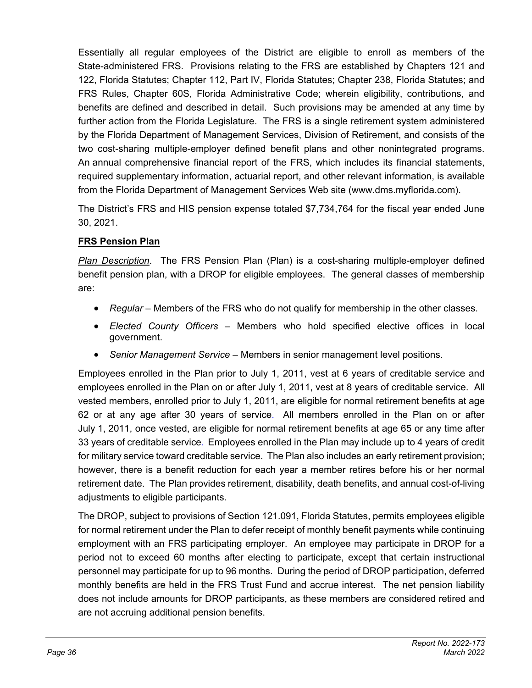Essentially all regular employees of the District are eligible to enroll as members of the State-administered FRS. Provisions relating to the FRS are established by Chapters 121 and 122, Florida Statutes; Chapter 112, Part IV, Florida Statutes; Chapter 238, Florida Statutes; and FRS Rules, Chapter 60S, Florida Administrative Code; wherein eligibility, contributions, and benefits are defined and described in detail. Such provisions may be amended at any time by further action from the Florida Legislature. The FRS is a single retirement system administered by the Florida Department of Management Services, Division of Retirement, and consists of the two cost-sharing multiple-employer defined benefit plans and other nonintegrated programs. An annual comprehensive financial report of the FRS, which includes its financial statements, required supplementary information, actuarial report, and other relevant information, is available from the Florida Department of Management Services Web site (www.dms.myflorida.com).

The District's FRS and HIS pension expense totaled \$7,734,764 for the fiscal year ended June 30, 2021.

#### **FRS Pension Plan**

*Plan Description*. The FRS Pension Plan (Plan) is a cost-sharing multiple-employer defined benefit pension plan, with a DROP for eligible employees. The general classes of membership are:

- *Regular* Members of the FRS who do not qualify for membership in the other classes.
- *Elected County Officers* Members who hold specified elective offices in local government.
- *Senior Management Service*  Members in senior management level positions.

Employees enrolled in the Plan prior to July 1, 2011, vest at 6 years of creditable service and employees enrolled in the Plan on or after July 1, 2011, vest at 8 years of creditable service. All vested members, enrolled prior to July 1, 2011, are eligible for normal retirement benefits at age 62 or at any age after 30 years of service. All members enrolled in the Plan on or after July 1, 2011, once vested, are eligible for normal retirement benefits at age 65 or any time after 33 years of creditable service. Employees enrolled in the Plan may include up to 4 years of credit for military service toward creditable service. The Plan also includes an early retirement provision; however, there is a benefit reduction for each year a member retires before his or her normal retirement date. The Plan provides retirement, disability, death benefits, and annual cost-of-living adjustments to eligible participants.

The DROP, subject to provisions of Section 121.091, Florida Statutes, permits employees eligible for normal retirement under the Plan to defer receipt of monthly benefit payments while continuing employment with an FRS participating employer. An employee may participate in DROP for a period not to exceed 60 months after electing to participate, except that certain instructional personnel may participate for up to 96 months. During the period of DROP participation, deferred monthly benefits are held in the FRS Trust Fund and accrue interest. The net pension liability does not include amounts for DROP participants, as these members are considered retired and are not accruing additional pension benefits.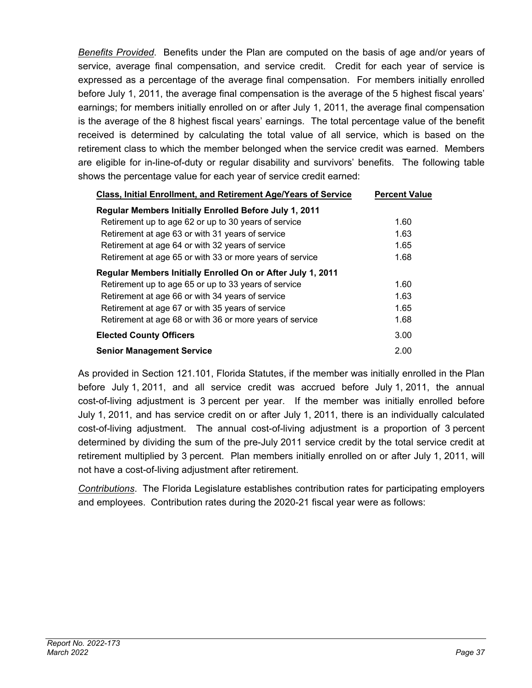*Benefits Provided*. Benefits under the Plan are computed on the basis of age and/or years of service, average final compensation, and service credit. Credit for each year of service is expressed as a percentage of the average final compensation. For members initially enrolled before July 1, 2011, the average final compensation is the average of the 5 highest fiscal years' earnings; for members initially enrolled on or after July 1, 2011, the average final compensation is the average of the 8 highest fiscal years' earnings. The total percentage value of the benefit received is determined by calculating the total value of all service, which is based on the retirement class to which the member belonged when the service credit was earned. Members are eligible for in-line-of-duty or regular disability and survivors' benefits. The following table shows the percentage value for each year of service credit earned:

| Class, Initial Enrollment, and Retirement Age/Years of Service | <b>Percent Value</b> |
|----------------------------------------------------------------|----------------------|
| <b>Regular Members Initially Enrolled Before July 1, 2011</b>  |                      |
| Retirement up to age 62 or up to 30 years of service           | 1.60                 |
| Retirement at age 63 or with 31 years of service               | 1.63                 |
| Retirement at age 64 or with 32 years of service               | 1.65                 |
| Retirement at age 65 or with 33 or more years of service       | 1.68                 |
| Regular Members Initially Enrolled On or After July 1, 2011    |                      |
| Retirement up to age 65 or up to 33 years of service           | 1.60                 |
| Retirement at age 66 or with 34 years of service               | 1.63                 |
| Retirement at age 67 or with 35 years of service               | 1.65                 |
| Retirement at age 68 or with 36 or more years of service       | 1.68                 |
| <b>Elected County Officers</b>                                 | 3.00                 |
| <b>Senior Management Service</b>                               | 2.00                 |

As provided in Section 121.101, Florida Statutes, if the member was initially enrolled in the Plan before July 1, 2011, and all service credit was accrued before July 1, 2011, the annual cost-of-living adjustment is 3 percent per year. If the member was initially enrolled before July 1, 2011, and has service credit on or after July 1, 2011, there is an individually calculated cost-of-living adjustment. The annual cost-of-living adjustment is a proportion of 3 percent determined by dividing the sum of the pre-July 2011 service credit by the total service credit at retirement multiplied by 3 percent. Plan members initially enrolled on or after July 1, 2011, will not have a cost-of-living adjustment after retirement.

*Contributions*. The Florida Legislature establishes contribution rates for participating employers and employees. Contribution rates during the 2020-21 fiscal year were as follows: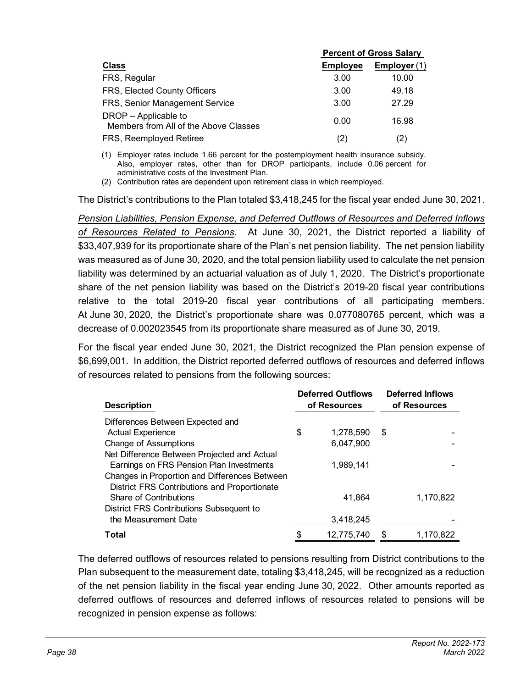|                                                               |                 | <b>Percent of Gross Salary</b> |
|---------------------------------------------------------------|-----------------|--------------------------------|
| <b>Class</b>                                                  | <b>Employee</b> | Emplover(1)                    |
| FRS, Regular                                                  | 3.00            | 10.00                          |
| FRS, Elected County Officers                                  | 3.00            | 49.18                          |
| FRS, Senior Management Service                                | 3.00            | 27.29                          |
| DROP - Applicable to<br>Members from All of the Above Classes | 0.00            | 16.98                          |
| FRS, Reemployed Retiree                                       | (2)             | (2)                            |

(1) Employer rates include 1.66 percent for the postemployment health insurance subsidy. Also, employer rates, other than for DROP participants, include 0.06 percent for administrative costs of the Investment Plan.

(2) Contribution rates are dependent upon retirement class in which reemployed.

The District's contributions to the Plan totaled \$3,418,245 for the fiscal year ended June 30, 2021.

*Pension Liabilities, Pension Expense, and Deferred Outflows of Resources and Deferred Inflows of Resources Related to Pensions*. At June 30, 2021, the District reported a liability of \$33,407,939 for its proportionate share of the Plan's net pension liability. The net pension liability was measured as of June 30, 2020, and the total pension liability used to calculate the net pension liability was determined by an actuarial valuation as of July 1, 2020. The District's proportionate share of the net pension liability was based on the District's 2019-20 fiscal year contributions relative to the total 2019-20 fiscal year contributions of all participating members. At June 30, 2020, the District's proportionate share was 0.077080765 percent, which was a decrease of 0.002023545 from its proportionate share measured as of June 30, 2019.

For the fiscal year ended June 30, 2021, the District recognized the Plan pension expense of \$6,699,001. In addition, the District reported deferred outflows of resources and deferred inflows of resources related to pensions from the following sources:

|                                               | <b>Deferred Outflows</b> |    | <b>Deferred Inflows</b> |
|-----------------------------------------------|--------------------------|----|-------------------------|
| <b>Description</b>                            | of Resources             |    | of Resources            |
| Differences Between Expected and              |                          |    |                         |
| <b>Actual Experience</b>                      | \$<br>1,278,590          | \$ |                         |
| Change of Assumptions                         | 6,047,900                |    |                         |
| Net Difference Between Projected and Actual   |                          |    |                         |
| Earnings on FRS Pension Plan Investments      | 1,989,141                |    |                         |
| Changes in Proportion and Differences Between |                          |    |                         |
| District FRS Contributions and Proportionate  |                          |    |                         |
| <b>Share of Contributions</b>                 | 41,864                   |    | 1,170,822               |
| District FRS Contributions Subsequent to      |                          |    |                         |
| the Measurement Date                          | 3,418,245                |    |                         |
| Total                                         | 12.775.740               | S  | 1.170.822               |

The deferred outflows of resources related to pensions resulting from District contributions to the Plan subsequent to the measurement date, totaling \$3,418,245, will be recognized as a reduction of the net pension liability in the fiscal year ending June 30, 2022. Other amounts reported as deferred outflows of resources and deferred inflows of resources related to pensions will be recognized in pension expense as follows: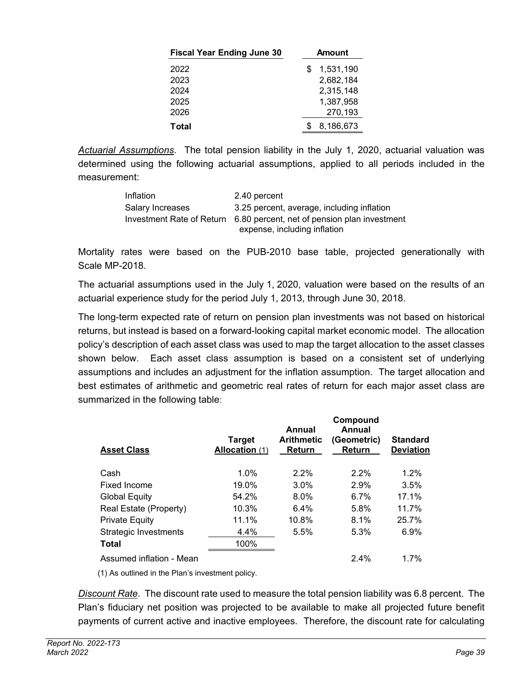| <b>Fiscal Year Ending June 30</b><br><b>Amount</b> |     |           |
|----------------------------------------------------|-----|-----------|
| 2022                                               | \$. | 1,531,190 |
| 2023                                               |     | 2,682,184 |
| 2024                                               |     | 2,315,148 |
| 2025                                               |     | 1,387,958 |
| 2026                                               |     | 270,193   |
| Total                                              |     | 8,186,673 |

*Actuarial Assumptions*. The total pension liability in the July 1, 2020, actuarial valuation was determined using the following actuarial assumptions, applied to all periods included in the measurement:

| Inflation        | 2.40 percent                                                           |
|------------------|------------------------------------------------------------------------|
| Salary Increases | 3.25 percent, average, including inflation                             |
|                  | Investment Rate of Return 6.80 percent, net of pension plan investment |
|                  | expense, including inflation                                           |

Mortality rates were based on the PUB-2010 base table, projected generationally with Scale MP-2018.

The actuarial assumptions used in the July 1, 2020, valuation were based on the results of an actuarial experience study for the period July 1, 2013, through June 30, 2018.

The long-term expected rate of return on pension plan investments was not based on historical returns, but instead is based on a forward-looking capital market economic model. The allocation policy's description of each asset class was used to map the target allocation to the asset classes shown below. Each asset class assumption is based on a consistent set of underlying assumptions and includes an adjustment for the inflation assumption. The target allocation and best estimates of arithmetic and geometric real rates of return for each major asset class are summarized in the following table:

| <b>Asset Class</b>           | <b>Target</b><br><b>Allocation</b> (1) | Annual<br><b>Arithmetic</b><br>Return | Compound<br>Annual<br>(Geometric)<br>Return | <b>Standard</b><br><b>Deviation</b> |
|------------------------------|----------------------------------------|---------------------------------------|---------------------------------------------|-------------------------------------|
| Cash                         | 1.0%                                   | $2.2\%$                               | $2.2\%$                                     | $1.2\%$                             |
| Fixed Income                 | 19.0%                                  | 3.0%                                  | 2.9%                                        | 3.5%                                |
| <b>Global Equity</b>         | 54.2%                                  | $8.0\%$                               | 6.7%                                        | 17.1%                               |
| Real Estate (Property)       | 10.3%                                  | 6.4%                                  | 5.8%                                        | 11.7%                               |
| <b>Private Equity</b>        | $11.1\%$                               | 10.8%                                 | 8.1%                                        | 25.7%                               |
| <b>Strategic Investments</b> | 4.4%                                   | 5.5%                                  | 5.3%                                        | 6.9%                                |
| <b>Total</b>                 | 100%                                   |                                       |                                             |                                     |
| Assumed inflation - Mean     |                                        |                                       | 2.4%                                        | 1.7%                                |

(1) As outlined in the Plan's investment policy.

*Discount Rate*. The discount rate used to measure the total pension liability was 6.8 percent. The Plan's fiduciary net position was projected to be available to make all projected future benefit payments of current active and inactive employees. Therefore, the discount rate for calculating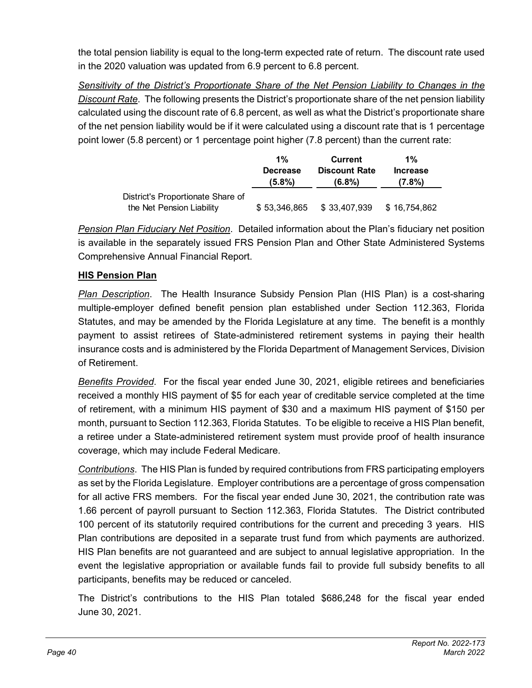the total pension liability is equal to the long-term expected rate of return. The discount rate used in the 2020 valuation was updated from 6.9 percent to 6.8 percent.

*Sensitivity of the District's Proportionate Share of the Net Pension Liability to Changes in the Discount Rate*. The following presents the District's proportionate share of the net pension liability calculated using the discount rate of 6.8 percent, as well as what the District's proportionate share of the net pension liability would be if it were calculated using a discount rate that is 1 percentage point lower (5.8 percent) or 1 percentage point higher (7.8 percent) than the current rate:

|                                                                | $1\%$           | <b>Current</b>       | 1%              |
|----------------------------------------------------------------|-----------------|----------------------|-----------------|
|                                                                | <b>Decrease</b> | <b>Discount Rate</b> | <b>Increase</b> |
|                                                                | (5.8%)          | $(6.8\%)$            | $(7.8\%)$       |
| District's Proportionate Share of<br>the Net Pension Liability | \$53.346.865    | \$33,407,939         | \$16,754,862    |

*Pension Plan Fiduciary Net Position*. Detailed information about the Plan's fiduciary net position is available in the separately issued FRS Pension Plan and Other State Administered Systems Comprehensive Annual Financial Report.

#### **HIS Pension Plan**

*Plan Description*. The Health Insurance Subsidy Pension Plan (HIS Plan) is a cost-sharing multiple-employer defined benefit pension plan established under Section 112.363, Florida Statutes, and may be amended by the Florida Legislature at any time. The benefit is a monthly payment to assist retirees of State-administered retirement systems in paying their health insurance costs and is administered by the Florida Department of Management Services, Division of Retirement.

*Benefits Provided*. For the fiscal year ended June 30, 2021, eligible retirees and beneficiaries received a monthly HIS payment of \$5 for each year of creditable service completed at the time of retirement, with a minimum HIS payment of \$30 and a maximum HIS payment of \$150 per month, pursuant to Section 112.363, Florida Statutes. To be eligible to receive a HIS Plan benefit, a retiree under a State-administered retirement system must provide proof of health insurance coverage, which may include Federal Medicare.

*Contributions*. The HIS Plan is funded by required contributions from FRS participating employers as set by the Florida Legislature. Employer contributions are a percentage of gross compensation for all active FRS members. For the fiscal year ended June 30, 2021, the contribution rate was 1.66 percent of payroll pursuant to Section 112.363, Florida Statutes. The District contributed 100 percent of its statutorily required contributions for the current and preceding 3 years. HIS Plan contributions are deposited in a separate trust fund from which payments are authorized. HIS Plan benefits are not guaranteed and are subject to annual legislative appropriation. In the event the legislative appropriation or available funds fail to provide full subsidy benefits to all participants, benefits may be reduced or canceled.

The District's contributions to the HIS Plan totaled \$686,248 for the fiscal year ended June 30, 2021.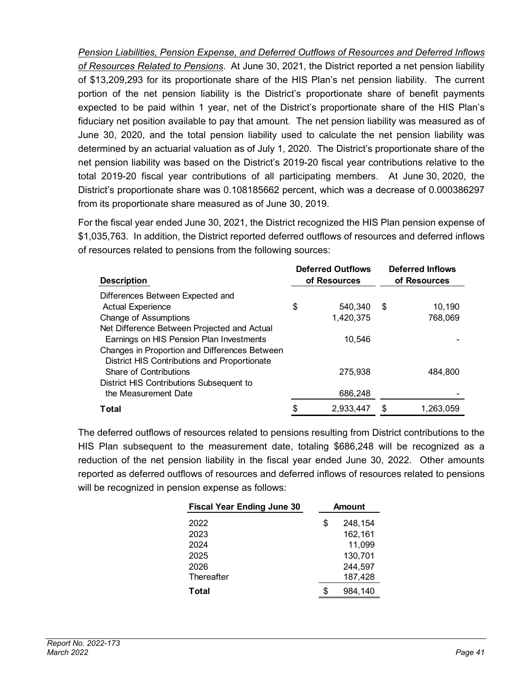*Pension Liabilities, Pension Expense, and Deferred Outflows of Resources and Deferred Inflows of Resources Related to Pensions*. At June 30, 2021, the District reported a net pension liability of \$13,209,293 for its proportionate share of the HIS Plan's net pension liability. The current portion of the net pension liability is the District's proportionate share of benefit payments expected to be paid within 1 year, net of the District's proportionate share of the HIS Plan's fiduciary net position available to pay that amount. The net pension liability was measured as of June 30, 2020, and the total pension liability used to calculate the net pension liability was determined by an actuarial valuation as of July 1, 2020. The District's proportionate share of the net pension liability was based on the District's 2019-20 fiscal year contributions relative to the total 2019-20 fiscal year contributions of all participating members. At June 30, 2020, the District's proportionate share was 0.108185662 percent, which was a decrease of 0.000386297 from its proportionate share measured as of June 30, 2019.

For the fiscal year ended June 30, 2021, the District recognized the HIS Plan pension expense of \$1,035,763. In addition, the District reported deferred outflows of resources and deferred inflows of resources related to pensions from the following sources:

| <b>Description</b>                            | <b>Deferred Outflows</b><br>of Resources |    | <b>Deferred Inflows</b><br>of Resources |
|-----------------------------------------------|------------------------------------------|----|-----------------------------------------|
| Differences Between Expected and              |                                          |    |                                         |
| <b>Actual Experience</b>                      | \$<br>540.340                            | \$ | 10.190                                  |
| <b>Change of Assumptions</b>                  | 1,420,375                                |    | 768,069                                 |
| Net Difference Between Projected and Actual   |                                          |    |                                         |
| Earnings on HIS Pension Plan Investments      | 10.546                                   |    |                                         |
| Changes in Proportion and Differences Between |                                          |    |                                         |
| District HIS Contributions and Proportionate  |                                          |    |                                         |
| <b>Share of Contributions</b>                 | 275.938                                  |    | 484.800                                 |
| District HIS Contributions Subsequent to      |                                          |    |                                         |
| the Measurement Date                          | 686,248                                  |    |                                         |
| Total                                         | \$<br>2.933.447                          | S  | 1.263.059                               |

The deferred outflows of resources related to pensions resulting from District contributions to the HIS Plan subsequent to the measurement date, totaling \$686,248 will be recognized as a reduction of the net pension liability in the fiscal year ended June 30, 2022. Other amounts reported as deferred outflows of resources and deferred inflows of resources related to pensions will be recognized in pension expense as follows:

| <b>Fiscal Year Ending June 30</b><br><b>Amount</b> |    |         |
|----------------------------------------------------|----|---------|
| 2022                                               | \$ | 248,154 |
| 2023                                               |    | 162,161 |
| 2024                                               |    | 11,099  |
| 2025                                               |    | 130,701 |
| 2026                                               |    | 244,597 |
| Thereafter                                         |    | 187,428 |
| Total                                              |    | 984.140 |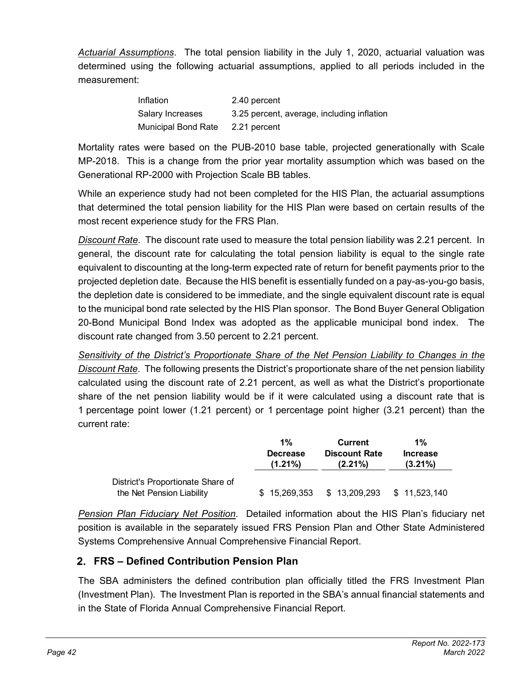*Actuarial Assumptions*. The total pension liability in the July 1, 2020, actuarial valuation was determined using the following actuarial assumptions, applied to all periods included in the measurement:

| Inflation                  | 2.40 percent                               |
|----------------------------|--------------------------------------------|
| Salary Increases           | 3.25 percent, average, including inflation |
| <b>Municipal Bond Rate</b> | 2.21 percent                               |

Mortality rates were based on the PUB-2010 base table, projected generationally with Scale MP-2018. This is a change from the prior year mortality assumption which was based on the Generational RP-2000 with Projection Scale BB tables.

While an experience study had not been completed for the HIS Plan, the actuarial assumptions that determined the total pension liability for the HIS Plan were based on certain results of the most recent experience study for the FRS Plan.

*Discount Rate*. The discount rate used to measure the total pension liability was 2.21 percent. In general, the discount rate for calculating the total pension liability is equal to the single rate equivalent to discounting at the long-term expected rate of return for benefit payments prior to the projected depletion date. Because the HIS benefit is essentially funded on a pay-as-you-go basis, the depletion date is considered to be immediate, and the single equivalent discount rate is equal to the municipal bond rate selected by the HIS Plan sponsor. The Bond Buyer General Obligation 20-Bond Municipal Bond Index was adopted as the applicable municipal bond index. The discount rate changed from 3.50 percent to 2.21 percent.

*Sensitivity of the District's Proportionate Share of the Net Pension Liability to Changes in the Discount Rate*. The following presents the District's proportionate share of the net pension liability calculated using the discount rate of 2.21 percent, as well as what the District's proportionate share of the net pension liability would be if it were calculated using a discount rate that is 1 percentage point lower (1.21 percent) or 1 percentage point higher (3.21 percent) than the current rate:

|                                                                | 1%                            | <b>Current</b>                     | $1\%$                         |
|----------------------------------------------------------------|-------------------------------|------------------------------------|-------------------------------|
|                                                                | <b>Decrease</b><br>$(1.21\%)$ | <b>Discount Rate</b><br>$(2.21\%)$ | <b>Increase</b><br>$(3.21\%)$ |
| District's Proportionate Share of<br>the Net Pension Liability | \$15,269,353                  | \$13,209,293                       | \$11.523.140                  |

*Pension Plan Fiduciary Net Position*. Detailed information about the HIS Plan's fiduciary net position is available in the separately issued FRS Pension Plan and Other State Administered Systems Comprehensive Annual Comprehensive Financial Report.

## **FRS – Defined Contribution Pension Plan**

The SBA administers the defined contribution plan officially titled the FRS Investment Plan (Investment Plan). The Investment Plan is reported in the SBA's annual financial statements and in the State of Florida Annual Comprehensive Financial Report.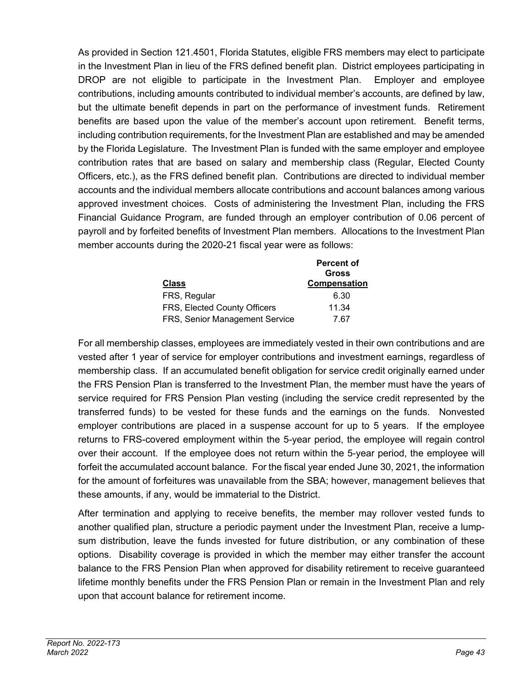As provided in Section 121.4501, Florida Statutes, eligible FRS members may elect to participate in the Investment Plan in lieu of the FRS defined benefit plan. District employees participating in DROP are not eligible to participate in the Investment Plan. Employer and employee contributions, including amounts contributed to individual member's accounts, are defined by law, but the ultimate benefit depends in part on the performance of investment funds. Retirement benefits are based upon the value of the member's account upon retirement. Benefit terms, including contribution requirements, for the Investment Plan are established and may be amended by the Florida Legislature. The Investment Plan is funded with the same employer and employee contribution rates that are based on salary and membership class (Regular, Elected County Officers, etc.), as the FRS defined benefit plan. Contributions are directed to individual member accounts and the individual members allocate contributions and account balances among various approved investment choices. Costs of administering the Investment Plan, including the FRS Financial Guidance Program, are funded through an employer contribution of 0.06 percent of payroll and by forfeited benefits of Investment Plan members. Allocations to the Investment Plan member accounts during the 2020-21 fiscal year were as follows:

|                                | <b>Percent of</b> |
|--------------------------------|-------------------|
|                                | Gross             |
| <b>Class</b>                   | Compensation      |
| FRS, Regular                   | 6.30              |
| FRS, Elected County Officers   | 11.34             |
| FRS, Senior Management Service | 7 67              |

For all membership classes, employees are immediately vested in their own contributions and are vested after 1 year of service for employer contributions and investment earnings, regardless of membership class. If an accumulated benefit obligation for service credit originally earned under the FRS Pension Plan is transferred to the Investment Plan, the member must have the years of service required for FRS Pension Plan vesting (including the service credit represented by the transferred funds) to be vested for these funds and the earnings on the funds. Nonvested employer contributions are placed in a suspense account for up to 5 years. If the employee returns to FRS-covered employment within the 5-year period, the employee will regain control over their account. If the employee does not return within the 5-year period, the employee will forfeit the accumulated account balance. For the fiscal year ended June 30, 2021, the information for the amount of forfeitures was unavailable from the SBA; however, management believes that these amounts, if any, would be immaterial to the District.

After termination and applying to receive benefits, the member may rollover vested funds to another qualified plan, structure a periodic payment under the Investment Plan, receive a lumpsum distribution, leave the funds invested for future distribution, or any combination of these options. Disability coverage is provided in which the member may either transfer the account balance to the FRS Pension Plan when approved for disability retirement to receive guaranteed lifetime monthly benefits under the FRS Pension Plan or remain in the Investment Plan and rely upon that account balance for retirement income.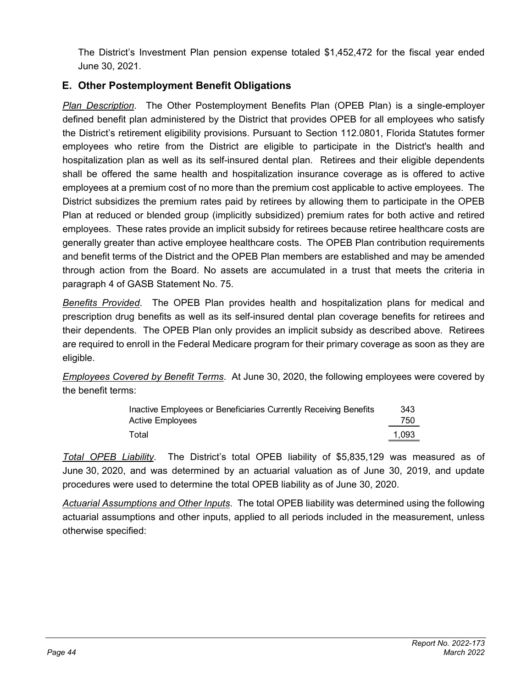The District's Investment Plan pension expense totaled \$1,452,472 for the fiscal year ended June 30, 2021.

### **E. Other Postemployment Benefit Obligations**

*Plan Description*. The Other Postemployment Benefits Plan (OPEB Plan) is a single-employer defined benefit plan administered by the District that provides OPEB for all employees who satisfy the District's retirement eligibility provisions. Pursuant to Section 112.0801, Florida Statutes former employees who retire from the District are eligible to participate in the District's health and hospitalization plan as well as its self-insured dental plan. Retirees and their eligible dependents shall be offered the same health and hospitalization insurance coverage as is offered to active employees at a premium cost of no more than the premium cost applicable to active employees. The District subsidizes the premium rates paid by retirees by allowing them to participate in the OPEB Plan at reduced or blended group (implicitly subsidized) premium rates for both active and retired employees. These rates provide an implicit subsidy for retirees because retiree healthcare costs are generally greater than active employee healthcare costs. The OPEB Plan contribution requirements and benefit terms of the District and the OPEB Plan members are established and may be amended through action from the Board. No assets are accumulated in a trust that meets the criteria in paragraph 4 of GASB Statement No. 75.

*Benefits Provided*.The OPEB Plan provides health and hospitalization plans for medical and prescription drug benefits as well as its self-insured dental plan coverage benefits for retirees and their dependents. The OPEB Plan only provides an implicit subsidy as described above. Retirees are required to enroll in the Federal Medicare program for their primary coverage as soon as they are eligible.

*Employees Covered by Benefit Terms*. At June 30, 2020, the following employees were covered by the benefit terms:

| Inactive Employees or Beneficiaries Currently Receiving Benefits | 343   |
|------------------------------------------------------------------|-------|
| <b>Active Employees</b>                                          | 750.  |
| Total                                                            | 1,093 |

*Total OPEB Liability*. The District's total OPEB liability of \$5,835,129 was measured as of June 30, 2020, and was determined by an actuarial valuation as of June 30, 2019, and update procedures were used to determine the total OPEB liability as of June 30, 2020.

*Actuarial Assumptions and Other Inputs*. The total OPEB liability was determined using the following actuarial assumptions and other inputs, applied to all periods included in the measurement, unless otherwise specified: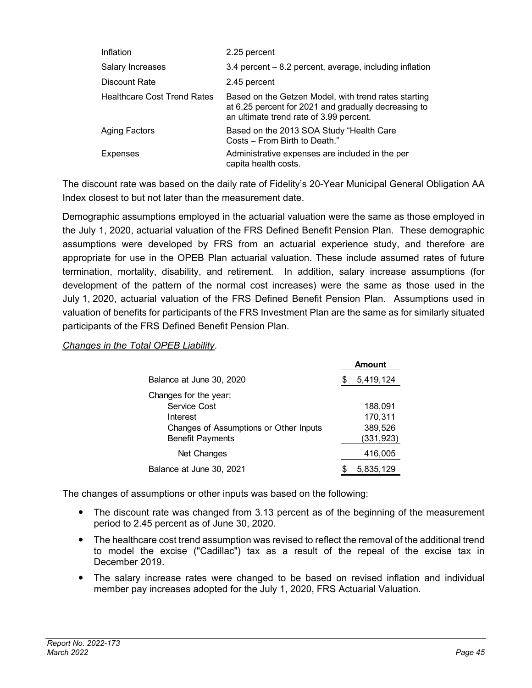| Inflation                          | 2.25 percent                                                                                                                                            |
|------------------------------------|---------------------------------------------------------------------------------------------------------------------------------------------------------|
| Salary Increases                   | 3.4 percent – 8.2 percent, average, including inflation                                                                                                 |
| Discount Rate                      | 2.45 percent                                                                                                                                            |
| <b>Healthcare Cost Trend Rates</b> | Based on the Getzen Model, with trend rates starting<br>at 6.25 percent for 2021 and gradually decreasing to<br>an ultimate trend rate of 3.99 percent. |
| <b>Aging Factors</b>               | Based on the 2013 SOA Study "Health Care<br>Costs – From Birth to Death."                                                                               |
| <b>Expenses</b>                    | Administrative expenses are included in the per<br>capita health costs.                                                                                 |

The discount rate was based on the daily rate of Fidelity's 20-Year Municipal General Obligation AA Index closest to but not later than the measurement date.

Demographic assumptions employed in the actuarial valuation were the same as those employed in the July 1, 2020, actuarial valuation of the FRS Defined Benefit Pension Plan. These demographic assumptions were developed by FRS from an actuarial experience study, and therefore are appropriate for use in the OPEB Plan actuarial valuation. These include assumed rates of future termination, mortality, disability, and retirement. In addition, salary increase assumptions (for development of the pattern of the normal cost increases) were the same as those used in the July 1, 2020, actuarial valuation of the FRS Defined Benefit Pension Plan. Assumptions used in valuation of benefits for participants of the FRS Investment Plan are the same as for similarly situated participants of the FRS Defined Benefit Pension Plan.

#### *Changes in the Total OPEB Liability*.

|                                        | <b>Amount</b> |
|----------------------------------------|---------------|
| Balance at June 30, 2020               | 5,419,124     |
| Changes for the year:                  |               |
| Service Cost                           | 188,091       |
| Interest                               | 170,311       |
| Changes of Assumptions or Other Inputs | 389,526       |
| <b>Benefit Payments</b>                | (331, 923)    |
| Net Changes                            | 416,005       |
| Balance at June 30, 2021               | 5.835.129     |

The changes of assumptions or other inputs was based on the following:

- The discount rate was changed from 3.13 percent as of the beginning of the measurement period to 2.45 percent as of June 30, 2020.
- The healthcare cost trend assumption was revised to reflect the removal of the additional trend to model the excise ("Cadillac") tax as a result of the repeal of the excise tax in December 2019.
- The salary increase rates were changed to be based on revised inflation and individual member pay increases adopted for the July 1, 2020, FRS Actuarial Valuation.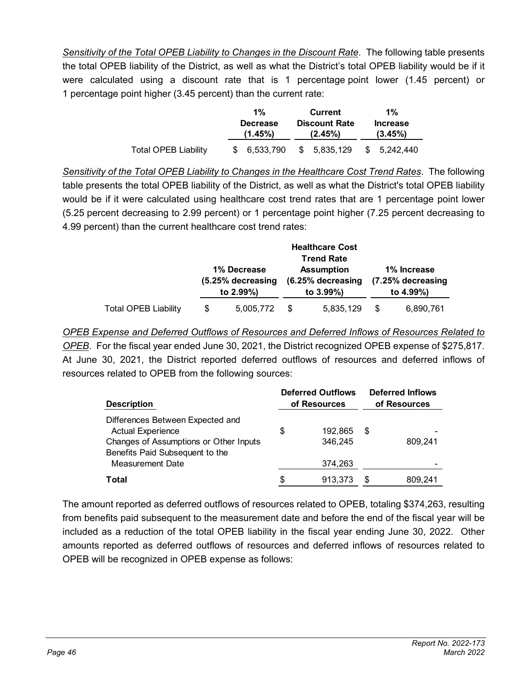*Sensitivity of the Total OPEB Liability to Changes in the Discount Rate*. The following table presents the total OPEB liability of the District, as well as what the District's total OPEB liability would be if it were calculated using a discount rate that is 1 percentage point lower (1.45 percent) or 1 percentage point higher (3.45 percent) than the current rate:

|                             | $1\%$<br><b>Decrease</b><br>$(1.45\%)$ |              | <b>Current</b><br><b>Discount Rate</b><br>$(2.45\%)$ | $1\%$<br><b>Increase</b><br>(3.45%) |
|-----------------------------|----------------------------------------|--------------|------------------------------------------------------|-------------------------------------|
| <b>Total OPEB Liability</b> |                                        | \$ 6,533,790 | \$ 5,835,129                                         | \$5,242,440                         |

*Sensitivity of the Total OPEB Liability to Changes in the Healthcare Cost Trend Rates*. The following table presents the total OPEB liability of the District, as well as what the District's total OPEB liability would be if it were calculated using healthcare cost trend rates that are 1 percentage point lower (5.25 percent decreasing to 2.99 percent) or 1 percentage point higher (7.25 percent decreasing to 4.99 percent) than the current healthcare cost trend rates:

|                             |                                               |           |                                                         | <b>Healthcare Cost</b><br><b>Trend Rate</b> |                                               |           |
|-----------------------------|-----------------------------------------------|-----------|---------------------------------------------------------|---------------------------------------------|-----------------------------------------------|-----------|
|                             | 1% Decrease<br>(5.25% decreasing<br>to 2.99%) |           | <b>Assumption</b><br>(6.25% decreasing<br>to $3.99\%$ ) |                                             | 1% Increase<br>(7.25% decreasing<br>to 4.99%) |           |
| <b>Total OPEB Liability</b> | S                                             | 5,005,772 | S                                                       | 5,835,129                                   | S                                             | 6,890,761 |

*OPEB Expense and Deferred Outflows of Resources and Deferred Inflows of Resources Related to OPEB*. For the fiscal year ended June 30, 2021, the District recognized OPEB expense of \$275,817. At June 30, 2021, the District reported deferred outflows of resources and deferred inflows of resources related to OPEB from the following sources:

| <b>Description</b>                                                                                     |    | <b>Deferred Outflows</b><br>of Resources | <b>Deferred Inflows</b><br>of Resources |
|--------------------------------------------------------------------------------------------------------|----|------------------------------------------|-----------------------------------------|
| Differences Between Expected and<br><b>Actual Experience</b><br>Changes of Assumptions or Other Inputs | \$ | 192.865<br>346,245                       | \$<br>809.241                           |
| Benefits Paid Subsequent to the<br><b>Measurement Date</b>                                             |    | 374,263                                  |                                         |
| Total                                                                                                  | S  | 913,373                                  | \$<br>809,241                           |

The amount reported as deferred outflows of resources related to OPEB, totaling \$374,263, resulting from benefits paid subsequent to the measurement date and before the end of the fiscal year will be included as a reduction of the total OPEB liability in the fiscal year ending June 30, 2022. Other amounts reported as deferred outflows of resources and deferred inflows of resources related to OPEB will be recognized in OPEB expense as follows: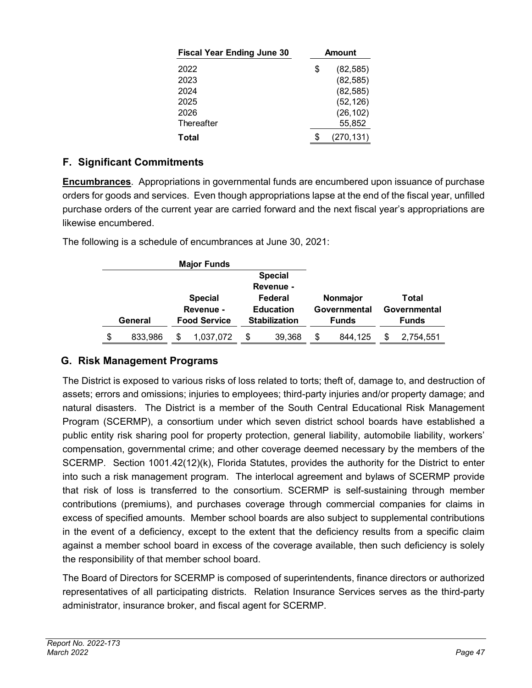| <b>Fiscal Year Ending June 30</b> | Amount |            |  |
|-----------------------------------|--------|------------|--|
| 2022                              | S      | (82, 585)  |  |
| 2023                              |        | (82, 585)  |  |
| 2024                              |        | (82, 585)  |  |
| 2025                              |        | (52, 126)  |  |
| 2026                              |        | (26, 102)  |  |
| Thereafter                        |        | 55,852     |  |
| Total                             | S      | (270, 131) |  |

## **F. Significant Commitments**

**Encumbrances**. Appropriations in governmental funds are encumbered upon issuance of purchase orders for goods and services. Even though appropriations lapse at the end of the fiscal year, unfilled purchase orders of the current year are carried forward and the next fiscal year's appropriations are likewise encumbered.

|                |         |                           | <b>Major Funds</b>  |                  |                      |          |              |              |              |
|----------------|---------|---------------------------|---------------------|------------------|----------------------|----------|--------------|--------------|--------------|
| <b>Special</b> |         |                           |                     |                  |                      |          |              |              |              |
|                |         | Revenue -                 |                     |                  |                      |          |              |              |              |
|                |         | Federal<br><b>Special</b> |                     |                  |                      | Nonmajor | Total        |              |              |
|                |         |                           | Revenue -           | <b>Education</b> |                      |          | Governmental | Governmental |              |
|                | General |                           | <b>Food Service</b> |                  | <b>Stabilization</b> |          | <b>Funds</b> |              | <b>Funds</b> |
| \$             | 833,986 |                           | 1,037,072           | \$               | 39,368               |          | 844,125      |              | 2,754,551    |

The following is a schedule of encumbrances at June 30, 2021:

## **G. Risk Management Programs**

The District is exposed to various risks of loss related to torts; theft of, damage to, and destruction of assets; errors and omissions; injuries to employees; third-party injuries and/or property damage; and natural disasters. The District is a member of the South Central Educational Risk Management Program (SCERMP), a consortium under which seven district school boards have established a public entity risk sharing pool for property protection, general liability, automobile liability, workers' compensation, governmental crime; and other coverage deemed necessary by the members of the SCERMP. Section 1001.42(12)(k), Florida Statutes, provides the authority for the District to enter into such a risk management program. The interlocal agreement and bylaws of SCERMP provide that risk of loss is transferred to the consortium. SCERMP is self-sustaining through member contributions (premiums), and purchases coverage through commercial companies for claims in excess of specified amounts. Member school boards are also subject to supplemental contributions in the event of a deficiency, except to the extent that the deficiency results from a specific claim against a member school board in excess of the coverage available, then such deficiency is solely the responsibility of that member school board.

The Board of Directors for SCERMP is composed of superintendents, finance directors or authorized representatives of all participating districts. Relation Insurance Services serves as the third-party administrator, insurance broker, and fiscal agent for SCERMP.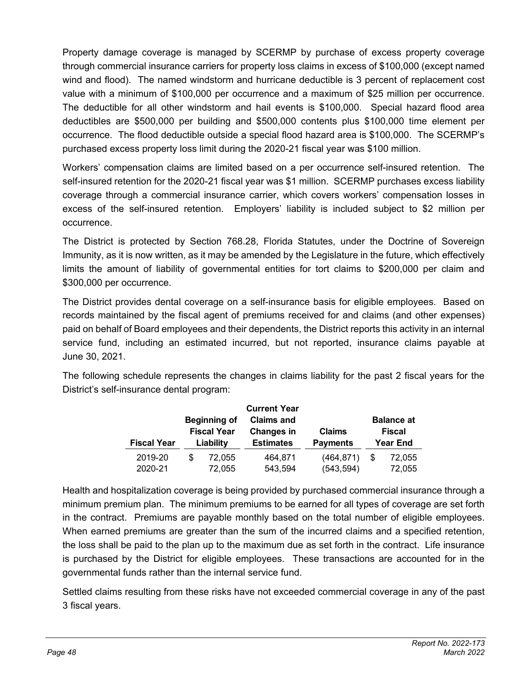Property damage coverage is managed by SCERMP by purchase of excess property coverage through commercial insurance carriers for property loss claims in excess of \$100,000 (except named wind and flood). The named windstorm and hurricane deductible is 3 percent of replacement cost value with a minimum of \$100,000 per occurrence and a maximum of \$25 million per occurrence. The deductible for all other windstorm and hail events is \$100,000. Special hazard flood area deductibles are \$500,000 per building and \$500,000 contents plus \$100,000 time element per occurrence. The flood deductible outside a special flood hazard area is \$100,000. The SCERMP's purchased excess property loss limit during the 2020-21 fiscal year was \$100 million.

Workers' compensation claims are limited based on a per occurrence self-insured retention. The self-insured retention for the 2020-21 fiscal year was \$1 million. SCERMP purchases excess liability coverage through a commercial insurance carrier, which covers workers' compensation losses in excess of the self-insured retention. Employers' liability is included subject to \$2 million per occurrence.

The District is protected by Section 768.28, Florida Statutes, under the Doctrine of Sovereign Immunity, as it is now written, as it may be amended by the Legislature in the future, which effectively limits the amount of liability of governmental entities for tort claims to \$200,000 per claim and \$300,000 per occurrence.

The District provides dental coverage on a self-insurance basis for eligible employees. Based on records maintained by the fiscal agent of premiums received for and claims (and other expenses) paid on behalf of Board employees and their dependents, the District reports this activity in an internal service fund, including an estimated incurred, but not reported, insurance claims payable at June 30, 2021.

The following schedule represents the changes in claims liability for the past 2 fiscal years for the District's self-insurance dental program:

|                    |                    |                     | <b>Current Year</b> |            |                   |                 |  |  |
|--------------------|--------------------|---------------------|---------------------|------------|-------------------|-----------------|--|--|
|                    |                    | <b>Beginning of</b> | <b>Claims and</b>   |            | <b>Balance at</b> |                 |  |  |
|                    | <b>Fiscal Year</b> |                     | <b>Changes in</b>   |            | <b>Fiscal</b>     |                 |  |  |
| <b>Fiscal Year</b> | Liability          |                     | <b>Estimates</b>    |            |                   | <b>Year End</b> |  |  |
| 2019-20            | \$                 | 72.055              | 464,871             | (464, 871) |                   | 72,055          |  |  |
| 2020-21            |                    | 72,055              | 543,594             | (543, 594) |                   | 72,055          |  |  |

Health and hospitalization coverage is being provided by purchased commercial insurance through a minimum premium plan. The minimum premiums to be earned for all types of coverage are set forth in the contract. Premiums are payable monthly based on the total number of eligible employees. When earned premiums are greater than the sum of the incurred claims and a specified retention, the loss shall be paid to the plan up to the maximum due as set forth in the contract. Life insurance is purchased by the District for eligible employees. These transactions are accounted for in the governmental funds rather than the internal service fund.

Settled claims resulting from these risks have not exceeded commercial coverage in any of the past 3 fiscal years.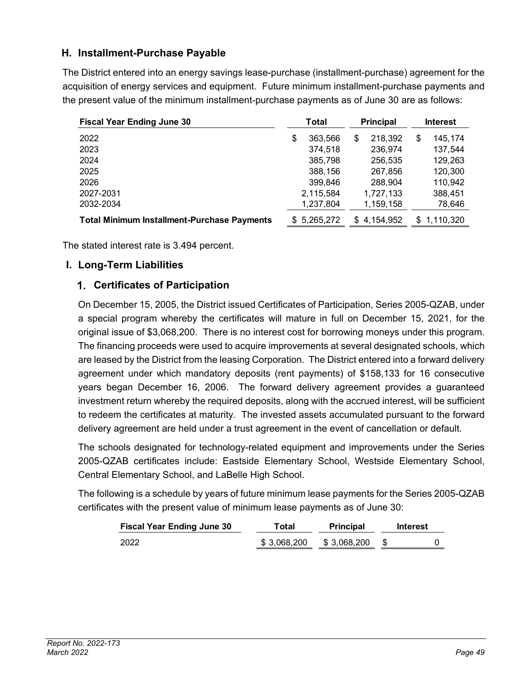#### **H. Installment-Purchase Payable**

The District entered into an energy savings lease-purchase (installment-purchase) agreement for the acquisition of energy services and equipment. Future minimum installment-purchase payments and the present value of the minimum installment-purchase payments as of June 30 are as follows:

| <b>Fiscal Year Ending June 30</b>                  |    | Total       |   | <b>Principal</b> |   | <b>Interest</b> |  |
|----------------------------------------------------|----|-------------|---|------------------|---|-----------------|--|
| 2022                                               | \$ | 363.566     | S | 218,392          | S | 145.174         |  |
| 2023                                               |    | 374,518     |   | 236,974          |   | 137,544         |  |
| 2024                                               |    | 385,798     |   | 256,535          |   | 129,263         |  |
| 2025                                               |    | 388,156     |   | 267,856          |   | 120,300         |  |
| 2026                                               |    | 399,846     |   | 288,904          |   | 110,942         |  |
| 2027-2031                                          |    | 2,115,584   |   | 1,727,133        |   | 388,451         |  |
| 2032-2034                                          |    | 1,237,804   |   | 1,159,158        |   | 78,646          |  |
| <b>Total Minimum Installment-Purchase Payments</b> |    | \$5,265,272 |   | \$4,154,952      |   | \$1,110,320     |  |

The stated interest rate is 3.494 percent.

#### **I. Long-Term Liabilities**

#### **Certificates of Participation**

On December 15, 2005, the District issued Certificates of Participation, Series 2005-QZAB, under a special program whereby the certificates will mature in full on December 15, 2021, for the original issue of \$3,068,200. There is no interest cost for borrowing moneys under this program. The financing proceeds were used to acquire improvements at several designated schools, which are leased by the District from the leasing Corporation. The District entered into a forward delivery agreement under which mandatory deposits (rent payments) of \$158,133 for 16 consecutive years began December 16, 2006. The forward delivery agreement provides a guaranteed investment return whereby the required deposits, along with the accrued interest, will be sufficient to redeem the certificates at maturity. The invested assets accumulated pursuant to the forward delivery agreement are held under a trust agreement in the event of cancellation or default.

The schools designated for technology-related equipment and improvements under the Series 2005-QZAB certificates include: Eastside Elementary School, Westside Elementary School, Central Elementary School, and LaBelle High School.

The following is a schedule by years of future minimum lease payments for the Series 2005-QZAB certificates with the present value of minimum lease payments as of June 30:

| <b>Fiscal Year Ending June 30</b> | Total       | <b>Principal</b> | <b>Interest</b> |  |  |  |
|-----------------------------------|-------------|------------------|-----------------|--|--|--|
| 2022                              | \$3.068.200 | \$3.068.200      |                 |  |  |  |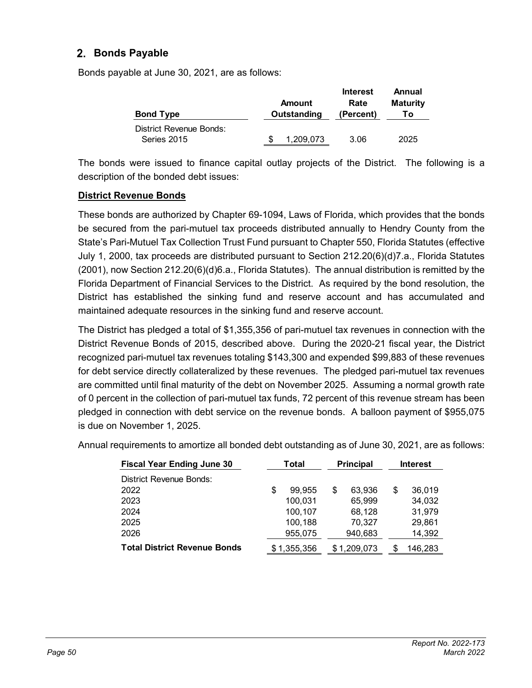#### **Bonds Payable**

Bonds payable at June 30, 2021, are as follows:

| <b>Bond Type</b>                       | Amount<br>Outstanding | <b>Interest</b><br>Rate<br>(Percent) | Annual<br><b>Maturity</b><br>Т٥ |  |  |
|----------------------------------------|-----------------------|--------------------------------------|---------------------------------|--|--|
| District Revenue Bonds:<br>Series 2015 | 1,209,073             | 3.06                                 | 2025                            |  |  |

The bonds were issued to finance capital outlay projects of the District. The following is a description of the bonded debt issues:

#### **District Revenue Bonds**

These bonds are authorized by Chapter 69-1094, Laws of Florida, which provides that the bonds be secured from the pari-mutuel tax proceeds distributed annually to Hendry County from the State's Pari-Mutuel Tax Collection Trust Fund pursuant to Chapter 550, Florida Statutes (effective July 1, 2000, tax proceeds are distributed pursuant to Section 212.20(6)(d)7.a., Florida Statutes (2001), now Section 212.20(6)(d)6.a., Florida Statutes). The annual distribution is remitted by the Florida Department of Financial Services to the District. As required by the bond resolution, the District has established the sinking fund and reserve account and has accumulated and maintained adequate resources in the sinking fund and reserve account.

The District has pledged a total of \$1,355,356 of pari-mutuel tax revenues in connection with the District Revenue Bonds of 2015, described above. During the 2020-21 fiscal year, the District recognized pari-mutuel tax revenues totaling \$143,300 and expended \$99,883 of these revenues for debt service directly collateralized by these revenues. The pledged pari-mutuel tax revenues are committed until final maturity of the debt on November 2025. Assuming a normal growth rate of 0 percent in the collection of pari-mutuel tax funds, 72 percent of this revenue stream has been pledged in connection with debt service on the revenue bonds. A balloon payment of \$955,075 is due on November 1, 2025.

| <b>Fiscal Year Ending June 30</b>   |   | Total       | <b>Principal</b> | <b>Interest</b> |         |  |
|-------------------------------------|---|-------------|------------------|-----------------|---------|--|
| District Revenue Bonds:             |   |             |                  |                 |         |  |
| 2022                                | S | 99.955      | \$<br>63,936     | \$              | 36,019  |  |
| 2023                                |   | 100,031     | 65,999           |                 | 34,032  |  |
| 2024                                |   | 100,107     | 68,128           |                 | 31,979  |  |
| 2025                                |   | 100,188     | 70,327           |                 | 29,861  |  |
| 2026                                |   | 955,075     | 940,683          |                 | 14,392  |  |
| <b>Total District Revenue Bonds</b> |   | \$1,355,356 | \$1,209,073      |                 | 146,283 |  |

Annual requirements to amortize all bonded debt outstanding as of June 30, 2021, are as follows: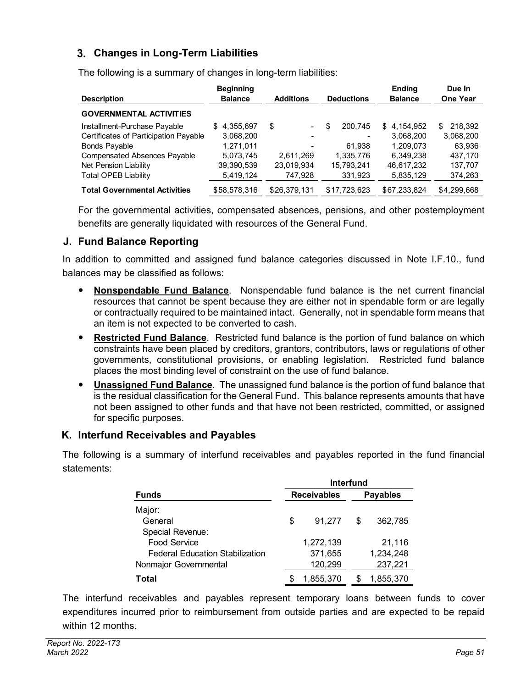### **Changes in Long-Term Liabilities**

| <b>Description</b>                    | <b>Beginning</b><br><b>Balance</b> | <b>Additions</b>               | <b>Deductions</b> | <b>Ending</b><br><b>Balance</b> | Due In<br><b>One Year</b> |
|---------------------------------------|------------------------------------|--------------------------------|-------------------|---------------------------------|---------------------------|
| <b>GOVERNMENTAL ACTIVITIES</b>        |                                    |                                |                   |                                 |                           |
| Installment-Purchase Payable          | 4,355,697<br>\$.                   | \$<br>$\overline{\phantom{0}}$ | \$<br>200.745     | 4.154.952<br>\$.                | 218.392<br>\$.            |
| Certificates of Participation Payable | 3,068,200                          |                                |                   | 3.068.200                       | 3,068,200                 |
| <b>Bonds Payable</b>                  | 1,271,011                          |                                | 61.938            | 1.209.073                       | 63,936                    |
| <b>Compensated Absences Payable</b>   | 5.073.745                          | 2.611.269                      | 1,335,776         | 6.349.238                       | 437.170                   |
| Net Pension Liability                 | 39,390,539                         | 23,019,934                     | 15,793,241        | 46.617.232                      | 137,707                   |
| <b>Total OPEB Liability</b>           | 5,419,124                          | 747,928                        | 331,923           | 5,835,129                       | 374,263                   |
| <b>Total Governmental Activities</b>  | \$58,578,316                       | \$26,379,131                   | \$17,723,623      | \$67,233,824                    | \$4,299,668               |

The following is a summary of changes in long-term liabilities:

For the governmental activities, compensated absences, pensions, and other postemployment benefits are generally liquidated with resources of the General Fund.

#### **J. Fund Balance Reporting**

In addition to committed and assigned fund balance categories discussed in Note I.F.10., fund balances may be classified as follows:

- **Nonspendable Fund Balance**. Nonspendable fund balance is the net current financial resources that cannot be spent because they are either not in spendable form or are legally or contractually required to be maintained intact. Generally, not in spendable form means that an item is not expected to be converted to cash.
- **Restricted Fund Balance**. Restricted fund balance is the portion of fund balance on which constraints have been placed by creditors, grantors, contributors, laws or regulations of other governments, constitutional provisions, or enabling legislation. Restricted fund balance places the most binding level of constraint on the use of fund balance.
- **Unassigned Fund Balance**. The unassigned fund balance is the portion of fund balance that is the residual classification for the General Fund. This balance represents amounts that have not been assigned to other funds and that have not been restricted, committed, or assigned for specific purposes.

#### **K. Interfund Receivables and Payables**

The following is a summary of interfund receivables and payables reported in the fund financial statements:

|                                        | <b>Interfund</b> |                    |                 |           |  |  |  |  |  |
|----------------------------------------|------------------|--------------------|-----------------|-----------|--|--|--|--|--|
| <b>Funds</b>                           |                  | <b>Receivables</b> | <b>Payables</b> |           |  |  |  |  |  |
| Major:                                 |                  |                    |                 |           |  |  |  |  |  |
| General                                | \$               | 91,277             | S               | 362.785   |  |  |  |  |  |
| Special Revenue:                       |                  |                    |                 |           |  |  |  |  |  |
| <b>Food Service</b>                    |                  | 1,272,139          |                 | 21,116    |  |  |  |  |  |
| <b>Federal Education Stabilization</b> |                  | 371,655            |                 | 1,234,248 |  |  |  |  |  |
| Nonmajor Governmental                  |                  | 120,299            |                 | 237,221   |  |  |  |  |  |
| Total                                  |                  | 1,855,370          |                 | 1,855,370 |  |  |  |  |  |

The interfund receivables and payables represent temporary loans between funds to cover expenditures incurred prior to reimbursement from outside parties and are expected to be repaid within 12 months.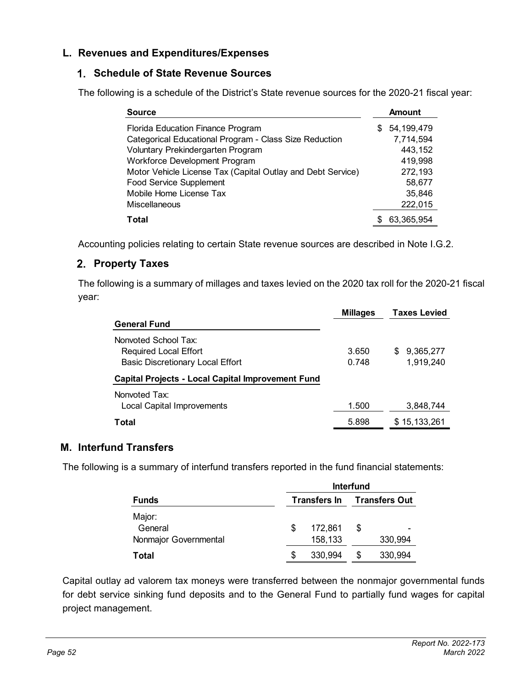#### **L. Revenues and Expenditures/Expenses**

#### **Schedule of State Revenue Sources**

The following is a schedule of the District's State revenue sources for the 2020-21 fiscal year:

| <b>Source</b>                                               |   | Amount       |
|-------------------------------------------------------------|---|--------------|
| Florida Education Finance Program                           | S | 54, 199, 479 |
| Categorical Educational Program - Class Size Reduction      |   | 7,714,594    |
| Voluntary Prekindergarten Program                           |   | 443,152      |
| Workforce Development Program                               |   | 419,998      |
| Motor Vehicle License Tax (Capital Outlay and Debt Service) |   | 272,193      |
| Food Service Supplement                                     |   | 58,677       |
| Mobile Home License Tax                                     |   | 35,846       |
| Miscellaneous                                               |   | 222,015      |
| Total                                                       |   | 63,365,954   |

Accounting policies relating to certain State revenue sources are described in Note I.G.2.

#### **Property Taxes**

The following is a summary of millages and taxes levied on the 2020 tax roll for the 2020-21 fiscal year:

|                                                          | <b>Millages</b> | <b>Taxes Levied</b> |  |  |  |
|----------------------------------------------------------|-----------------|---------------------|--|--|--|
| <b>General Fund</b>                                      |                 |                     |  |  |  |
| Nonvoted School Tax:                                     |                 |                     |  |  |  |
| Required Local Effort                                    | 3.650           | 9,365,277<br>S      |  |  |  |
| <b>Basic Discretionary Local Effort</b>                  | 0.748           | 1,919,240           |  |  |  |
| <b>Capital Projects - Local Capital Improvement Fund</b> |                 |                     |  |  |  |
| Nonvoted Tax:                                            |                 |                     |  |  |  |
| Local Capital Improvements                               | 1.500           | 3,848,744           |  |  |  |
| Total                                                    | 5.898           | \$15,133,261        |  |  |  |

#### **M. Interfund Transfers**

The following is a summary of interfund transfers reported in the fund financial statements:

|                       | <b>Interfund</b> |         |   |                                   |  |  |  |  |  |  |
|-----------------------|------------------|---------|---|-----------------------------------|--|--|--|--|--|--|
| <b>Funds</b>          |                  |         |   | <b>Transfers In Transfers Out</b> |  |  |  |  |  |  |
| Major:                |                  |         |   |                                   |  |  |  |  |  |  |
| General               | S                | 172,861 | S |                                   |  |  |  |  |  |  |
| Nonmajor Governmental |                  | 158,133 |   | 330,994                           |  |  |  |  |  |  |
| Total                 | \$               | 330,994 |   | 330,994                           |  |  |  |  |  |  |

Capital outlay ad valorem tax moneys were transferred between the nonmajor governmental funds for debt service sinking fund deposits and to the General Fund to partially fund wages for capital project management.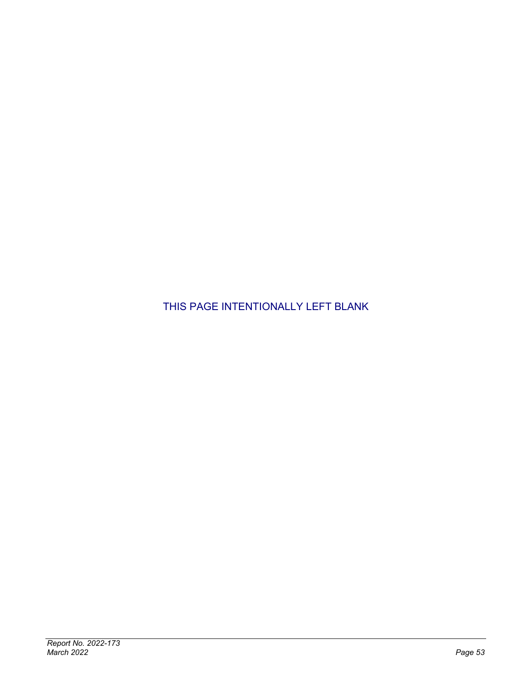THIS PAGE INTENTIONALLY LEFT BLANK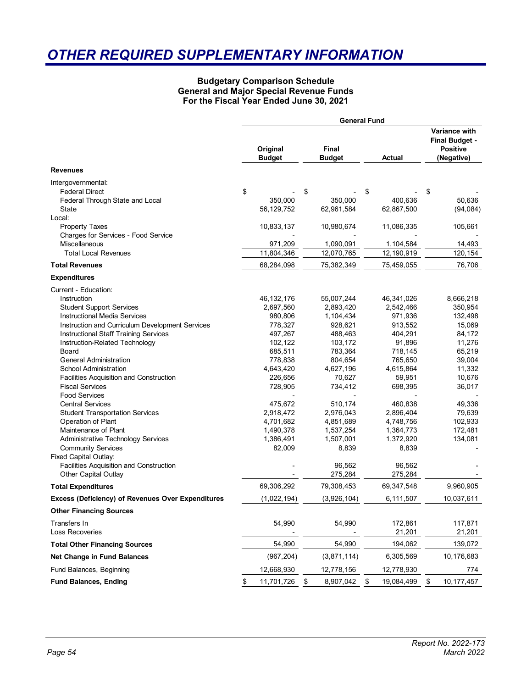## *OTHER REQUIRED SUPPLEMENTARY INFORMATION*

#### **Budgetary Comparison Schedule General and Major Special Revenue Funds For the Fiscal Year Ended June 30, 2021**

|                                                                                | <b>General Fund</b> |                                    |    |                         |        |                         |    |                                                                         |
|--------------------------------------------------------------------------------|---------------------|------------------------------------|----|-------------------------|--------|-------------------------|----|-------------------------------------------------------------------------|
|                                                                                |                     | Original<br>Final<br><b>Budget</b> |    | <b>Budget</b>           | Actual |                         |    | Variance with<br><b>Final Budget -</b><br><b>Positive</b><br>(Negative) |
| <b>Revenues</b>                                                                |                     |                                    |    |                         |        |                         |    |                                                                         |
| Intergovernmental:<br><b>Federal Direct</b><br>Federal Through State and Local | \$                  | 350,000                            | \$ | 350,000                 | \$     | 400,636                 | \$ | 50,636                                                                  |
| State<br>Local:                                                                |                     | 56,129,752                         |    | 62,961,584              |        | 62,867,500              |    | (94, 084)                                                               |
| <b>Property Taxes</b><br>Charges for Services - Food Service<br>Miscellaneous  |                     | 10,833,137<br>971,209              |    | 10,980,674<br>1,090,091 |        | 11,086,335<br>1,104,584 |    | 105,661<br>14,493                                                       |
| <b>Total Local Revenues</b>                                                    |                     | 11,804,346                         |    | 12,070,765              |        | 12,190,919              |    | 120,154                                                                 |
| <b>Total Revenues</b>                                                          |                     | 68,284,098                         |    | 75,382,349              |        | 75,459,055              |    | 76,706                                                                  |
| <b>Expenditures</b>                                                            |                     |                                    |    |                         |        |                         |    |                                                                         |
| Current - Education:                                                           |                     |                                    |    |                         |        |                         |    |                                                                         |
| Instruction<br><b>Student Support Services</b>                                 |                     | 46, 132, 176<br>2,697,560          |    | 55,007,244<br>2,893,420 |        | 46,341,026<br>2,542,466 |    | 8,666,218<br>350,954                                                    |
| <b>Instructional Media Services</b>                                            |                     | 980,806                            |    | 1,104,434               |        | 971,936                 |    | 132,498                                                                 |
| Instruction and Curriculum Development Services                                |                     | 778,327                            |    | 928,621                 |        | 913,552                 |    | 15,069                                                                  |
| Instructional Staff Training Services                                          |                     | 497,267                            |    | 488,463                 |        | 404,291                 |    | 84,172                                                                  |
| Instruction-Related Technology                                                 |                     | 102,122                            |    | 103,172                 |        | 91,896                  |    | 11,276                                                                  |
| Board                                                                          |                     | 685,511                            |    | 783,364                 |        | 718,145                 |    | 65,219                                                                  |
| <b>General Administration</b>                                                  |                     | 778,838                            |    | 804,654                 |        | 765,650                 |    | 39,004                                                                  |
| <b>School Administration</b>                                                   |                     | 4,643,420                          |    | 4,627,196               |        | 4,615,864               |    | 11,332                                                                  |
| <b>Facilities Acquisition and Construction</b>                                 |                     | 226,656                            |    | 70,627                  |        | 59,951                  |    | 10,676                                                                  |
| <b>Fiscal Services</b><br><b>Food Services</b>                                 |                     | 728,905                            |    | 734,412                 |        | 698,395                 |    | 36,017                                                                  |
| <b>Central Services</b>                                                        |                     | 475,672                            |    | 510,174                 |        | 460,838                 |    | 49,336                                                                  |
| <b>Student Transportation Services</b>                                         |                     | 2,918,472                          |    | 2,976,043               |        | 2,896,404               |    | 79,639                                                                  |
| Operation of Plant                                                             |                     | 4,701,682                          |    | 4,851,689               |        | 4,748,756               |    | 102,933                                                                 |
| Maintenance of Plant                                                           |                     | 1,490,378                          |    | 1,537,254               |        | 1,364,773               |    | 172,481                                                                 |
| Administrative Technology Services                                             |                     | 1,386,491                          |    | 1,507,001               |        | 1,372,920               |    | 134,081                                                                 |
| <b>Community Services</b><br>Fixed Capital Outlay:                             |                     | 82,009                             |    | 8,839                   |        | 8,839                   |    |                                                                         |
| <b>Facilities Acquisition and Construction</b><br>Other Capital Outlay         |                     |                                    |    | 96,562<br>275,284       |        | 96,562<br>275,284       |    |                                                                         |
| <b>Total Expenditures</b>                                                      |                     | 69,306,292                         |    | 79,308,453              |        | 69,347,548              |    | 9,960,905                                                               |
| <b>Excess (Deficiency) of Revenues Over Expenditures</b>                       |                     | (1,022,194)                        |    | (3,926,104)             |        | 6,111,507               |    | 10,037,611                                                              |
| <b>Other Financing Sources</b>                                                 |                     |                                    |    |                         |        |                         |    |                                                                         |
| Transfers In<br><b>Loss Recoveries</b>                                         |                     | 54,990                             |    | 54,990                  |        | 172,861<br>21,201       |    | 117,871<br>21,201                                                       |
| <b>Total Other Financing Sources</b>                                           |                     | 54,990                             |    | 54,990                  |        | 194,062                 |    | 139,072                                                                 |
| <b>Net Change in Fund Balances</b>                                             |                     | (967, 204)                         |    | (3,871,114)             |        | 6,305,569               |    | 10,176,683                                                              |
| Fund Balances, Beginning                                                       |                     | 12,668,930                         |    | 12,778,156              |        | 12,778,930              |    | 774                                                                     |
| <b>Fund Balances, Ending</b>                                                   | \$                  | 11,701,726                         | \$ | 8,907,042               | \$     | 19,084,499              | \$ | 10,177,457                                                              |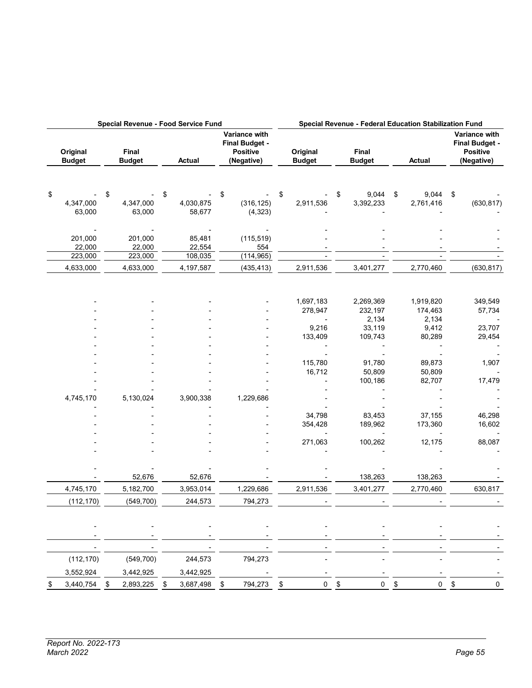|                           |            | Special Revenue - Food Service Fund |                 |                                                                  | Special Revenue - Federal Education Stabilization Fund |                           |              |                        |    |                         |    |                                                                  |
|---------------------------|------------|-------------------------------------|-----------------|------------------------------------------------------------------|--------------------------------------------------------|---------------------------|--------------|------------------------|----|-------------------------|----|------------------------------------------------------------------|
| Original<br><b>Budget</b> |            | Final<br><b>Budget</b>              | Actual          | Variance with<br>Final Budget -<br><b>Positive</b><br>(Negative) |                                                        | Original<br><b>Budget</b> |              | Final<br><b>Budget</b> |    | <b>Actual</b>           |    | Variance with<br>Final Budget -<br><b>Positive</b><br>(Negative) |
|                           |            |                                     |                 |                                                                  |                                                        |                           |              |                        |    |                         |    |                                                                  |
| \$                        | 4,347,000  | \$<br>4,347,000                     | \$<br>4,030,875 | \$<br>(316, 125)                                                 | \$                                                     | 2,911,536                 | \$           | 9,044<br>3,392,233     | \$ | $9,044$ \$<br>2,761,416 |    | (630, 817)                                                       |
|                           | 63,000     | 63,000                              | 58,677          | (4, 323)                                                         |                                                        |                           |              |                        |    |                         |    |                                                                  |
|                           |            |                                     |                 |                                                                  |                                                        |                           |              |                        |    |                         |    |                                                                  |
|                           | 201,000    | 201,000                             | 85,481          | (115, 519)                                                       |                                                        |                           |              |                        |    |                         |    |                                                                  |
|                           | 22,000     | 22,000                              | 22,554          | 554                                                              |                                                        |                           |              |                        |    |                         |    |                                                                  |
|                           | 223,000    | 223,000                             | 108,035         | (114, 965)                                                       |                                                        |                           |              |                        |    |                         |    |                                                                  |
|                           | 4,633,000  | 4,633,000                           | 4,197,587       | (435, 413)                                                       |                                                        | 2,911,536                 |              | 3,401,277              |    | 2,770,460               |    | (630, 817)                                                       |
|                           |            |                                     |                 |                                                                  |                                                        |                           |              |                        |    |                         |    |                                                                  |
|                           |            |                                     |                 |                                                                  |                                                        | 1,697,183                 |              | 2,269,369              |    | 1,919,820               |    | 349,549                                                          |
|                           |            |                                     |                 |                                                                  |                                                        | 278,947                   |              | 232,197                |    | 174,463                 |    | 57,734                                                           |
|                           |            |                                     |                 |                                                                  |                                                        |                           |              | 2,134                  |    | 2,134                   |    |                                                                  |
|                           |            |                                     |                 |                                                                  |                                                        | 9,216<br>133,409          |              | 33,119<br>109,743      |    | 9,412<br>80,289         |    | 23,707<br>29,454                                                 |
|                           |            |                                     |                 |                                                                  |                                                        |                           |              |                        |    |                         |    |                                                                  |
|                           |            |                                     |                 |                                                                  |                                                        |                           |              |                        |    |                         |    |                                                                  |
|                           |            |                                     |                 |                                                                  |                                                        | 115,780                   |              | 91,780                 |    | 89,873                  |    | 1,907                                                            |
|                           |            |                                     |                 |                                                                  |                                                        | 16,712                    |              | 50,809                 |    | 50,809                  |    |                                                                  |
|                           |            |                                     |                 |                                                                  |                                                        |                           |              | 100,186                |    | 82,707                  |    | 17,479                                                           |
|                           | 4,745,170  | 5,130,024                           | 3,900,338       | 1,229,686                                                        |                                                        |                           |              |                        |    |                         |    |                                                                  |
|                           |            |                                     |                 |                                                                  |                                                        |                           |              |                        |    |                         |    |                                                                  |
|                           |            |                                     |                 |                                                                  |                                                        | 34,798                    |              | 83,453                 |    | 37,155                  |    | 46,298                                                           |
|                           |            |                                     |                 |                                                                  |                                                        | 354,428                   |              | 189,962                |    | 173,360                 |    | 16,602                                                           |
|                           |            |                                     |                 |                                                                  |                                                        |                           |              |                        |    |                         |    |                                                                  |
|                           |            |                                     |                 |                                                                  |                                                        | 271,063                   |              | 100,262                |    | 12,175                  |    | 88,087                                                           |
|                           |            |                                     |                 |                                                                  |                                                        |                           |              |                        |    |                         |    |                                                                  |
|                           |            | 52,676                              | 52,676          |                                                                  |                                                        |                           |              | 138,263                |    | 138,263                 |    |                                                                  |
|                           | 4,745,170  | 5,182,700                           | 3,953,014       | 1,229,686                                                        |                                                        | 2,911,536                 |              | 3,401,277              |    | 2,770,460               |    | 630,817                                                          |
|                           | (112, 170) | (549, 700)                          | 244,573         | 794,273                                                          |                                                        |                           |              |                        |    |                         |    |                                                                  |
|                           |            |                                     |                 |                                                                  |                                                        |                           |              |                        |    |                         |    |                                                                  |
|                           |            |                                     |                 |                                                                  |                                                        |                           |              |                        |    |                         |    |                                                                  |
|                           |            |                                     |                 |                                                                  |                                                        |                           |              |                        |    |                         |    |                                                                  |
|                           | (112, 170) | (549, 700)                          | 244,573         | 794,273                                                          |                                                        |                           |              |                        |    |                         |    |                                                                  |
|                           | 3,552,924  | 3,442,925                           | 3,442,925       |                                                                  |                                                        |                           |              |                        |    |                         |    |                                                                  |
|                           | 3,440,754  | \$<br>2,893,225                     | \$<br>3,687,498 | \$<br>794,273                                                    | \$                                                     |                           | $0 \quad$ \$ | 0                      | \$ | 0                       | \$ | 0                                                                |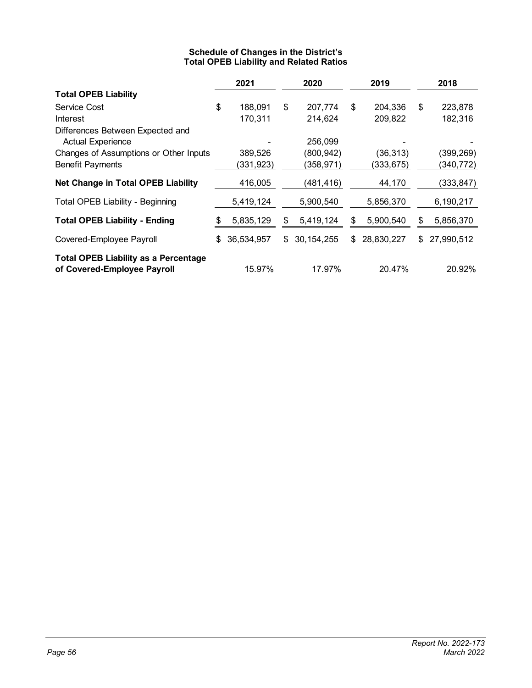#### **Schedule of Changes in the District's Total OPEB Liability and Related Ratios**

|                                                                            | 2021 |            | 2020 |              |    | 2019          | 2018             |
|----------------------------------------------------------------------------|------|------------|------|--------------|----|---------------|------------------|
| <b>Total OPEB Liability</b>                                                |      |            |      |              |    |               |                  |
| Service Cost                                                               | \$   | 188,091    | \$   | 207,774      | \$ | 204,336       | \$<br>223,878    |
| Interest                                                                   |      | 170,311    |      | 214,624      |    | 209,822       | 182,316          |
| Differences Between Expected and                                           |      |            |      |              |    |               |                  |
| <b>Actual Experience</b>                                                   |      |            |      | 256,099      |    |               |                  |
| Changes of Assumptions or Other Inputs                                     |      | 389,526    |      | (800, 942)   |    | (36, 313)     | (399, 269)       |
| <b>Benefit Payments</b>                                                    |      | (331,923)  |      | (358,971)    |    | (333,675)     | (340, 772)       |
| <b>Net Change in Total OPEB Liability</b>                                  |      | 416,005    |      | (481, 416)   |    | 44,170        | (333, 847)       |
| Total OPEB Liability - Beginning                                           |      | 5,419,124  |      | 5,900,540    |    | 5,856,370     | 6,190,217        |
| <b>Total OPEB Liability - Ending</b>                                       |      | 5,835,129  | \$   | 5,419,124    | \$ | 5,900,540     | \$<br>5,856,370  |
| Covered-Employee Payroll                                                   | \$   | 36,534,957 | \$.  | 30, 154, 255 |    | \$ 28,830,227 | \$<br>27,990,512 |
| <b>Total OPEB Liability as a Percentage</b><br>of Covered-Employee Payroll |      | 15.97%     |      | 17.97%       |    | 20.47%        | 20.92%           |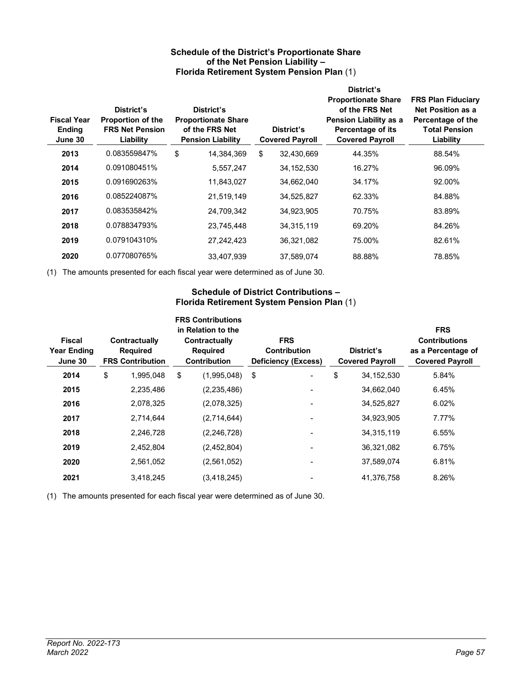#### **Schedule of the District's Proportionate Share of the Net Pension Liability – Florida Retirement System Pension Plan** (1)

| <b>Fiscal Year</b><br><b>Ending</b><br>June 30 | District's<br><b>Proportion of the</b><br><b>FRS Net Pension</b><br>Liability | District's<br><b>Proportionate Share</b><br>of the FRS Net<br><b>Pension Liability</b> | District's<br><b>Covered Payroll</b> | District's<br><b>Proportionate Share</b><br>of the FRS Net<br>Pension Liability as a<br>Percentage of its<br><b>Covered Payroll</b> | <b>FRS Plan Fiduciary</b><br>Net Position as a<br>Percentage of the<br><b>Total Pension</b><br>Liability |
|------------------------------------------------|-------------------------------------------------------------------------------|----------------------------------------------------------------------------------------|--------------------------------------|-------------------------------------------------------------------------------------------------------------------------------------|----------------------------------------------------------------------------------------------------------|
| 2013                                           | 0.083559847%                                                                  | \$<br>14,384,369                                                                       | \$<br>32,430,669                     | 44.35%                                                                                                                              | 88.54%                                                                                                   |
| 2014                                           | 0.091080451%                                                                  | 5,557,247                                                                              | 34, 152, 530                         | 16.27%                                                                                                                              | 96.09%                                                                                                   |
| 2015                                           | 0.091690263%                                                                  | 11,843,027                                                                             | 34.662.040                           | 34.17%                                                                                                                              | 92.00%                                                                                                   |
| 2016                                           | 0.085224087%                                                                  | 21,519,149                                                                             | 34,525,827                           | 62.33%                                                                                                                              | 84.88%                                                                                                   |
| 2017                                           | 0.083535842%                                                                  | 24,709,342                                                                             | 34,923,905                           | 70.75%                                                                                                                              | 83.89%                                                                                                   |
| 2018                                           | 0.078834793%                                                                  | 23,745,448                                                                             | 34, 315, 119                         | 69.20%                                                                                                                              | 84.26%                                                                                                   |
| 2019                                           | 0.079104310%                                                                  | 27,242,423                                                                             | 36,321,082                           | 75.00%                                                                                                                              | 82.61%                                                                                                   |
| 2020                                           | 0.077080765%                                                                  | 33,407,939                                                                             | 37,589,074                           | 88.88%                                                                                                                              | 78.85%                                                                                                   |

(1) The amounts presented for each fiscal year were determined as of June 30.

#### **Schedule of District Contributions – Florida Retirement System Pension Plan** (1)

| <b>Fiscal</b><br><b>Year Ending</b><br>June 30 | Contractually<br><b>Required</b><br><b>FRS Contribution</b> | <b>FRS Contributions</b><br>in Relation to the<br>Contractually<br><b>Required</b><br><b>Contribution</b> |               | <b>FRS</b><br><b>Contribution</b><br><b>Deficiency (Excess)</b> |                          | District's<br><b>Covered Payroll</b> |              | <b>FRS</b><br><b>Contributions</b><br>as a Percentage of<br><b>Covered Payroll</b> |
|------------------------------------------------|-------------------------------------------------------------|-----------------------------------------------------------------------------------------------------------|---------------|-----------------------------------------------------------------|--------------------------|--------------------------------------|--------------|------------------------------------------------------------------------------------|
| 2014                                           | \$<br>1,995,048                                             | \$                                                                                                        | (1,995,048)   | \$                                                              | $\overline{\phantom{0}}$ | \$                                   | 34, 152, 530 | 5.84%                                                                              |
| 2015                                           | 2,235,486                                                   |                                                                                                           | (2, 235, 486) |                                                                 |                          |                                      | 34,662,040   | 6.45%                                                                              |
| 2016                                           | 2,078,325                                                   |                                                                                                           | (2,078,325)   |                                                                 |                          |                                      | 34,525,827   | 6.02%                                                                              |
| 2017                                           | 2,714,644                                                   |                                                                                                           | (2,714,644)   |                                                                 |                          |                                      | 34,923,905   | 7.77%                                                                              |
| 2018                                           | 2,246,728                                                   |                                                                                                           | (2, 246, 728) |                                                                 |                          |                                      | 34,315,119   | 6.55%                                                                              |
| 2019                                           | 2,452,804                                                   |                                                                                                           | (2,452,804)   |                                                                 |                          |                                      | 36,321,082   | 6.75%                                                                              |
| 2020                                           | 2,561,052                                                   |                                                                                                           | (2,561,052)   |                                                                 |                          |                                      | 37,589,074   | 6.81%                                                                              |
| 2021                                           | 3,418,245                                                   |                                                                                                           | (3,418,245)   |                                                                 |                          |                                      | 41,376,758   | 8.26%                                                                              |

(1) The amounts presented for each fiscal year were determined as of June 30.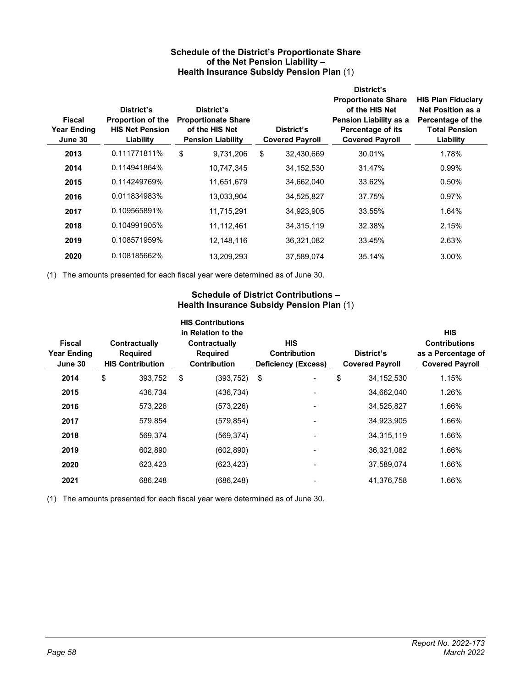#### **Schedule of the District's Proportionate Share of the Net Pension Liability – Health Insurance Subsidy Pension Plan** (1)

| <b>Fiscal</b><br><b>Year Ending</b><br>June 30 | District's<br><b>Proportion of the</b><br><b>HIS Net Pension</b><br>Liability | District's<br><b>Proportionate Share</b><br>of the HIS Net<br><b>Pension Liability</b> | District's<br><b>Covered Payroll</b> | District's<br><b>Proportionate Share</b><br>of the HIS Net<br><b>Pension Liability as a</b><br>Percentage of its<br><b>Covered Payroll</b> | <b>HIS Plan Fiduciary</b><br>Net Position as a<br>Percentage of the<br><b>Total Pension</b><br>Liability |
|------------------------------------------------|-------------------------------------------------------------------------------|----------------------------------------------------------------------------------------|--------------------------------------|--------------------------------------------------------------------------------------------------------------------------------------------|----------------------------------------------------------------------------------------------------------|
| 2013                                           | 0.111771811%                                                                  | \$<br>9,731,206                                                                        | \$<br>32,430,669                     | 30.01%                                                                                                                                     | 1.78%                                                                                                    |
| 2014                                           | 0.114941864%                                                                  | 10,747,345                                                                             | 34, 152, 530                         | 31.47%                                                                                                                                     | 0.99%                                                                                                    |
| 2015                                           | 0.114249769%                                                                  | 11,651,679                                                                             | 34,662,040                           | 33.62%                                                                                                                                     | 0.50%                                                                                                    |
| 2016                                           | 0.011834983%                                                                  | 13,033,904                                                                             | 34,525,827                           | 37.75%                                                                                                                                     | 0.97%                                                                                                    |
| 2017                                           | 0.109565891%                                                                  | 11,715,291                                                                             | 34,923,905                           | 33.55%                                                                                                                                     | 1.64%                                                                                                    |
| 2018                                           | 0.104991905%                                                                  | 11,112,461                                                                             | 34,315,119                           | 32.38%                                                                                                                                     | 2.15%                                                                                                    |
| 2019                                           | 0.108571959%                                                                  | 12,148,116                                                                             | 36,321,082                           | 33.45%                                                                                                                                     | 2.63%                                                                                                    |
| 2020                                           | 0.108185662%                                                                  | 13,209,293                                                                             | 37,589,074                           | 35.14%                                                                                                                                     | 3.00%                                                                                                    |

(1) The amounts presented for each fiscal year were determined as of June 30.

#### **Schedule of District Contributions – Health Insurance Subsidy Pension Plan** (1)

| <b>Fiscal</b><br><b>Year Ending</b><br>June 30 | Contractually<br><b>Required</b><br><b>HIS Contribution</b> |    | <b>HIS Contributions</b><br>in Relation to the<br>Contractually<br><b>Required</b><br><b>Contribution</b> | <b>HIS</b><br><b>Contribution</b><br><b>Deficiency (Excess)</b> | District's<br><b>Covered Payroll</b> |              | <b>HIS</b><br><b>Contributions</b><br>as a Percentage of<br><b>Covered Payroll</b> |
|------------------------------------------------|-------------------------------------------------------------|----|-----------------------------------------------------------------------------------------------------------|-----------------------------------------------------------------|--------------------------------------|--------------|------------------------------------------------------------------------------------|
| 2014                                           | \$<br>393,752                                               | \$ | (393,752)                                                                                                 | \$<br>$\overline{\phantom{0}}$                                  | \$                                   | 34, 152, 530 | 1.15%                                                                              |
| 2015                                           | 436,734                                                     |    | (436, 734)                                                                                                |                                                                 |                                      | 34,662,040   | 1.26%                                                                              |
| 2016                                           | 573,226                                                     |    | (573, 226)                                                                                                | $\blacksquare$                                                  |                                      | 34,525,827   | 1.66%                                                                              |
| 2017                                           | 579,854                                                     |    | (579, 854)                                                                                                |                                                                 |                                      | 34,923,905   | 1.66%                                                                              |
| 2018                                           | 569,374                                                     |    | (569, 374)                                                                                                |                                                                 |                                      | 34,315,119   | 1.66%                                                                              |
| 2019                                           | 602,890                                                     |    | (602, 890)                                                                                                |                                                                 |                                      | 36,321,082   | 1.66%                                                                              |
| 2020                                           | 623,423                                                     |    | (623, 423)                                                                                                |                                                                 |                                      | 37,589,074   | 1.66%                                                                              |
| 2021                                           | 686,248                                                     |    | (686, 248)                                                                                                |                                                                 |                                      | 41,376,758   | 1.66%                                                                              |
|                                                |                                                             |    |                                                                                                           |                                                                 |                                      |              |                                                                                    |

(1) The amounts presented for each fiscal year were determined as of June 30.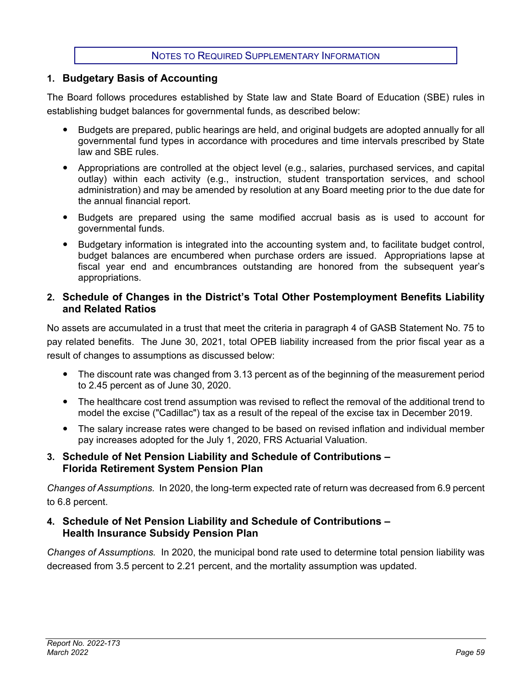#### NOTES TO REQUIRED SUPPLEMENTARY INFORMATION

#### **1. Budgetary Basis of Accounting**

The Board follows procedures established by State law and State Board of Education (SBE) rules in establishing budget balances for governmental funds, as described below:

- Budgets are prepared, public hearings are held, and original budgets are adopted annually for all governmental fund types in accordance with procedures and time intervals prescribed by State law and SBE rules.
- Appropriations are controlled at the object level (e.g., salaries, purchased services, and capital outlay) within each activity (e.g., instruction, student transportation services, and school administration) and may be amended by resolution at any Board meeting prior to the due date for the annual financial report.
- Budgets are prepared using the same modified accrual basis as is used to account for governmental funds.
- Budgetary information is integrated into the accounting system and, to facilitate budget control, budget balances are encumbered when purchase orders are issued. Appropriations lapse at fiscal year end and encumbrances outstanding are honored from the subsequent year's appropriations.

#### **2. Schedule of Changes in the District's Total Other Postemployment Benefits Liability and Related Ratios**

No assets are accumulated in a trust that meet the criteria in paragraph 4 of GASB Statement No. 75 to pay related benefits. The June 30, 2021, total OPEB liability increased from the prior fiscal year as a result of changes to assumptions as discussed below:

- The discount rate was changed from 3.13 percent as of the beginning of the measurement period to 2.45 percent as of June 30, 2020.
- The healthcare cost trend assumption was revised to reflect the removal of the additional trend to model the excise ("Cadillac") tax as a result of the repeal of the excise tax in December 2019.
- The salary increase rates were changed to be based on revised inflation and individual member pay increases adopted for the July 1, 2020, FRS Actuarial Valuation.
- **3. Schedule of Net Pension Liability and Schedule of Contributions Florida Retirement System Pension Plan**

*Changes of Assumptions.* In 2020, the long-term expected rate of return was decreased from 6.9 percent to 6.8 percent.

#### **4. Schedule of Net Pension Liability and Schedule of Contributions – Health Insurance Subsidy Pension Plan**

*Changes of Assumptions.* In 2020, the municipal bond rate used to determine total pension liability was decreased from 3.5 percent to 2.21 percent, and the mortality assumption was updated.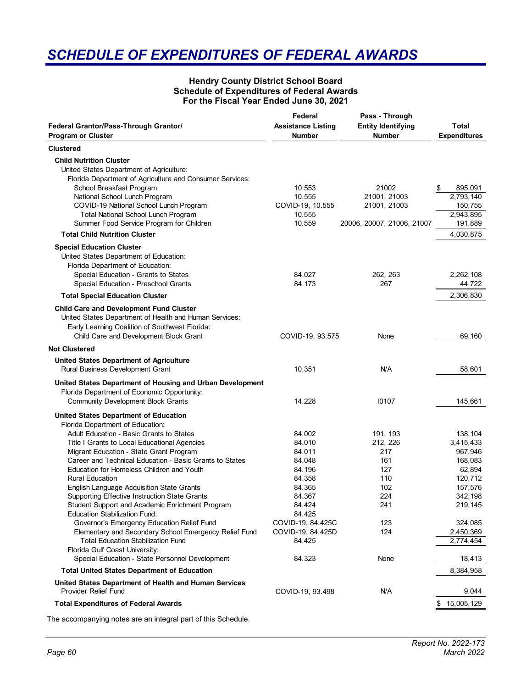## *SCHEDULE OF EXPENDITURES OF FEDERAL AWARDS*

#### **Hendry County District School Board Schedule of Expenditures of Federal Awards For the Fiscal Year Ended June 30, 2021**

|                                                                                            | Federal                   | Pass - Through             |                     |
|--------------------------------------------------------------------------------------------|---------------------------|----------------------------|---------------------|
| Federal Grantor/Pass-Through Grantor/                                                      | <b>Assistance Listing</b> | <b>Entity Identifying</b>  | Total               |
| <b>Program or Cluster</b>                                                                  | <b>Number</b>             | Number                     | <b>Expenditures</b> |
| <b>Clustered</b>                                                                           |                           |                            |                     |
| <b>Child Nutrition Cluster</b>                                                             |                           |                            |                     |
| United States Department of Agriculture:                                                   |                           |                            |                     |
| Florida Department of Agriculture and Consumer Services:                                   |                           |                            |                     |
| School Breakfast Program                                                                   | 10.553                    | 21002                      | 895,091<br>\$       |
| National School Lunch Program                                                              | 10.555                    | 21001, 21003               | 2,793,140           |
| COVID-19 National School Lunch Program                                                     | COVID-19, 10.555          | 21001, 21003               | 150,755             |
| <b>Total National School Lunch Program</b>                                                 | 10.555                    |                            | 2,943,895           |
| Summer Food Service Program for Children                                                   | 10.559                    | 20006, 20007, 21006, 21007 | 191,889             |
| <b>Total Child Nutrition Cluster</b>                                                       |                           |                            | 4,030,875           |
| <b>Special Education Cluster</b>                                                           |                           |                            |                     |
| United States Department of Education:                                                     |                           |                            |                     |
| Florida Department of Education:                                                           |                           |                            |                     |
| Special Education - Grants to States                                                       | 84.027                    | 262, 263                   | 2,262,108           |
| Special Education - Preschool Grants                                                       | 84.173                    | 267                        | 44,722              |
| <b>Total Special Education Cluster</b>                                                     |                           |                            | 2,306,830           |
| <b>Child Care and Development Fund Cluster</b>                                             |                           |                            |                     |
| United States Department of Health and Human Services:                                     |                           |                            |                     |
| Early Learning Coalition of Southwest Florida:                                             |                           |                            |                     |
| Child Care and Development Block Grant                                                     | COVID-19, 93.575          | None                       | 69,160              |
| <b>Not Clustered</b>                                                                       |                           |                            |                     |
| <b>United States Department of Agriculture</b>                                             |                           |                            |                     |
| Rural Business Development Grant                                                           | 10.351                    | N/A                        | 58,601              |
|                                                                                            |                           |                            |                     |
| United States Department of Housing and Urban Development                                  |                           |                            |                     |
| Florida Department of Economic Opportunity:                                                |                           |                            |                     |
| <b>Community Development Block Grants</b>                                                  | 14.228                    | 10107                      | 145,661             |
| <b>United States Department of Education</b>                                               |                           |                            |                     |
| Florida Department of Education:                                                           |                           |                            |                     |
| Adult Education - Basic Grants to States                                                   | 84.002                    | 191, 193                   | 138,104             |
| Title I Grants to Local Educational Agencies                                               | 84.010                    | 212, 226                   | 3,415,433           |
| Migrant Education - State Grant Program                                                    | 84.011                    | 217                        | 967,946             |
| Career and Technical Education - Basic Grants to States                                    | 84.048                    | 161                        | 168,083             |
| Education for Homeless Children and Youth                                                  | 84.196                    | 127                        | 62,894              |
| <b>Rural Education</b>                                                                     | 84.358                    | 110                        | 120,712             |
| English Language Acquisition State Grants<br>Supporting Effective Instruction State Grants | 84.365<br>84.367          | 102<br>224                 | 157,576<br>342,198  |
| Student Support and Academic Enrichment Program                                            | 84.424                    | 241                        | 219,145             |
| <b>Education Stabilization Fund:</b>                                                       | 84.425                    |                            |                     |
| Governor's Emergency Education Relief Fund                                                 | COVID-19, 84.425C         | 123                        | 324,085             |
| Elementary and Secondary School Emergency Relief Fund                                      | COVID-19, 84.425D         | 124                        | 2,450,369           |
| <b>Total Education Stabilization Fund</b>                                                  | 84.425                    |                            | 2,774,454           |
| Florida Gulf Coast University:                                                             |                           |                            |                     |
| Special Education - State Personnel Development                                            | 84.323                    | None                       | 18,413              |
| <b>Total United States Department of Education</b>                                         |                           |                            | 8,384,958           |
| United States Department of Health and Human Services                                      |                           |                            |                     |
| <b>Provider Relief Fund</b>                                                                | COVID-19, 93.498          | N/A                        | 9,044               |
| <b>Total Expenditures of Federal Awards</b>                                                |                           |                            | \$15,005,129        |
|                                                                                            |                           |                            |                     |

The accompanying notes are an integral part of this Schedule.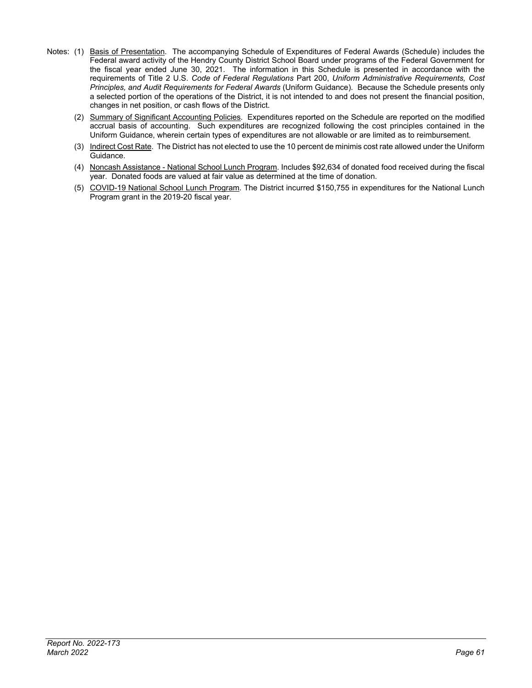- Notes: (1) Basis of Presentation. The accompanying Schedule of Expenditures of Federal Awards (Schedule) includes the Federal award activity of the Hendry County District School Board under programs of the Federal Government for the fiscal year ended June 30, 2021. The information in this Schedule is presented in accordance with the requirements of Title 2 U.S. *Code of Federal Regulations* Part 200, *Uniform Administrative Requirements, Cost Principles, and Audit Requirements for Federal Awards* (Uniform Guidance). Because the Schedule presents only a selected portion of the operations of the District, it is not intended to and does not present the financial position, changes in net position, or cash flows of the District.
	- (2) Summary of Significant Accounting Policies. Expenditures reported on the Schedule are reported on the modified accrual basis of accounting. Such expenditures are recognized following the cost principles contained in the Uniform Guidance, wherein certain types of expenditures are not allowable or are limited as to reimbursement.
	- (3) Indirect Cost Rate. The District has not elected to use the 10 percent de minimis cost rate allowed under the Uniform Guidance.
	- (4) Noncash Assistance National School Lunch Program. Includes \$92,634 of donated food received during the fiscal year. Donated foods are valued at fair value as determined at the time of donation.
	- (5) COVID-19 National School Lunch Program. The District incurred \$150,755 in expenditures for the National Lunch Program grant in the 2019-20 fiscal year.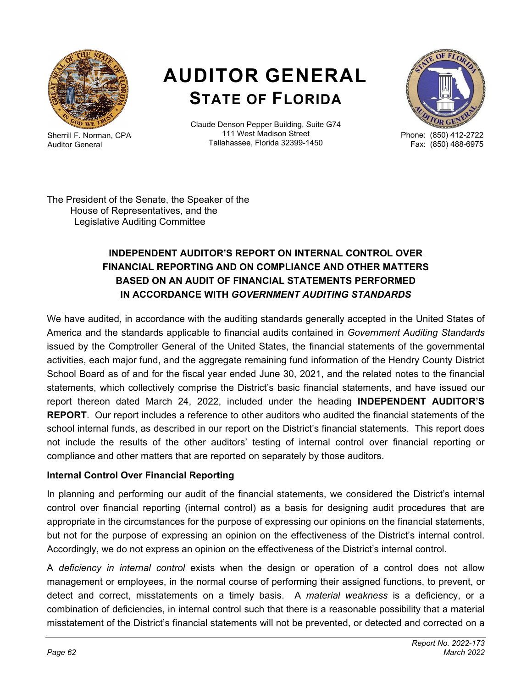

Sherrill F. Norman, CPA Auditor General

# **AUDITOR GENERAL STATE OF FLORIDA**

Claude Denson Pepper Building, Suite G74 111 West Madison Street Tallahassee, Florida 32399-1450



Phone: (850) 412-2722 Fax: (850) 488-6975

The President of the Senate, the Speaker of the House of Representatives, and the Legislative Auditing Committee

## **INDEPENDENT AUDITOR'S REPORT ON INTERNAL CONTROL OVER FINANCIAL REPORTING AND ON COMPLIANCE AND OTHER MATTERS BASED ON AN AUDIT OF FINANCIAL STATEMENTS PERFORMED IN ACCORDANCE WITH** *GOVERNMENT AUDITING STANDARDS*

We have audited, in accordance with the auditing standards generally accepted in the United States of America and the standards applicable to financial audits contained in *Government Auditing Standards* issued by the Comptroller General of the United States, the financial statements of the governmental activities, each major fund, and the aggregate remaining fund information of the Hendry County District School Board as of and for the fiscal year ended June 30, 2021, and the related notes to the financial statements, which collectively comprise the District's basic financial statements, and have issued our report thereon dated March 24, 2022, included under the heading **INDEPENDENT AUDITOR'S REPORT**. Our report includes a reference to other auditors who audited the financial statements of the school internal funds, as described in our report on the District's financial statements. This report does not include the results of the other auditors' testing of internal control over financial reporting or compliance and other matters that are reported on separately by those auditors.

#### **Internal Control Over Financial Reporting**

In planning and performing our audit of the financial statements, we considered the District's internal control over financial reporting (internal control) as a basis for designing audit procedures that are appropriate in the circumstances for the purpose of expressing our opinions on the financial statements, but not for the purpose of expressing an opinion on the effectiveness of the District's internal control. Accordingly, we do not express an opinion on the effectiveness of the District's internal control.

A *deficiency in internal control* exists when the design or operation of a control does not allow management or employees, in the normal course of performing their assigned functions, to prevent, or detect and correct, misstatements on a timely basis. A *material weakness* is a deficiency, or a combination of deficiencies, in internal control such that there is a reasonable possibility that a material misstatement of the District's financial statements will not be prevented, or detected and corrected on a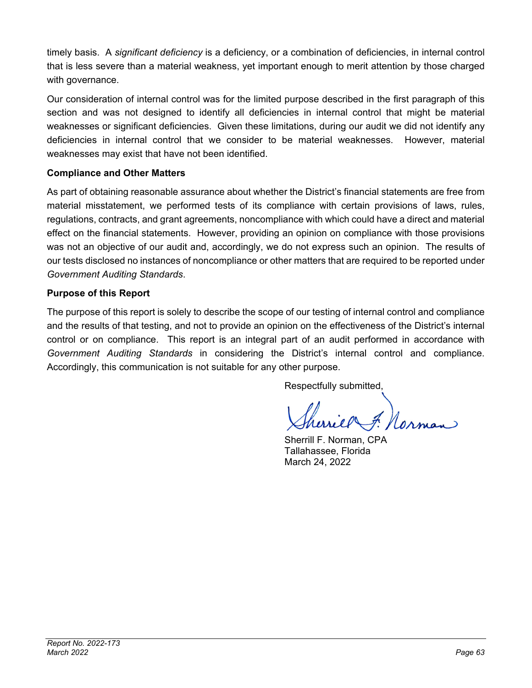timely basis. A *significant deficiency* is a deficiency, or a combination of deficiencies, in internal control that is less severe than a material weakness, yet important enough to merit attention by those charged with governance.

Our consideration of internal control was for the limited purpose described in the first paragraph of this section and was not designed to identify all deficiencies in internal control that might be material weaknesses or significant deficiencies. Given these limitations, during our audit we did not identify any deficiencies in internal control that we consider to be material weaknesses. However, material weaknesses may exist that have not been identified.

#### **Compliance and Other Matters**

As part of obtaining reasonable assurance about whether the District's financial statements are free from material misstatement, we performed tests of its compliance with certain provisions of laws, rules, regulations, contracts, and grant agreements, noncompliance with which could have a direct and material effect on the financial statements. However, providing an opinion on compliance with those provisions was not an objective of our audit and, accordingly, we do not express such an opinion. The results of our tests disclosed no instances of noncompliance or other matters that are required to be reported under *Government Auditing Standards*.

#### **Purpose of this Report**

The purpose of this report is solely to describe the scope of our testing of internal control and compliance and the results of that testing, and not to provide an opinion on the effectiveness of the District's internal control or on compliance. This report is an integral part of an audit performed in accordance with *Government Auditing Standards* in considering the District's internal control and compliance. Accordingly, this communication is not suitable for any other purpose.

Respectfully submitted,

Sherrill F. Norman, CPA Tallahassee, Florida March 24, 2022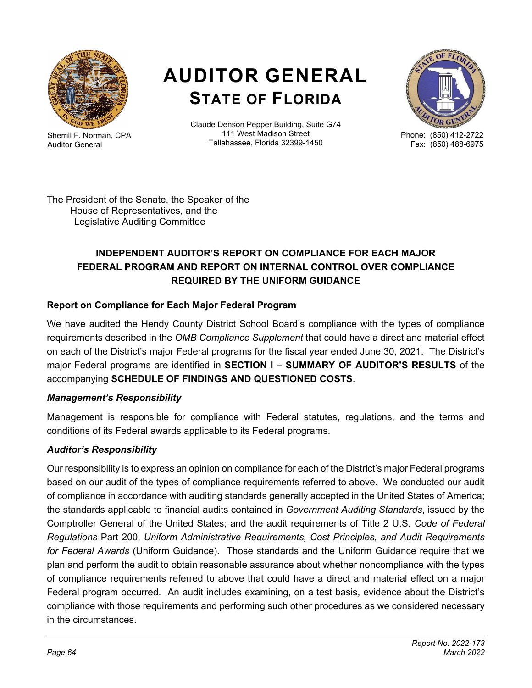

Sherrill F. Norman, CPA Auditor General

# **AUDITOR GENERAL STATE OF FLORIDA**

Claude Denson Pepper Building, Suite G74 111 West Madison Street Tallahassee, Florida 32399-1450



Phone: (850) 412-2722 Fax: (850) 488-6975

The President of the Senate, the Speaker of the House of Representatives, and the Legislative Auditing Committee

## **INDEPENDENT AUDITOR'S REPORT ON COMPLIANCE FOR EACH MAJOR FEDERAL PROGRAM AND REPORT ON INTERNAL CONTROL OVER COMPLIANCE REQUIRED BY THE UNIFORM GUIDANCE**

#### **Report on Compliance for Each Major Federal Program**

We have audited the Hendy County District School Board's compliance with the types of compliance requirements described in the *OMB Compliance Supplement* that could have a direct and material effect on each of the District's major Federal programs for the fiscal year ended June 30, 2021. The District's major Federal programs are identified in **SECTION I – SUMMARY OF AUDITOR'S RESULTS** of the accompanying **SCHEDULE OF FINDINGS AND QUESTIONED COSTS**.

#### *Management's Responsibility*

Management is responsible for compliance with Federal statutes, regulations, and the terms and conditions of its Federal awards applicable to its Federal programs.

#### *Auditor's Responsibility*

Our responsibility is to express an opinion on compliance for each of the District's major Federal programs based on our audit of the types of compliance requirements referred to above. We conducted our audit of compliance in accordance with auditing standards generally accepted in the United States of America; the standards applicable to financial audits contained in *Government Auditing Standards*, issued by the Comptroller General of the United States; and the audit requirements of Title 2 U.S. *Code of Federal Regulations* Part 200, *Uniform Administrative Requirements, Cost Principles, and Audit Requirements for Federal Awards* (Uniform Guidance). Those standards and the Uniform Guidance require that we plan and perform the audit to obtain reasonable assurance about whether noncompliance with the types of compliance requirements referred to above that could have a direct and material effect on a major Federal program occurred. An audit includes examining, on a test basis, evidence about the District's compliance with those requirements and performing such other procedures as we considered necessary in the circumstances.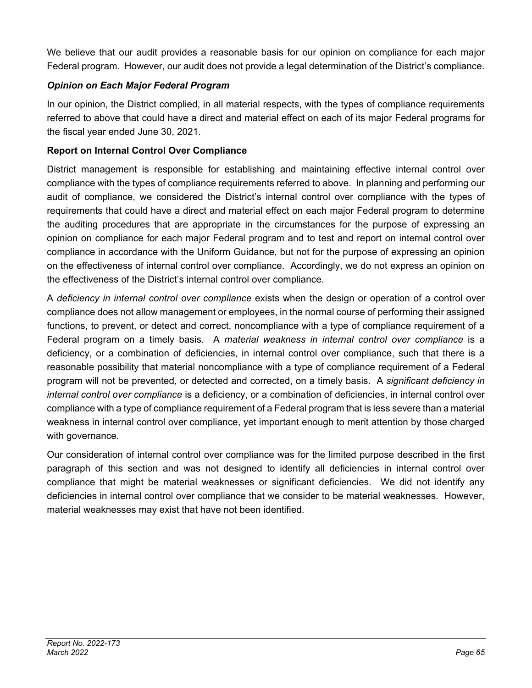We believe that our audit provides a reasonable basis for our opinion on compliance for each major Federal program. However, our audit does not provide a legal determination of the District's compliance.

#### *Opinion on Each Major Federal Program*

In our opinion, the District complied, in all material respects, with the types of compliance requirements referred to above that could have a direct and material effect on each of its major Federal programs for the fiscal year ended June 30, 2021.

#### **Report on Internal Control Over Compliance**

District management is responsible for establishing and maintaining effective internal control over compliance with the types of compliance requirements referred to above. In planning and performing our audit of compliance, we considered the District's internal control over compliance with the types of requirements that could have a direct and material effect on each major Federal program to determine the auditing procedures that are appropriate in the circumstances for the purpose of expressing an opinion on compliance for each major Federal program and to test and report on internal control over compliance in accordance with the Uniform Guidance, but not for the purpose of expressing an opinion on the effectiveness of internal control over compliance. Accordingly, we do not express an opinion on the effectiveness of the District's internal control over compliance.

A *deficiency in internal control over compliance* exists when the design or operation of a control over compliance does not allow management or employees, in the normal course of performing their assigned functions, to prevent, or detect and correct, noncompliance with a type of compliance requirement of a Federal program on a timely basis. A *material weakness in internal control over compliance* is a deficiency, or a combination of deficiencies, in internal control over compliance, such that there is a reasonable possibility that material noncompliance with a type of compliance requirement of a Federal program will not be prevented, or detected and corrected, on a timely basis. A *significant deficiency in internal control over compliance* is a deficiency, or a combination of deficiencies, in internal control over compliance with a type of compliance requirement of a Federal program that is less severe than a material weakness in internal control over compliance, yet important enough to merit attention by those charged with governance.

Our consideration of internal control over compliance was for the limited purpose described in the first paragraph of this section and was not designed to identify all deficiencies in internal control over compliance that might be material weaknesses or significant deficiencies. We did not identify any deficiencies in internal control over compliance that we consider to be material weaknesses. However, material weaknesses may exist that have not been identified.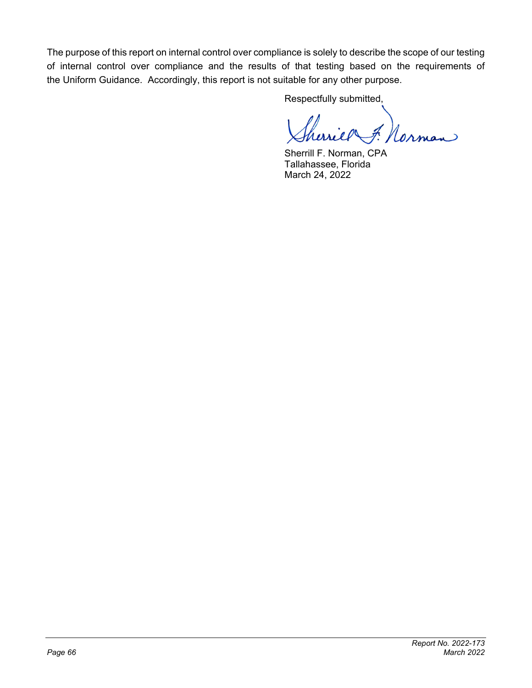The purpose of this report on internal control over compliance is solely to describe the scope of our testing of internal control over compliance and the results of that testing based on the requirements of the Uniform Guidance. Accordingly, this report is not suitable for any other purpose.

Respectfully submitted,

F. Norman

Sherrill F. Norman, CPA Tallahassee, Florida March 24, 2022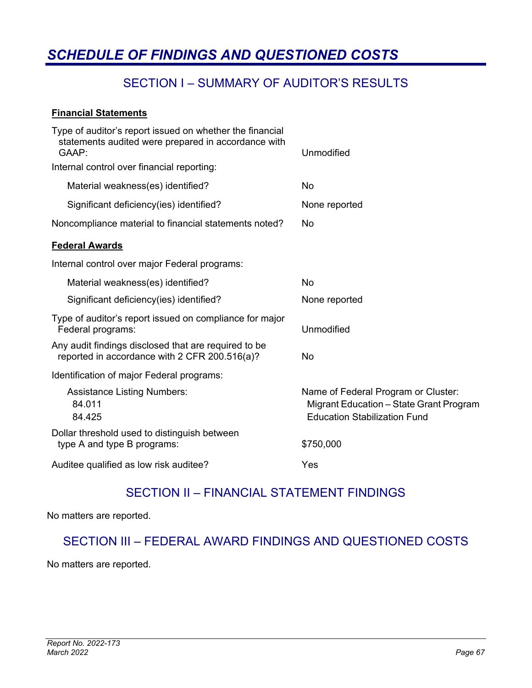# *SCHEDULE OF FINDINGS AND QUESTIONED COSTS*

### SECTION I – SUMMARY OF AUDITOR'S RESULTS

#### **Financial Statements**

| Type of auditor's report issued on whether the financial<br>statements audited were prepared in accordance with<br>GAAP: | Unmodified                                                                                                            |
|--------------------------------------------------------------------------------------------------------------------------|-----------------------------------------------------------------------------------------------------------------------|
| Internal control over financial reporting:                                                                               |                                                                                                                       |
| Material weakness(es) identified?                                                                                        | No                                                                                                                    |
| Significant deficiency(ies) identified?                                                                                  | None reported                                                                                                         |
| Noncompliance material to financial statements noted?                                                                    | No                                                                                                                    |
| <b>Federal Awards</b>                                                                                                    |                                                                                                                       |
| Internal control over major Federal programs:                                                                            |                                                                                                                       |
| Material weakness(es) identified?                                                                                        | No                                                                                                                    |
| Significant deficiency(ies) identified?                                                                                  | None reported                                                                                                         |
| Type of auditor's report issued on compliance for major<br>Federal programs:                                             | Unmodified                                                                                                            |
| Any audit findings disclosed that are required to be<br>reported in accordance with 2 CFR 200.516(a)?                    | No                                                                                                                    |
| Identification of major Federal programs:                                                                                |                                                                                                                       |
| <b>Assistance Listing Numbers:</b><br>84.011<br>84.425                                                                   | Name of Federal Program or Cluster:<br>Migrant Education - State Grant Program<br><b>Education Stabilization Fund</b> |
| Dollar threshold used to distinguish between<br>type A and type B programs:                                              | \$750,000                                                                                                             |
| Auditee qualified as low risk auditee?                                                                                   | Yes                                                                                                                   |

#### SECTION II – FINANCIAL STATEMENT FINDINGS

No matters are reported.

#### SECTION III – FEDERAL AWARD FINDINGS AND QUESTIONED COSTS

No matters are reported.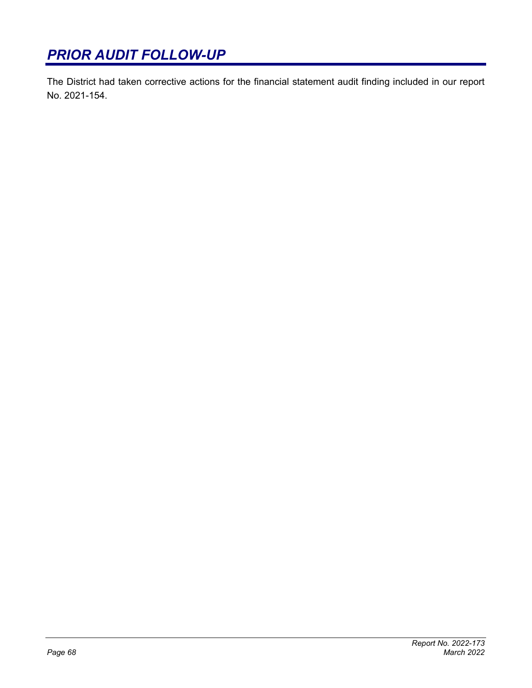# *PRIOR AUDIT FOLLOW-UP*

The District had taken corrective actions for the financial statement audit finding included in our report No. 2021-154.